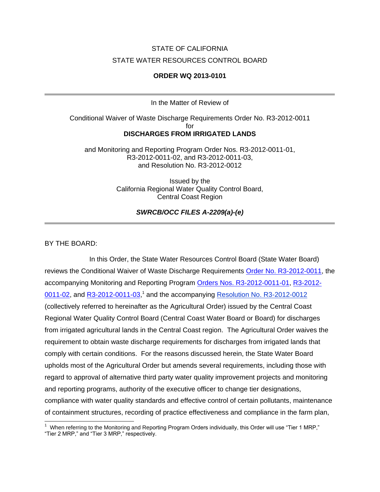# STATE OF CALIFORNIA STATE WATER RESOURCES CONTROL BOARD

#### **ORDER WQ 2013-0101**

In the Matter of Review of

## Conditional Waiver of Waste Discharge Requirements Order No. R3-2012-0011 for **DISCHARGES FROM IRRIGATED LANDS**

and Monitoring and Reporting Program Order Nos. R3-2012-0011-01, R3-2012-0011-02, and R3-2012-0011-03, and Resolution No. R3-2012-0012

> Issued by the California Regional Water Quality Control Board, Central Coast Region

> > *SWRCB/OCC FILES A-2209(a)-(e)*

#### BY THE BOARD:

In this Order, the State Water Resources Control Board (State Water Board) reviews the Conditional Waiver of Waste Discharge Requirements [Order No. R3-2012-0011,](http://www.waterboards.ca.gov/centralcoast/water_issues/programs/ag_waivers/docs/ag_order/final_agorder_atta_032612.pdf) the accompanying Monitoring and Reporting Program [Orders Nos. R3-2012-0011-01,](http://www.waterboards.ca.gov/centralcoast/water_issues/programs/ag_waivers/docs/adopted2012ag_order/2013_r3-2012-0011-01_mrp-tier1.pdf) [R3-2012-](http://www.waterboards.ca.gov/centralcoast/water_issues/programs/ag_waivers/docs/adopted2012ag_order/2013_r3-2012-0011-02_mrp-tier2.pdf) [0011-02,](http://www.waterboards.ca.gov/centralcoast/water_issues/programs/ag_waivers/docs/adopted2012ag_order/2013_r3-2012-0011-02_mrp-tier2.pdf) and [R3-2012-0011-03,](http://www.waterboards.ca.gov/centralcoast/water_issues/programs/ag_waivers/docs/adopted2012ag_order/2013_r3-2012-0011-03_mrp-tier3.pdf)<sup>1</sup> and the accompanying [Resolution No. R3-2012-0012](http://www.waterboards.ca.gov/centralcoast/water_issues/programs/ag_waivers/docs/adopted2012ag_order/final_ceqa_res_032612.pdf) (collectively referred to hereinafter as the Agricultural Order) issued by the Central Coast Regional Water Quality Control Board (Central Coast Water Board or Board) for discharges from irrigated agricultural lands in the Central Coast region. The Agricultural Order waives the requirement to obtain waste discharge requirements for discharges from irrigated lands that comply with certain conditions. For the reasons discussed herein, the State Water Board upholds most of the Agricultural Order but amends several requirements, including those with regard to approval of alternative third party water quality improvement projects and monitoring and reporting programs, authority of the executive officer to change tier designations, compliance with water quality standards and effective control of certain pollutants, maintenance of containment structures, recording of practice effectiveness and compliance in the farm plan,

<sup>&</sup>lt;sup>1</sup> When referring to the Monitoring and Reporting Program Orders individually, this Order will use "Tier 1 MRP," "Tier 2 MRP," and "Tier 3 MRP," respectively.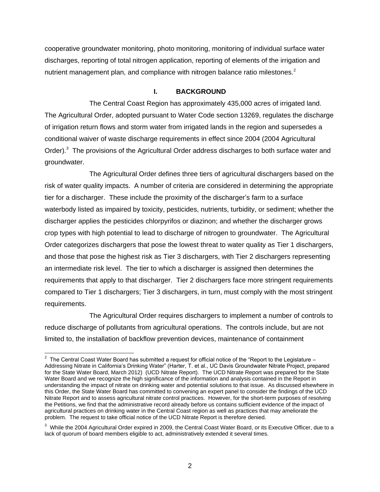cooperative groundwater monitoring, photo monitoring, monitoring of individual surface water discharges, reporting of total nitrogen application, reporting of elements of the irrigation and nutrient management plan, and compliance with nitrogen balance ratio milestones.<sup>2</sup>

#### **I. BACKGROUND**

The Central Coast Region has approximately 435,000 acres of irrigated land. The Agricultural Order, adopted pursuant to Water Code section 13269, regulates the discharge of irrigation return flows and storm water from irrigated lands in the region and supersedes a conditional waiver of waste discharge requirements in effect since 2004 (2004 Agricultural Order).<sup>3</sup> The provisions of the Agricultural Order address discharges to both surface water and groundwater.

The Agricultural Order defines three tiers of agricultural dischargers based on the risk of water quality impacts. A number of criteria are considered in determining the appropriate tier for a discharger. These include the proximity of the discharger's farm to a surface waterbody listed as impaired by toxicity, pesticides, nutrients, turbidity, or sediment; whether the discharger applies the pesticides chlorpyrifos or diazinon; and whether the discharger grows crop types with high potential to lead to discharge of nitrogen to groundwater. The Agricultural Order categorizes dischargers that pose the lowest threat to water quality as Tier 1 dischargers, and those that pose the highest risk as Tier 3 dischargers, with Tier 2 dischargers representing an intermediate risk level. The tier to which a discharger is assigned then determines the requirements that apply to that discharger. Tier 2 dischargers face more stringent requirements compared to Tier 1 dischargers; Tier 3 dischargers, in turn, must comply with the most stringent requirements.

The Agricultural Order requires dischargers to implement a number of controls to reduce discharge of pollutants from agricultural operations. The controls include, but are not limited to, the installation of backflow prevention devices, maintenance of containment

 2 The Central Coast Water Board has submitted a request for official notice of the "Report to the Legislature – Addressing Nitrate in California's Drinking Water" (Harter, T. et al., UC Davis Groundwater Nitrate Project, prepared for the State Water Board, March 2012) (UCD Nitrate Report). The UCD Nitrate Report was prepared for the State Water Board and we recognize the high significance of the information and analysis contained in the Report in understanding the impact of nitrate on drinking water and potential solutions to that issue. As discussed elsewhere in this Order, the State Water Board has committed to convening an expert panel to consider the findings of the UCD Nitrate Report and to assess agricultural nitrate control practices. However, for the short-term purposes of resolving the Petitions, we find that the administrative record already before us contains sufficient evidence of the impact of agricultural practices on drinking water in the Central Coast region as well as practices that may ameliorate the problem. The request to take official notice of the UCD Nitrate Report is therefore denied.

 $3$  While the 2004 Agricultural Order expired in 2009, the Central Coast Water Board, or its Executive Officer, due to a lack of quorum of board members eligible to act, administratively extended it several times.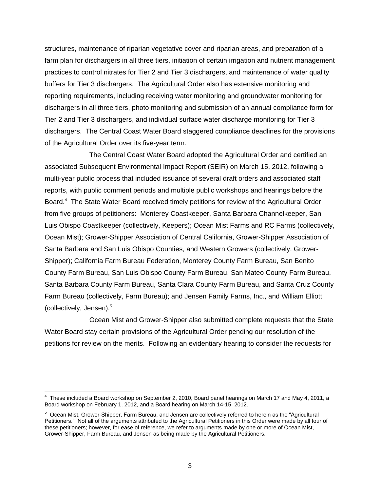structures, maintenance of riparian vegetative cover and riparian areas, and preparation of a farm plan for dischargers in all three tiers, initiation of certain irrigation and nutrient management practices to control nitrates for Tier 2 and Tier 3 dischargers, and maintenance of water quality buffers for Tier 3 dischargers. The Agricultural Order also has extensive monitoring and reporting requirements, including receiving water monitoring and groundwater monitoring for dischargers in all three tiers, photo monitoring and submission of an annual compliance form for Tier 2 and Tier 3 dischargers, and individual surface water discharge monitoring for Tier 3 dischargers. The Central Coast Water Board staggered compliance deadlines for the provisions of the Agricultural Order over its five-year term.

The Central Coast Water Board adopted the Agricultural Order and certified an associated Subsequent Environmental Impact Report (SEIR) on March 15, 2012, following a multi-year public process that included issuance of several draft orders and associated staff reports, with public comment periods and multiple public workshops and hearings before the Board.<sup>4</sup> The State Water Board received timely petitions for review of the Agricultural Order from five groups of petitioners: Monterey Coastkeeper, Santa Barbara Channelkeeper, San Luis Obispo Coastkeeper (collectively, Keepers); Ocean Mist Farms and RC Farms (collectively, Ocean Mist); Grower-Shipper Association of Central California, Grower-Shipper Association of Santa Barbara and San Luis Obispo Counties, and Western Growers (collectively, Grower-Shipper); California Farm Bureau Federation, Monterey County Farm Bureau, San Benito County Farm Bureau, San Luis Obispo County Farm Bureau, San Mateo County Farm Bureau, Santa Barbara County Farm Bureau, Santa Clara County Farm Bureau, and Santa Cruz County Farm Bureau (collectively, Farm Bureau); and Jensen Family Farms, Inc., and William Elliott (collectively, Jensen).<sup>5</sup>

Ocean Mist and Grower-Shipper also submitted complete requests that the State Water Board stay certain provisions of the Agricultural Order pending our resolution of the petitions for review on the merits. Following an evidentiary hearing to consider the requests for

<sup>4</sup> These included a Board workshop on September 2, 2010, Board panel hearings on March 17 and May 4, 2011, a Board workshop on February 1, 2012, and a Board hearing on March 14-15, 2012.

<sup>&</sup>lt;sup>5</sup> Ocean Mist, Grower-Shipper, Farm Bureau, and Jensen are collectively referred to herein as the "Agricultural Petitioners." Not all of the arguments attributed to the Agricultural Petitioners in this Order were made by all four of these petitioners; however, for ease of reference, we refer to arguments made by one or more of Ocean Mist, Grower-Shipper, Farm Bureau, and Jensen as being made by the Agricultural Petitioners.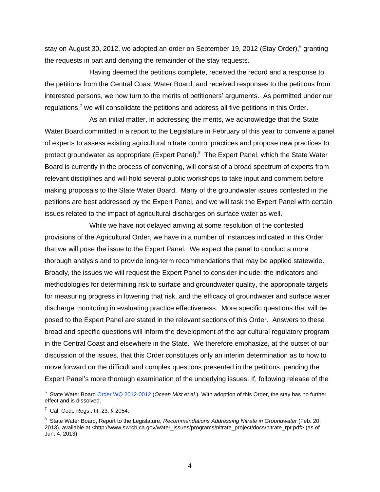stay on August 30, 2012, we adopted an order on September 19, 2012 (Stay Order), <sup>6</sup> granting the requests in part and denying the remainder of the stay requests.

Having deemed the petitions complete, received the record and a response to the petitions from the Central Coast Water Board, and received responses to the petitions from interested persons, we now turn to the merits of petitioners' arguments. As permitted under our regulations, $7 \text{ we will conclude the partitions and address all five partitions in this Order.}$ 

As an initial matter, in addressing the merits, we acknowledge that the State Water Board committed in a report to the Legislature in February of this year to convene a panel of experts to assess existing agricultural nitrate control practices and propose new practices to protect groundwater as appropriate (Expert Panel).<sup>8</sup> The Expert Panel, which the State Water Board is currently in the process of convening, will consist of a broad spectrum of experts from relevant disciplines and will hold several public workshops to take input and comment before making proposals to the State Water Board. Many of the groundwater issues contested in the petitions are best addressed by the Expert Panel, and we will task the Expert Panel with certain issues related to the impact of agricultural discharges on surface water as well.

While we have not delayed arriving at some resolution of the contested provisions of the Agricultural Order, we have in a number of instances indicated in this Order that we will pose the issue to the Expert Panel. We expect the panel to conduct a more thorough analysis and to provide long-term recommendations that may be applied statewide. Broadly, the issues we will request the Expert Panel to consider include: the indicators and methodologies for determining risk to surface and groundwater quality, the appropriate targets for measuring progress in lowering that risk, and the efficacy of groundwater and surface water discharge monitoring in evaluating practice effectiveness. More specific questions that will be posed to the Expert Panel are stated in the relevant sections of this Order. Answers to these broad and specific questions will inform the development of the agricultural regulatory program in the Central Coast and elsewhere in the State. We therefore emphasize, at the outset of our discussion of the issues, that this Order constitutes only an interim determination as to how to move forward on the difficult and complex questions presented in the petitions, pending the Expert Panel's more thorough examination of the underlying issues. If, following release of the

<sup>6</sup> State Water Board [Order WQ 2012-0012](http://www.waterboards.ca.gov/board_decisions/adopted_orders/water_quality/2012/wqo2012_0012.pdf) (*Ocean Mist et al*.). With adoption of this Order, the stay has no further effect and is dissolved.

 $7$  Cal. Code Regs., tit. 23, § 2054.

<sup>&</sup>lt;sup>8</sup> State Water Board, Report to the Legislature, *Recommendations Addressing Nitrate in Groundwater* (Feb. 20, 2013), available at [<http://www.swrcb.ca.gov/water\\_issues/programs/nitrate\\_project/docs/nitrate\\_rpt.pdf>](http://www.swrcb.ca.gov/water_issues/programs/nitrate_project/docs/nitrate_rpt.pdf) (as of Jun. 4, 2013).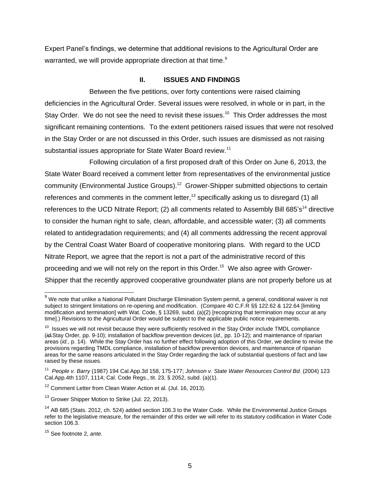Expert Panel's findings, we determine that additional revisions to the Agricultural Order are warranted, we will provide appropriate direction at that time.<sup>9</sup>

#### **II. ISSUES AND FINDINGS**

Between the five petitions, over forty contentions were raised claiming deficiencies in the Agricultural Order. Several issues were resolved, in whole or in part, in the Stay Order. We do not see the need to revisit these issues.<sup>10</sup> This Order addresses the most significant remaining contentions. To the extent petitioners raised issues that were not resolved in the Stay Order or are not discussed in this Order, such issues are dismissed as not raising substantial issues appropriate for State Water Board review.<sup>11</sup>

Following circulation of a first proposed draft of this Order on June 6, 2013, the State Water Board received a comment letter from representatives of the environmental justice community (Environmental Justice Groups).<sup>12</sup> Grower-Shipper submitted objections to certain references and comments in the comment letter,<sup>13</sup> specifically asking us to disregard (1) all references to the UCD Nitrate Report; (2) all comments related to Assembly Bill 685's<sup>14</sup> directive to consider the human right to safe, clean, affordable, and accessible water; (3) all comments related to antidegradation requirements; and (4) all comments addressing the recent approval by the Central Coast Water Board of cooperative monitoring plans. With regard to the UCD Nitrate Report, we agree that the report is not a part of the administrative record of this proceeding and we will not rely on the report in this Order.<sup>15</sup> We also agree with Grower-Shipper that the recently approved cooperative groundwater plans are not properly before us at

 $^9$  We note that unlike a National Pollutant Discharge Elimination System permit, a general, conditional waiver is not subject to stringent limitations on re-opening and modification. (Compare 40 C.F.R §§ 122.62 & 122.64 [limiting modification and termination] with Wat. Code, § 13269, subd. (a)(2) [recognizing that termination may occur at any time].) Revisions to the Agricultural Order would be subject to the applicable public notice requirements.

<sup>&</sup>lt;sup>10</sup> Issues we will not revisit because they were sufficiently resolved in the Stay Order include TMDL compliance (*id.*Stay Order*,* pp. 9-10); installation of backflow prevention devices (*id.,* pp. 10-12); and maintenance of riparian areas (*id.*, p. 14). While the Stay Order has no further effect following adoption of this Order, we decline to revise the provisions regarding TMDL compliance, installation of backflow prevention devices, and maintenance of riparian areas for the same reasons articulated in the Stay Order regarding the lack of substantial questions of fact and law raised by these issues.

<sup>11</sup> *People v. Barry* (1987) 194 Cal.App.3d 158, 175-177; *Johnson v. State Water Resources Control Bd.* (2004) 123 Cal.App.4th 1107, 1114; Cal. Code Regs., tit. 23, § 2052, subd. (a)(1).

<sup>&</sup>lt;sup>12</sup> Comment Letter from Clean Water Action et al. (Jul. 16, 2013).

<sup>&</sup>lt;sup>13</sup> Grower Shipper Motion to Strike (Jul. 22, 2013).

 $14$  AB 685 (Stats. 2012, ch. 524) added section 106.3 to the Water Code. While the Environmental Justice Groups refer to the legislative measure, for the remainder of this order we will refer to its statutory codification in Water Code section 106.3.

<sup>15</sup> See footnote 2, *ante*.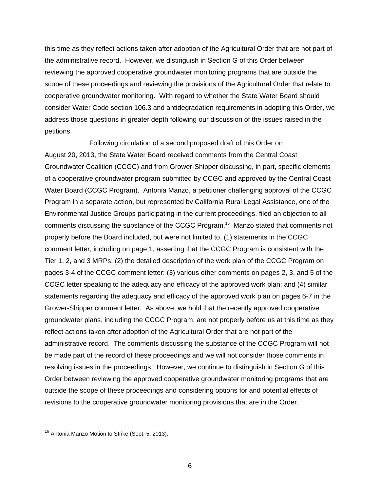this time as they reflect actions taken after adoption of the Agricultural Order that are not part of the administrative record. However, we distinguish in Section G of this Order between reviewing the approved cooperative groundwater monitoring programs that are outside the scope of these proceedings and reviewing the provisions of the Agricultural Order that relate to cooperative groundwater monitoring. With regard to whether the State Water Board should consider Water Code section 106.3 and antidegradation requirements in adopting this Order, we address those questions in greater depth following our discussion of the issues raised in the petitions.

Following circulation of a second proposed draft of this Order on August 20, 2013, the State Water Board received comments from the Central Coast Groundwater Coalition (CCGC) and from Grower-Shipper discussing, in part, specific elements of a cooperative groundwater program submitted by CCGC and approved by the Central Coast Water Board (CCGC Program). Antonia Manzo, a petitioner challenging approval of the CCGC Program in a separate action, but represented by California Rural Legal Assistance, one of the Environmental Justice Groups participating in the current proceedings, filed an objection to all comments discussing the substance of the CCGC Program. 16 Manzo stated that comments not properly before the Board included, but were not limited to, (1) statements in the CCGC comment letter, including on page 1, asserting that the CCGC Program is consistent with the Tier 1, 2, and 3 MRPs; (2) the detailed description of the work plan of the CCGC Program on pages 3-4 of the CCGC comment letter; (3) various other comments on pages 2, 3, and 5 of the CCGC letter speaking to the adequacy and efficacy of the approved work plan; and (4) similar statements regarding the adequacy and efficacy of the approved work plan on pages 6-7 in the Grower-Shipper comment letter. As above, we hold that the recently approved cooperative groundwater plans, including the CCGC Program, are not properly before us at this time as they reflect actions taken after adoption of the Agricultural Order that are not part of the administrative record. The comments discussing the substance of the CCGC Program will not be made part of the record of these proceedings and we will not consider those comments in resolving issues in the proceedings. However, we continue to distinguish in Section G of this Order between reviewing the approved cooperative groundwater monitoring programs that are outside the scope of these proceedings and considering options for and potential effects of revisions to the cooperative groundwater monitoring provisions that are in the Order.

<sup>&</sup>lt;sup>16</sup> Antonia Manzo Motion to Strike (Sept. 5, 2013).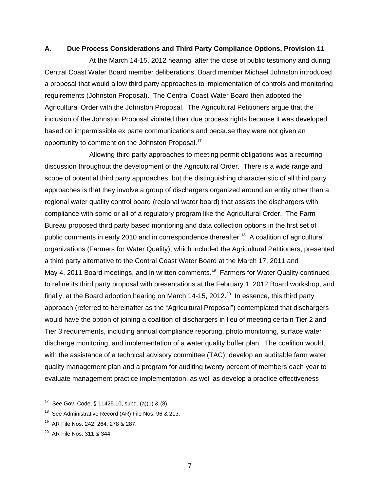#### **A. Due Process Considerations and Third Party Compliance Options, Provision 11**

At the March 14-15, 2012 hearing, after the close of public testimony and during Central Coast Water Board member deliberations, Board member Michael Johnston introduced a proposal that would allow third party approaches to implementation of controls and monitoring requirements (Johnston Proposal). The Central Coast Water Board then adopted the Agricultural Order with the Johnston Proposal. The Agricultural Petitioners argue that the inclusion of the Johnston Proposal violated their due process rights because it was developed based on impermissible ex parte communications and because they were not given an opportunity to comment on the Johnston Proposal.<sup>17</sup>

Allowing third party approaches to meeting permit obligations was a recurring discussion throughout the development of the Agricultural Order. There is a wide range and scope of potential third party approaches, but the distinguishing characteristic of all third party approaches is that they involve a group of dischargers organized around an entity other than a regional water quality control board (regional water board) that assists the dischargers with compliance with some or all of a regulatory program like the Agricultural Order. The Farm Bureau proposed third party based monitoring and data collection options in the first set of public comments in early 2010 and in correspondence thereafter.<sup>18</sup> A coalition of agricultural organizations (Farmers for Water Quality), which included the Agricultural Petitioners, presented a third party alternative to the Central Coast Water Board at the March 17, 2011 and May 4, 2011 Board meetings, and in written comments.<sup>19</sup> Farmers for Water Quality continued to refine its third party proposal with presentations at the February 1, 2012 Board workshop, and finally, at the Board adoption hearing on March 14-15, 2012.<sup>20</sup> In essence, this third party approach (referred to hereinafter as the "Agricultural Proposal") contemplated that dischargers would have the option of joining a coalition of dischargers in lieu of meeting certain Tier 2 and Tier 3 requirements, including annual compliance reporting, photo monitoring, surface water discharge monitoring, and implementation of a water quality buffer plan. The coalition would, with the assistance of a technical advisory committee (TAC), develop an auditable farm water quality management plan and a program for auditing twenty percent of members each year to evaluate management practice implementation, as well as develop a practice effectiveness

 $\overline{a}$ 

<sup>&</sup>lt;sup>17</sup> See Gov. Code, § 11425.10, subd. (a)(1) & (8).

<sup>&</sup>lt;sup>18</sup> See Administrative Record (AR) File Nos. 96 & 213.

<sup>&</sup>lt;sup>19</sup> AR File Nos. 242, 264, 278 & 287.

<sup>&</sup>lt;sup>20</sup> AR File Nos. 311 & 344.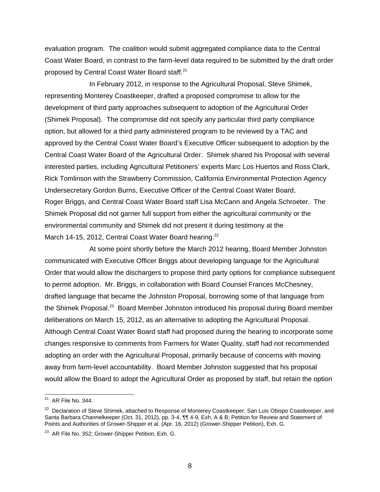evaluation program. The coalition would submit aggregated compliance data to the Central Coast Water Board, in contrast to the farm-level data required to be submitted by the draft order proposed by Central Coast Water Board staff.<sup>21</sup>

In February 2012, in response to the Agricultural Proposal, Steve Shimek, representing Monterey Coastkeeper, drafted a proposed compromise to allow for the development of third party approaches subsequent to adoption of the Agricultural Order (Shimek Proposal). The compromise did not specify any particular third party compliance option, but allowed for a third party administered program to be reviewed by a TAC and approved by the Central Coast Water Board's Executive Officer subsequent to adoption by the Central Coast Water Board of the Agricultural Order. Shimek shared his Proposal with several interested parties, including Agricultural Petitioners' experts Marc Los Huertos and Ross Clark, Rick Tomlinson with the Strawberry Commission, California Environmental Protection Agency Undersecretary Gordon Burns, Executive Officer of the Central Coast Water Board, Roger Briggs, and Central Coast Water Board staff Lisa McCann and Angela Schroeter. The Shimek Proposal did not garner full support from either the agricultural community or the environmental community and Shimek did not present it during testimony at the March 14-15, 2012, Central Coast Water Board hearing.<sup>22</sup>

At some point shortly before the March 2012 hearing, Board Member Johnston communicated with Executive Officer Briggs about developing language for the Agricultural Order that would allow the dischargers to propose third party options for compliance subsequent to permit adoption. Mr. Briggs, in collaboration with Board Counsel Frances McChesney, drafted language that became the Johnston Proposal, borrowing some of that language from the Shimek Proposal.<sup>23</sup> Board Member Johnston introduced his proposal during Board member deliberations on March 15, 2012, as an alternative to adopting the Agricultural Proposal. Although Central Coast Water Board staff had proposed during the hearing to incorporate some changes responsive to comments from Farmers for Water Quality, staff had not recommended adopting an order with the Agricultural Proposal, primarily because of concerns with moving away from farm-level accountability. Board Member Johnston suggested that his proposal would allow the Board to adopt the Agricultural Order as proposed by staff, but retain the option

<sup>&</sup>lt;sup>21</sup> AR File No. 344.

<sup>&</sup>lt;sup>22</sup> Declaration of Steve Shimek, attached to Response of Monterey Coastkeeper, San Luis Obispo Coastkeeper, and Santa Barbara Channelkeeper (Oct. 31, 2012), pp. 3-4, ¶¶ 4-9, Exh. A & B; Petition for Review and Statement of Points and Authorities of Grower-Shipper et al. (Apr. 16, 2012) (Grower-Shipper Petition), Exh. G.

<sup>&</sup>lt;sup>23</sup> AR File No. 352; Grower-Shipper Petition, Exh. G.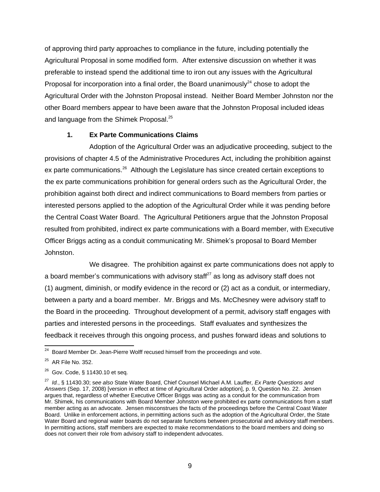of approving third party approaches to compliance in the future, including potentially the Agricultural Proposal in some modified form. After extensive discussion on whether it was preferable to instead spend the additional time to iron out any issues with the Agricultural Proposal for incorporation into a final order, the Board unanimously<sup>24</sup> chose to adopt the Agricultural Order with the Johnston Proposal instead. Neither Board Member Johnston nor the other Board members appear to have been aware that the Johnston Proposal included ideas and language from the Shimek Proposal.<sup>25</sup>

## **1. Ex Parte Communications Claims**

Adoption of the Agricultural Order was an adjudicative proceeding, subject to the provisions of chapter 4.5 of the Administrative Procedures Act, including the prohibition against ex parte communications.<sup>26</sup> Although the Legislature has since created certain exceptions to the ex parte communications prohibition for general orders such as the Agricultural Order, the prohibition against both direct and indirect communications to Board members from parties or interested persons applied to the adoption of the Agricultural Order while it was pending before the Central Coast Water Board. The Agricultural Petitioners argue that the Johnston Proposal resulted from prohibited, indirect ex parte communications with a Board member, with Executive Officer Briggs acting as a conduit communicating Mr. Shimek's proposal to Board Member Johnston.

We disagree. The prohibition against ex parte communications does not apply to a board member's communications with advisory staff $^{27}$  as long as advisory staff does not (1) augment, diminish, or modify evidence in the record or (2) act as a conduit, or intermediary, between a party and a board member. Mr. Briggs and Ms. McChesney were advisory staff to the Board in the proceeding. Throughout development of a permit, advisory staff engages with parties and interested persons in the proceedings. Staff evaluates and synthesizes the feedback it receives through this ongoing process, and pushes forward ideas and solutions to

  $24$  Board Member Dr. Jean-Pierre Wolff recused himself from the proceedings and vote.

<sup>&</sup>lt;sup>25</sup> AR File No. 352.

 $^{26}$  Gov. Code, § 11430.10 et seq.

<sup>27</sup> *Id.*, § 11430.30; s*ee also* State Water Board, Chief Counsel Michael A.M. Lauffer*, Ex Parte Questions and Answers* (Sep. 17, 2008) [version in effect at time of Agricultural Order adoption], p. 9, Question No. 22. Jensen argues that, regardless of whether Executive Officer Briggs was acting as a conduit for the communication from Mr. Shimek, his communications with Board Member Johnston were prohibited ex parte communications from a staff member acting as an advocate. Jensen misconstrues the facts of the proceedings before the Central Coast Water Board. Unlike in enforcement actions, in permitting actions such as the adoption of the Agricultural Order, the State Water Board and regional water boards do not separate functions between prosecutorial and advisory staff members. In permitting actions, staff members are expected to make recommendations to the board members and doing so does not convert their role from advisory staff to independent advocates.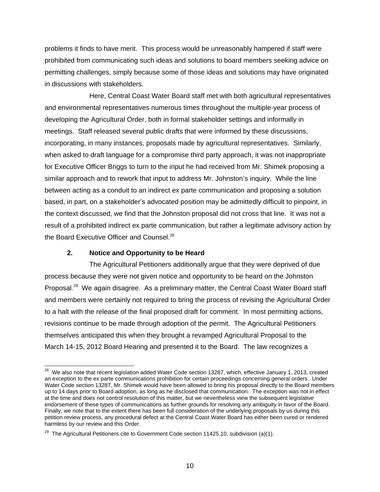problems it finds to have merit. This process would be unreasonably hampered if staff were prohibited from communicating such ideas and solutions to board members seeking advice on permitting challenges, simply because some of those ideas and solutions may have originated in discussions with stakeholders.

Here, Central Coast Water Board staff met with both agricultural representatives and environmental representatives numerous times throughout the multiple-year process of developing the Agricultural Order, both in formal stakeholder settings and informally in meetings. Staff released several public drafts that were informed by these discussions, incorporating, in many instances, proposals made by agricultural representatives. Similarly, when asked to draft language for a compromise third party approach, it was not inappropriate for Executive Officer Briggs to turn to the input he had received from Mr. Shimek proposing a similar approach and to rework that input to address Mr. Johnston's inquiry. While the line between acting as a conduit to an indirect ex parte communication and proposing a solution based, in part, on a stakeholder's advocated position may be admittedly difficult to pinpoint, in the context discussed, we find that the Johnston proposal did not cross that line. It was not a result of a prohibited indirect ex parte communication, but rather a legitimate advisory action by the Board Executive Officer and Counsel.<sup>28</sup>

## **2. Notice and Opportunity to be Heard**

The Agricultural Petitioners additionally argue that they were deprived of due process because they were not given notice and opportunity to be heard on the Johnston Proposal.<sup>29</sup> We again disagree. As a preliminary matter, the Central Coast Water Board staff and members were certainly not required to bring the process of revising the Agricultural Order to a halt with the release of the final proposed draft for comment. In most permitting actions, revisions continue to be made through adoption of the permit. The Agricultural Petitioners themselves anticipated this when they brought a revamped Agricultural Proposal to the March 14-15, 2012 Board Hearing and presented it to the Board. The law recognizes a

  $^{28}$  We also note that recent legislation added Water Code section 13287, which, effective January 1, 2013, created an exception to the ex parte communications prohibition for certain proceedings concerning general orders. Under Water Code section 13287, Mr. Shimek would have been allowed to bring his proposal directly to the Board members up to 14 days prior to Board adoption, as long as he disclosed that communication. The exception was not in effect at the time and does not control resolution of this matter, but we nevertheless view the subsequent legislative endorsement of these types of communications as further grounds for resolving any ambiguity in favor of the Board. Finally, we note that to the extent there has been full consideration of the underlying proposals by us during this petition review process, any procedural defect at the Central Coast Water Board has either been cured or rendered harmless by our review and this Order.

<sup>&</sup>lt;sup>29</sup> The Agricultural Petitioners cite to Government Code section 11425.10, subdivision (a)(1).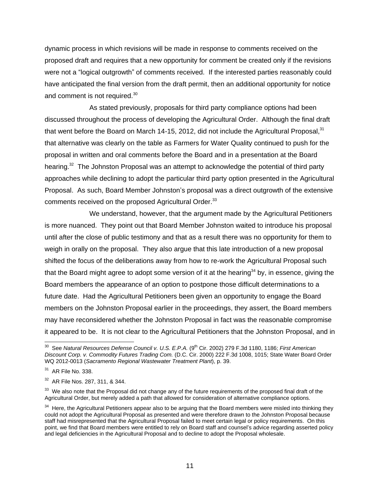dynamic process in which revisions will be made in response to comments received on the proposed draft and requires that a new opportunity for comment be created only if the revisions were not a "logical outgrowth" of comments received. If the interested parties reasonably could have anticipated the final version from the draft permit, then an additional opportunity for notice and comment is not required.<sup>30</sup>

As stated previously, proposals for third party compliance options had been discussed throughout the process of developing the Agricultural Order. Although the final draft that went before the Board on March 14-15, 2012, did not include the Agricultural Proposal. $31$ that alternative was clearly on the table as Farmers for Water Quality continued to push for the proposal in written and oral comments before the Board and in a presentation at the Board hearing.<sup>32</sup> The Johnston Proposal was an attempt to acknowledge the potential of third party approaches while declining to adopt the particular third party option presented in the Agricultural Proposal. As such, Board Member Johnston's proposal was a direct outgrowth of the extensive comments received on the proposed Agricultural Order.<sup>33</sup>

We understand, however, that the argument made by the Agricultural Petitioners is more nuanced. They point out that Board Member Johnston waited to introduce his proposal until after the close of public testimony and that as a result there was no opportunity for them to weigh in orally on the proposal. They also argue that this late introduction of a new proposal shifted the focus of the deliberations away from how to re-work the Agricultural Proposal such that the Board might agree to adopt some version of it at the hearing<sup>34</sup> by, in essence, giving the Board members the appearance of an option to postpone those difficult determinations to a future date. Had the Agricultural Petitioners been given an opportunity to engage the Board members on the Johnston Proposal earlier in the proceedings, they assert, the Board members may have reconsidered whether the Johnston Proposal in fact was the reasonable compromise it appeared to be. It is not clear to the Agricultural Petitioners that the Johnston Proposal, and in

 30 See *Natural Resources Defense Council v. U.S. E.P.A.* (9th Cir. 2002) 279 F.3d 1180, 1186; *First American Discount Corp. v. Commodity Futures Trading Com.* (D.C. Cir. 2000) 222 F.3d 1008, 1015; State Water Board Order WQ 2012-0013 (*Sacramento Regional Wastewater Treatment Plant*), p. 39.

<sup>31</sup> AR File No. 338.

<sup>&</sup>lt;sup>32</sup> AR File Nos. 287, 311, & 344.

 $33$  We also note that the Proposal did not change any of the future requirements of the proposed final draft of the Agricultural Order, but merely added a path that allowed for consideration of alternative compliance options.

 $34$  Here, the Agricultural Petitioners appear also to be arguing that the Board members were misled into thinking they could not adopt the Agricultural Proposal as presented and were therefore drawn to the Johnston Proposal because staff had misrepresented that the Agricultural Proposal failed to meet certain legal or policy requirements. On this point, we find that Board members were entitled to rely on Board staff and counsel's advice regarding asserted policy and legal deficiencies in the Agricultural Proposal and to decline to adopt the Proposal wholesale.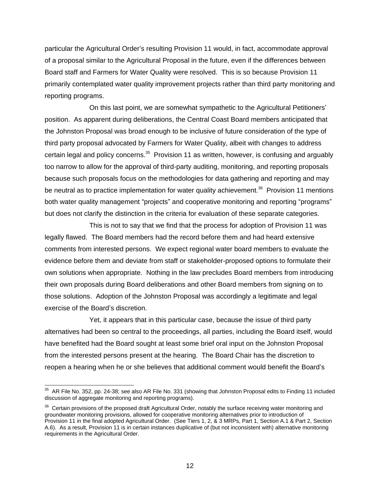particular the Agricultural Order's resulting Provision 11 would, in fact, accommodate approval of a proposal similar to the Agricultural Proposal in the future, even if the differences between Board staff and Farmers for Water Quality were resolved. This is so because Provision 11 primarily contemplated water quality improvement projects rather than third party monitoring and reporting programs.

On this last point, we are somewhat sympathetic to the Agricultural Petitioners' position. As apparent during deliberations, the Central Coast Board members anticipated that the Johnston Proposal was broad enough to be inclusive of future consideration of the type of third party proposal advocated by Farmers for Water Quality, albeit with changes to address certain legal and policy concerns.<sup>35</sup> Provision 11 as written, however, is confusing and arguably too narrow to allow for the approval of third-party auditing, monitoring, and reporting proposals because such proposals focus on the methodologies for data gathering and reporting and may be neutral as to practice implementation for water quality achievement.<sup>36</sup> Provision 11 mentions both water quality management "projects" and cooperative monitoring and reporting "programs" but does not clarify the distinction in the criteria for evaluation of these separate categories.

This is not to say that we find that the process for adoption of Provision 11 was legally flawed. The Board members had the record before them and had heard extensive comments from interested persons. We expect regional water board members to evaluate the evidence before them and deviate from staff or stakeholder-proposed options to formulate their own solutions when appropriate. Nothing in the law precludes Board members from introducing their own proposals during Board deliberations and other Board members from signing on to those solutions. Adoption of the Johnston Proposal was accordingly a legitimate and legal exercise of the Board's discretion.

Yet, it appears that in this particular case, because the issue of third party alternatives had been so central to the proceedings, all parties, including the Board itself, would have benefited had the Board sought at least some brief oral input on the Johnston Proposal from the interested persons present at the hearing. The Board Chair has the discretion to reopen a hearing when he or she believes that additional comment would benefit the Board's

 35 AR File No. 352, pp. 24-38; see also AR File No. 331 (showing that Johnston Proposal edits to Finding 11 included discussion of aggregate monitoring and reporting programs).

<sup>&</sup>lt;sup>36</sup> Certain provisions of the proposed draft Agricultural Order, notably the surface receiving water monitoring and groundwater monitoring provisions, allowed for cooperative monitoring alternatives prior to introduction of Provision 11 in the final adopted Agricultural Order. (See Tiers 1, 2, & 3 MRPs, Part 1, Section A.1 & Part 2, Section A.6). As a result, Provision 11 is in certain instances duplicative of (but not inconsistent with) alternative monitoring requirements in the Agricultural Order.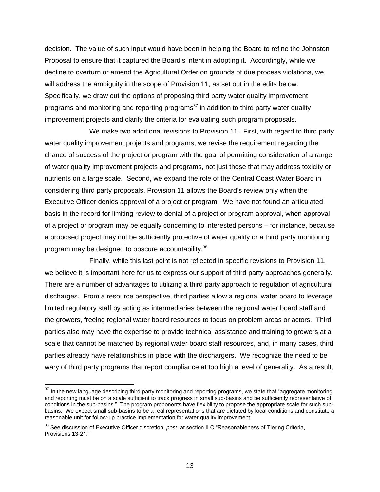decision. The value of such input would have been in helping the Board to refine the Johnston Proposal to ensure that it captured the Board's intent in adopting it. Accordingly, while we decline to overturn or amend the Agricultural Order on grounds of due process violations, we will address the ambiguity in the scope of Provision 11, as set out in the edits below. Specifically, we draw out the options of proposing third party water quality improvement programs and monitoring and reporting programs<sup>37</sup> in addition to third party water quality improvement projects and clarify the criteria for evaluating such program proposals.

We make two additional revisions to Provision 11. First, with regard to third party water quality improvement projects and programs, we revise the requirement regarding the chance of success of the project or program with the goal of permitting consideration of a range of water quality improvement projects and programs, not just those that may address toxicity or nutrients on a large scale. Second, we expand the role of the Central Coast Water Board in considering third party proposals. Provision 11 allows the Board's review only when the Executive Officer denies approval of a project or program. We have not found an articulated basis in the record for limiting review to denial of a project or program approval, when approval of a project or program may be equally concerning to interested persons – for instance, because a proposed project may not be sufficiently protective of water quality or a third party monitoring program may be designed to obscure accountability.<sup>38</sup>

Finally, while this last point is not reflected in specific revisions to Provision 11, we believe it is important here for us to express our support of third party approaches generally. There are a number of advantages to utilizing a third party approach to regulation of agricultural discharges. From a resource perspective, third parties allow a regional water board to leverage limited regulatory staff by acting as intermediaries between the regional water board staff and the growers, freeing regional water board resources to focus on problem areas or actors. Third parties also may have the expertise to provide technical assistance and training to growers at a scale that cannot be matched by regional water board staff resources, and, in many cases, third parties already have relationships in place with the dischargers. We recognize the need to be wary of third party programs that report compliance at too high a level of generality. As a result,

 $\overline{a}$ 

 $37$  In the new language describing third party monitoring and reporting programs, we state that "aggregate monitoring and reporting must be on a scale sufficient to track progress in small sub-basins and be sufficiently representative of conditions in the sub-basins." The program proponents have flexibility to propose the appropriate scale for such subbasins. We expect small sub-basins to be a real representations that are dictated by local conditions and constitute a reasonable unit for follow-up practice implementation for water quality improvement.

<sup>38</sup> See discussion of Executive Officer discretion, *post*, at section II.C "Reasonableness of Tiering Criteria, Provisions 13-21."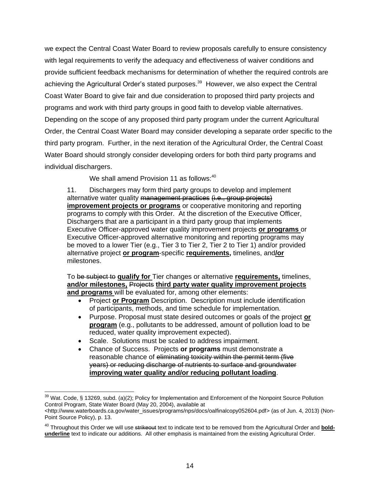we expect the Central Coast Water Board to review proposals carefully to ensure consistency with legal requirements to verify the adequacy and effectiveness of waiver conditions and provide sufficient feedback mechanisms for determination of whether the required controls are achieving the Agricultural Order's stated purposes.<sup>39</sup> However, we also expect the Central Coast Water Board to give fair and due consideration to proposed third party projects and programs and work with third party groups in good faith to develop viable alternatives. Depending on the scope of any proposed third party program under the current Agricultural Order, the Central Coast Water Board may consider developing a separate order specific to the third party program. Further, in the next iteration of the Agricultural Order, the Central Coast Water Board should strongly consider developing orders for both third party programs and individual dischargers.

We shall amend Provision 11 as follows:<sup>40</sup>

11. Dischargers may form third party groups to develop and implement alternative water quality management practices (i.e., group projects) **improvement projects or programs** or cooperative monitoring and reporting programs to comply with this Order. At the discretion of the Executive Officer, Dischargers that are a participant in a third party group that implements Executive Officer-approved water quality improvement projects **or programs** or Executive Officer-approved alternative monitoring and reporting programs may be moved to a lower Tier (e.g., Tier 3 to Tier 2, Tier 2 to Tier 1) and/or provided alternative project **or program**-specific **requirements,** timelines, and**/or** milestones.

To be subject to **qualify for** Tier changes or alternative **requirements,** timelines, **and/or milestones,** Projects **third party water quality improvement projects and programs** will be evaluated for, among other elements:

- Project **or Program** Description. Description must include identification of participants, methods, and time schedule for implementation.
- Purpose. Proposal must state desired outcomes or goals of the project **or program** (e.g., pollutants to be addressed, amount of pollution load to be reduced, water quality improvement expected).
- Scale. Solutions must be scaled to address impairment.
- Chance of Success. Projects **or programs** must demonstrate a reasonable chance of eliminating toxicity within the permit term (five years) or reducing discharge of nutrients to surface and groundwater **improving water quality and/or reducing pollutant loading**.

 <sup>39</sup> Wat. Code, § 13269, subd. (a)(2); Policy for Implementation and Enforcement of the Nonpoint Source Pollution Control Program, State Water Board (May 20, 2004), available at

[<sup>&</sup>lt;http://www.waterboards.ca.gov/water\\_issues/programs/nps/docs/oalfinalcopy052604.pdf>](http://www.waterboards.ca.gov/water_issues/programs/nps/docs/oalfinalcopy052604.pdf) (as of Jun. 4, 2013) (Non-Point Source Policy), p. 13.

<sup>&</sup>lt;sup>40</sup> Throughout this Order we will use strikeout text to indicate text to be removed from the Agricultural Order and **boldunderline** text to indicate our additions. All other emphasis is maintained from the existing Agricultural Order.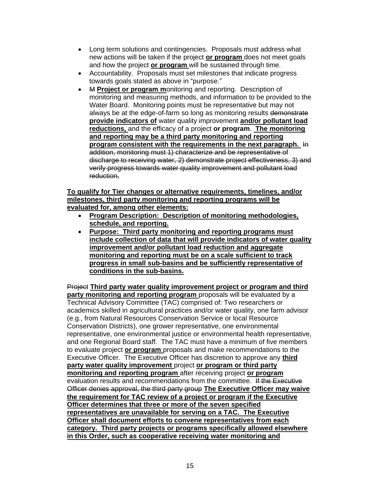- Long term solutions and contingencies. Proposals must address what new actions will be taken if the project **or program** does not meet goals and how the project **or program** will be sustained through time.
- Accountability. Proposals must set milestones that indicate progress towards goals stated as above in "purpose."
- M **Project or program m**onitoring and reporting. Description of monitoring and measuring methods, and information to be provided to the Water Board. Monitoring points must be representative but may not always be at the edge-of-farm so long as monitoring results demonstrate **provide indicators of** water quality improvement **and/or pollutant load reductions,** and the efficacy of a project **or program**. **The monitoring and reporting may be a third party monitoring and reporting program consistent with the requirements in the next paragraph.** In addition, monitoring must 1) characterize and be representative of discharge to receiving water, 2) demonstrate project effectiveness, 3) and verify progress towards water quality improvement and pollutant load reduction,

## **To qualify for Tier changes or alternative requirements, timelines, and/or milestones, third party monitoring and reporting programs will be evaluated for, among other elements:**

- **Program Description: Description of monitoring methodologies, schedule, and reporting.**
- **Purpose: Third party monitoring and reporting programs must include collection of data that will provide indicators of water quality improvement and/or pollutant load reduction and aggregate monitoring and reporting must be on a scale sufficient to track progress in small sub-basins and be sufficiently representative of conditions in the sub-basins.**

Project **Third party water quality improvement project or program and third party monitoring and reporting program** proposals will be evaluated by a Technical Advisory Committee (TAC) comprised of: Two researchers or academics skilled in agricultural practices and/or water quality, one farm advisor (e.g., from Natural Resources Conservation Service or local Resource Conservation Districts), one grower representative, one environmental representative, one environmental justice or environmental health representative, and one Regional Board staff. The TAC must have a minimum of five members to evaluate project **or program** proposals and make recommendations to the Executive Officer. The Executive Officer has discretion to approve any **third party water quality improvement** project **or program or third party monitoring and reporting program** after receiving project **or program**  evaluation results and recommendations from the committee. If the Executive Officer denies approval, the third party group **The Executive Officer may waive the requirement for TAC review of a project or program if the Executive Officer determines that three or more of the seven specified representatives are unavailable for serving on a TAC. The Executive Officer shall document efforts to convene representatives from each category. Third party projects or programs specifically allowed elsewhere in this Order, such as cooperative receiving water monitoring and**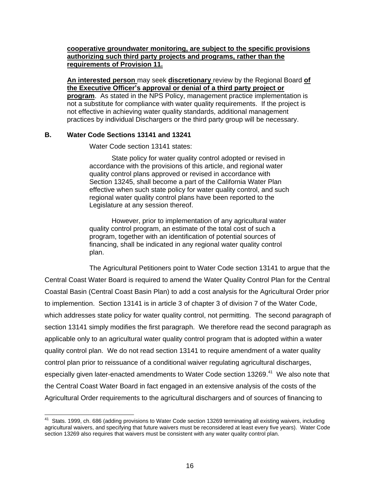#### **cooperative groundwater monitoring, are subject to the specific provisions authorizing such third party projects and programs, rather than the requirements of Provision 11.**

**An interested person** may seek **discretionary** review by the Regional Board **of the Executive Officer's approval or denial of a third party project or program.** As stated in the NPS Policy, management practice implementation is not a substitute for compliance with water quality requirements. If the project is not effective in achieving water quality standards, additional management practices by individual Dischargers or the third party group will be necessary.

### **B. Water Code Sections 13141 and 13241**

Water Code section 13141 states:

State policy for water quality control adopted or revised in accordance with the provisions of this article, and regional water quality control plans approved or revised in accordance with Section 13245, shall become a part of the California Water Plan effective when such state policy for water quality control, and such regional water quality control plans have been reported to the Legislature at any session thereof.

However, prior to implementation of any agricultural water quality control program, an estimate of the total cost of such a program, together with an identification of potential sources of financing, shall be indicated in any regional water quality control plan.

The Agricultural Petitioners point to Water Code section 13141 to argue that the Central Coast Water Board is required to amend the Water Quality Control Plan for the Central Coastal Basin (Central Coast Basin Plan) to add a cost analysis for the Agricultural Order prior to implemention. Section 13141 is in article 3 of chapter 3 of division 7 of the Water Code, which addresses state policy for water quality control, not permitting. The second paragraph of section 13141 simply modifies the first paragraph. We therefore read the second paragraph as applicable only to an agricultural water quality control program that is adopted within a water quality control plan. We do not read section 13141 to require amendment of a water quality control plan prior to reissuance of a conditional waiver regulating agricultural discharges, especially given later-enacted amendments to Water Code section 13269.<sup>41</sup> We also note that the Central Coast Water Board in fact engaged in an extensive analysis of the costs of the Agricultural Order requirements to the agricultural dischargers and of sources of financing to

 41 Stats. 1999, ch. 686 (adding provisions to Water Code section 13269 terminating all existing waivers, including agricultural waivers, and specifying that future waivers must be reconsidered at least every five years). Water Code section 13269 also requires that waivers must be consistent with any water quality control plan.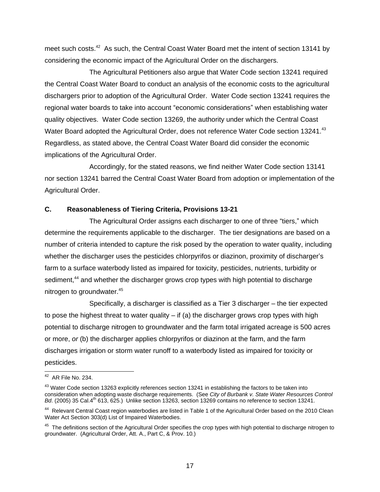meet such costs.<sup>42</sup> As such, the Central Coast Water Board met the intent of section 13141 by considering the economic impact of the Agricultural Order on the dischargers.

The Agricultural Petitioners also argue that Water Code section 13241 required the Central Coast Water Board to conduct an analysis of the economic costs to the agricultural dischargers prior to adoption of the Agricultural Order. Water Code section 13241 requires the regional water boards to take into account "economic considerations" when establishing water quality objectives. Water Code section 13269, the authority under which the Central Coast Water Board adopted the Agricultural Order, does not reference Water Code section 13241. $43$ Regardless, as stated above, the Central Coast Water Board did consider the economic implications of the Agricultural Order.

Accordingly, for the stated reasons, we find neither Water Code section 13141 nor section 13241 barred the Central Coast Water Board from adoption or implementation of the Agricultural Order.

## **C. Reasonableness of Tiering Criteria, Provisions 13-21**

The Agricultural Order assigns each discharger to one of three "tiers," which determine the requirements applicable to the discharger. The tier designations are based on a number of criteria intended to capture the risk posed by the operation to water quality, including whether the discharger uses the pesticides chlorpyrifos or diazinon, proximity of discharger's farm to a surface waterbody listed as impaired for toxicity, pesticides, nutrients, turbidity or sediment,<sup>44</sup> and whether the discharger grows crop types with high potential to discharge nitrogen to groundwater.<sup>45</sup>

Specifically, a discharger is classified as a Tier 3 discharger – the tier expected to pose the highest threat to water quality  $-$  if (a) the discharger grows crop types with high potential to discharge nitrogen to groundwater and the farm total irrigated acreage is 500 acres or more, *or* (b) the discharger applies chlorpyrifos or diazinon at the farm, and the farm discharges irrigation or storm water runoff to a waterbody listed as impaired for toxicity or pesticides.

 42 AR File No. 234.

<sup>&</sup>lt;sup>43</sup> Water Code section 13263 explicitly references section 13241 in establishing the factors to be taken into consideration when adopting waste discharge requirements. (See *City of Burbank v. State Water Resources Control Bd.* (2005) 35 Cal.4<sup>th</sup> 613, 625.) Unlike section 13263, section 13269 contains no reference to section 13241.

<sup>&</sup>lt;sup>44</sup> Relevant Central Coast region waterbodies are listed in Table 1 of the Agricultural Order based on the 2010 Clean Water Act Section 303(d) List of Impaired Waterbodies.

<sup>&</sup>lt;sup>45</sup> The definitions section of the Agricultural Order specifies the crop types with high potential to discharge nitrogen to groundwater. (Agricultural Order, Att. A., Part C, & Prov. 10.)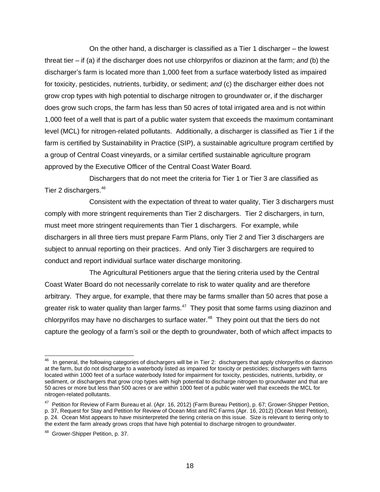On the other hand, a discharger is classified as a Tier 1 discharger – the lowest threat tier – if (a) if the discharger does not use chlorpyrifos or diazinon at the farm; *and* (b) the discharger's farm is located more than 1,000 feet from a surface waterbody listed as impaired for toxicity, pesticides, nutrients, turbidity, or sediment; *and* (c) the discharger either does not grow crop types with high potential to discharge nitrogen to groundwater or, if the discharger does grow such crops, the farm has less than 50 acres of total irrigated area and is not within 1,000 feet of a well that is part of a public water system that exceeds the maximum contaminant level (MCL) for nitrogen-related pollutants. Additionally, a discharger is classified as Tier 1 if the farm is certified by Sustainability in Practice (SIP), a sustainable agriculture program certified by a group of Central Coast vineyards, or a similar certified sustainable agriculture program approved by the Executive Officer of the Central Coast Water Board.

Dischargers that do not meet the criteria for Tier 1 or Tier 3 are classified as Tier 2 dischargers.<sup>46</sup>

Consistent with the expectation of threat to water quality, Tier 3 dischargers must comply with more stringent requirements than Tier 2 dischargers. Tier 2 dischargers, in turn, must meet more stringent requirements than Tier 1 dischargers. For example, while dischargers in all three tiers must prepare Farm Plans, only Tier 2 and Tier 3 dischargers are subject to annual reporting on their practices. And only Tier 3 dischargers are required to conduct and report individual surface water discharge monitoring.

The Agricultural Petitioners argue that the tiering criteria used by the Central Coast Water Board do not necessarily correlate to risk to water quality and are therefore arbitrary. They argue, for example, that there may be farms smaller than 50 acres that pose a greater risk to water quality than larger farms.<sup>47</sup> They posit that some farms using diazinon and chlorpyrifos may have no discharges to surface water. $48$  They point out that the tiers do not capture the geology of a farm's soil or the depth to groundwater, both of which affect impacts to

 46 In general, the following categories of dischargers will be in Tier 2: dischargers that apply chlorpyrifos or diazinon at the farm, but do not discharge to a waterbody listed as impaired for toxicity or pesticides; dischargers with farms located within 1000 feet of a surface waterbody listed for impairment for toxicity, pesticides, nutrients, turbidity, or sediment, or dischargers that grow crop types with high potential to discharge nitrogen to groundwater and that are 50 acres or more but less than 500 acres or are within 1000 feet of a public water well that exceeds the MCL for nitrogen-related pollutants.

<sup>&</sup>lt;sup>47</sup> Petition for Review of Farm Bureau et al. (Apr. 16, 2012) (Farm Bureau Petition), p. 67; Grower-Shipper Petition, p. 37, Request for Stay and Petition for Review of Ocean Mist and RC Farms (Apr. 16, 2012) (Ocean Mist Petition), p. 24. Ocean Mist appears to have misinterpreted the tiering criteria on this issue. Size is relevant to tiering only to the extent the farm already grows crops that have high potential to discharge nitrogen to groundwater.

<sup>&</sup>lt;sup>48</sup> Grower-Shipper Petition, p. 37.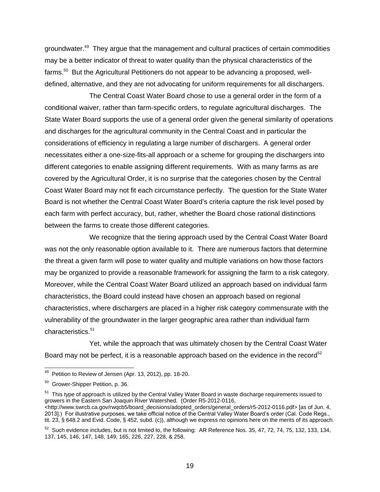groundwater.<sup>49</sup> They argue that the management and cultural practices of certain commodities may be a better indicator of threat to water quality than the physical characteristics of the farms.<sup>50</sup> But the Agricultural Petitioners do not appear to be advancing a proposed, welldefined, alternative, and they are not advocating for uniform requirements for all dischargers.

The Central Coast Water Board chose to use a general order in the form of a conditional waiver, rather than farm-specific orders, to regulate agricultural discharges. The State Water Board supports the use of a general order given the general similarity of operations and discharges for the agricultural community in the Central Coast and in particular the considerations of efficiency in regulating a large number of dischargers. A general order necessitates either a one-size-fits-all approach or a scheme for grouping the dischargers into different categories to enable assigning different requirements. With as many farms as are covered by the Agricultural Order, it is no surprise that the categories chosen by the Central Coast Water Board may not fit each circumstance perfectly. The question for the State Water Board is not whether the Central Coast Water Board's criteria capture the risk level posed by each farm with perfect accuracy, but, rather, whether the Board chose rational distinctions between the farms to create those different categories.

We recognize that the tiering approach used by the Central Coast Water Board was not the only reasonable option available to it. There are numerous factors that determine the threat a given farm will pose to water quality and multiple variations on how those factors may be organized to provide a reasonable framework for assigning the farm to a risk category. Moreover, while the Central Coast Water Board utilized an approach based on individual farm characteristics, the Board could instead have chosen an approach based on regional characteristics, where dischargers are placed in a higher risk category commensurate with the vulnerability of the groundwater in the larger geographic area rather than individual farm characteristics.<sup>51</sup>

Yet, while the approach that was ultimately chosen by the Central Coast Water Board may not be perfect, it is a reasonable approach based on the evidence in the record<sup>52</sup>

<sup>51</sup> This type of approach is utilized by the Central Valley Water Board in waste discharge requirements issued to growers in the Eastern San Joaquin River Watershed. (Order R5-2012-0116, <http://www.swrcb.ca.gov/rwqcb5/board\_decisions/adopted\_orders/general\_orders/r5-2012-0116.pdf> [as of Jun. 4, 2013].) For illustrative purposes, we take official notice of the Central Valley Water Board's order (Cal. Code Regs., tit. 23, § 648.2 and Evid. Code, § 452, subd. (c)), although we express no opinions here on the merits of its approach.

 49 Petition to Review of Jensen (Apr. 13, 2012), pp. 18-20.

<sup>&</sup>lt;sup>50</sup> Grower-Shipper Petition, p. 36.

 $52$  Such evidence includes, but is not limited to, the following: AR Reference Nos. 35, 47, 72, 74, 75, 132, 133, 134, 137, 145, 146, 147, 148, 149, 165, 226, 227, 228, & 258.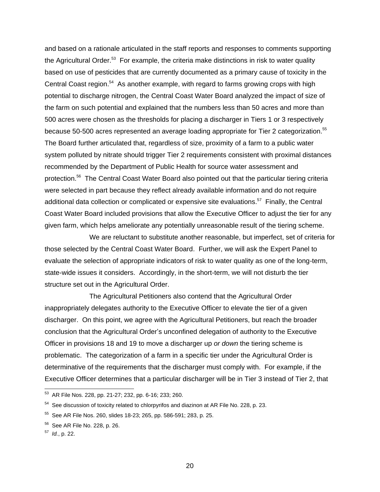and based on a rationale articulated in the staff reports and responses to comments supporting the Agricultural Order.<sup>53</sup> For example, the criteria make distinctions in risk to water quality based on use of pesticides that are currently documented as a primary cause of toxicity in the Central Coast region.<sup>54</sup> As another example, with regard to farms growing crops with high potential to discharge nitrogen, the Central Coast Water Board analyzed the impact of size of the farm on such potential and explained that the numbers less than 50 acres and more than 500 acres were chosen as the thresholds for placing a discharger in Tiers 1 or 3 respectively because 50-500 acres represented an average loading appropriate for Tier 2 categorization.<sup>55</sup> The Board further articulated that, regardless of size, proximity of a farm to a public water system polluted by nitrate should trigger Tier 2 requirements consistent with proximal distances recommended by the Department of Public Health for source water assessment and protection.<sup>56</sup> The Central Coast Water Board also pointed out that the particular tiering criteria were selected in part because they reflect already available information and do not require additional data collection or complicated or expensive site evaluations.<sup>57</sup> Finally, the Central Coast Water Board included provisions that allow the Executive Officer to adjust the tier for any given farm, which helps ameliorate any potentially unreasonable result of the tiering scheme.

We are reluctant to substitute another reasonable, but imperfect, set of criteria for those selected by the Central Coast Water Board. Further, we will ask the Expert Panel to evaluate the selection of appropriate indicators of risk to water quality as one of the long-term, state-wide issues it considers. Accordingly, in the short-term, we will not disturb the tier structure set out in the Agricultural Order.

The Agricultural Petitioners also contend that the Agricultural Order inappropriately delegates authority to the Executive Officer to elevate the tier of a given discharger. On this point, we agree with the Agricultural Petitioners, but reach the broader conclusion that the Agricultural Order's unconfined delegation of authority to the Executive Officer in provisions 18 and 19 to move a discharger up *or down* the tiering scheme is problematic. The categorization of a farm in a specific tier under the Agricultural Order is determinative of the requirements that the discharger must comply with. For example, if the Executive Officer determines that a particular discharger will be in Tier 3 instead of Tier 2, that

<sup>&</sup>lt;sup>53</sup> AR File Nos. 228, pp. 21-27; 232, pp. 6-16; 233; 260.

 $54$  See discussion of toxicity related to chlorpyrifos and diazinon at AR File No. 228, p. 23.

<sup>55</sup> See AR File Nos. 260, slides 18-23; 265, pp. 586-591; 283, p. 25.

<sup>&</sup>lt;sup>56</sup> See AR File No. 228, p. 26.

<sup>57</sup> *Id.*, p. 22.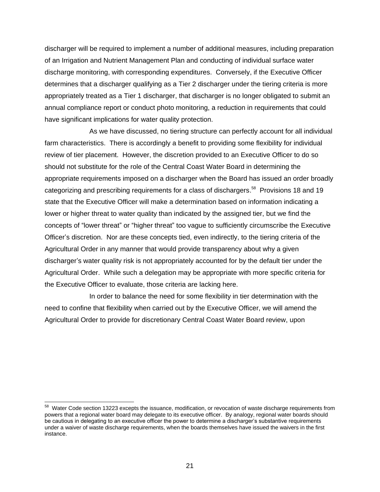discharger will be required to implement a number of additional measures, including preparation of an Irrigation and Nutrient Management Plan and conducting of individual surface water discharge monitoring, with corresponding expenditures. Conversely, if the Executive Officer determines that a discharger qualifying as a Tier 2 discharger under the tiering criteria is more appropriately treated as a Tier 1 discharger, that discharger is no longer obligated to submit an annual compliance report or conduct photo monitoring, a reduction in requirements that could have significant implications for water quality protection.

As we have discussed, no tiering structure can perfectly account for all individual farm characteristics. There is accordingly a benefit to providing some flexibility for individual review of tier placement. However, the discretion provided to an Executive Officer to do so should not substitute for the role of the Central Coast Water Board in determining the appropriate requirements imposed on a discharger when the Board has issued an order broadly categorizing and prescribing requirements for a class of dischargers.<sup>58</sup> Provisions 18 and 19 state that the Executive Officer will make a determination based on information indicating a lower or higher threat to water quality than indicated by the assigned tier, but we find the concepts of "lower threat" or "higher threat" too vague to sufficiently circumscribe the Executive Officer's discretion. Nor are these concepts tied, even indirectly, to the tiering criteria of the Agricultural Order in any manner that would provide transparency about why a given discharger's water quality risk is not appropriately accounted for by the default tier under the Agricultural Order. While such a delegation may be appropriate with more specific criteria for the Executive Officer to evaluate, those criteria are lacking here.

In order to balance the need for some flexibility in tier determination with the need to confine that flexibility when carried out by the Executive Officer, we will amend the Agricultural Order to provide for discretionary Central Coast Water Board review, upon

 58 Water Code section 13223 excepts the issuance, modification, or revocation of waste discharge requirements from powers that a regional water board may delegate to its executive officer. By analogy, regional water boards should be cautious in delegating to an executive officer the power to determine a discharger's substantive requirements under a waiver of waste discharge requirements, when the boards themselves have issued the waivers in the first instance.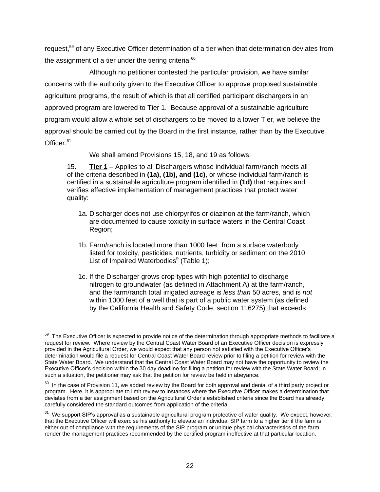request,<sup>59</sup> of any Executive Officer determination of a tier when that determination deviates from the assignment of a tier under the tiering criteria. $60$ 

Although no petitioner contested the particular provision, we have similar concerns with the authority given to the Executive Officer to approve proposed sustainable agriculture programs, the result of which is that all certified participant dischargers in an approved program are lowered to Tier 1. Because approval of a sustainable agriculture program would allow a whole set of dischargers to be moved to a lower Tier, we believe the approval should be carried out by the Board in the first instance, rather than by the Executive Officer.<sup>61</sup>

We shall amend Provisions 15, 18, and 19 as follows:

15. **Tier 1** – Applies to all Dischargers whose individual farm/ranch meets all of the criteria described in **(1a), (1b), and (1c)**, or whose individual farm/ranch is certified in a sustainable agriculture program identified in **(1d)** that requires and verifies effective implementation of management practices that protect water quality:

- 1a. Discharger does not use chlorpyrifos or diazinon at the farm/ranch, which are documented to cause toxicity in surface waters in the Central Coast Region;
- 1b. Farm/ranch is located more than 1000 feet from a surface waterbody listed for toxicity, pesticides, nutrients, turbidity or sediment on the 2010 List of Impaired Waterbodies<sup>9</sup> (Table 1);
- 1c. If the Discharger grows crop types with high potential to discharge nitrogen to groundwater (as defined in Attachment A) at the farm/ranch, and the farm/ranch total irrigated acreage is *less than* 50 acres, and is *not*  within 1000 feet of a well that is part of a public water system (as defined by the California Health and Safety Code, section 116275) that exceeds

<sup>————————————————————&</sup>lt;br><sup>59</sup> The Executive Officer is expected to provide notice of the determination through appropriate methods to facilitate a request for review. Where review by the Central Coast Water Board of an Executive Officer decision is expressly provided in the Agricultural Order, we would expect that any person not satisfied with the Executive Officer's determination would file a request for Central Coast Water Board review prior to filing a petition for review with the State Water Board. We understand that the Central Coast Water Board may not have the opportunity to review the Executive Officer's decision within the 30 day deadline for filing a petition for review with the State Water Board; in such a situation, the petitioner may ask that the petition for review be held in abeyance.

 $^{60}$  In the case of Provision 11, we added review by the Board for both approval and denial of a third party project or program. Here, it is appropriate to limit review to instances where the Executive Officer makes a determination that deviates from a tier assignment based on the Agricultural Order's established criteria since the Board has already carefully considered the standard outcomes from application of the criteria.

<sup>&</sup>lt;sup>61</sup> We support SIP's approval as a sustainable agricultural program protective of water quality. We expect, however, that the Executive Officer will exercise his authority to elevate an individual SIP farm to a higher tier if the farm is either out of compliance with the requirements of the SIP program or unique physical characteristics of the farm render the management practices recommended by the certified program ineffective at that particular location.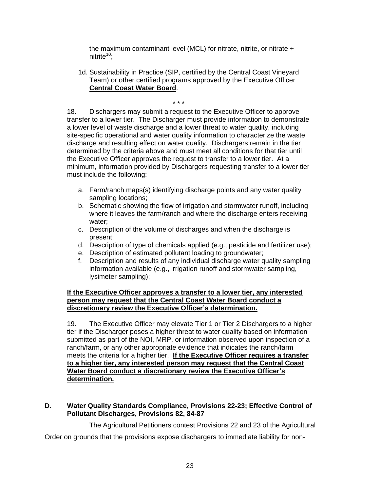the maximum contaminant level (MCL) for nitrate, nitrite, or nitrate + nitrite<sup>10</sup>;

1d. Sustainability in Practice (SIP, certified by the Central Coast Vineyard Team) or other certified programs approved by the Executive Officer **Central Coast Water Board**.

\* \* \* 18. Dischargers may submit a request to the Executive Officer to approve transfer to a lower tier. The Discharger must provide information to demonstrate a lower level of waste discharge and a lower threat to water quality, including site-specific operational and water quality information to characterize the waste discharge and resulting effect on water quality. Dischargers remain in the tier determined by the criteria above and must meet all conditions for that tier until the Executive Officer approves the request to transfer to a lower tier. At a minimum, information provided by Dischargers requesting transfer to a lower tier must include the following:

- a. Farm/ranch maps(s) identifying discharge points and any water quality sampling locations;
- b. Schematic showing the flow of irrigation and stormwater runoff, including where it leaves the farm/ranch and where the discharge enters receiving water;
- c. Description of the volume of discharges and when the discharge is present;
- d. Description of type of chemicals applied (e.g., pesticide and fertilizer use);
- e. Description of estimated pollutant loading to groundwater;
- f. Description and results of any individual discharge water quality sampling information available (e.g., irrigation runoff and stormwater sampling, lysimeter sampling);

#### **If the Executive Officer approves a transfer to a lower tier, any interested person may request that the Central Coast Water Board conduct a discretionary review the Executive Officer's determination.**

19. The Executive Officer may elevate Tier 1 or Tier 2 Dischargers to a higher tier if the Discharger poses a higher threat to water quality based on information submitted as part of the NOI, MRP, or information observed upon inspection of a ranch/farm, or any other appropriate evidence that indicates the ranch/farm meets the criteria for a higher tier. **If the Executive Officer requires a transfer to a higher tier, any interested person may request that the Central Coast Water Board conduct a discretionary review the Executive Officer's determination.**

#### **D. Water Quality Standards Compliance, Provisions 22-23; Effective Control of Pollutant Discharges, Provisions 82, 84-87**

The Agricultural Petitioners contest Provisions 22 and 23 of the Agricultural

Order on grounds that the provisions expose dischargers to immediate liability for non-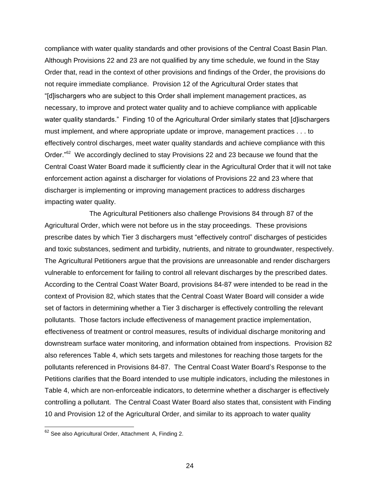compliance with water quality standards and other provisions of the Central Coast Basin Plan. Although Provisions 22 and 23 are not qualified by any time schedule, we found in the Stay Order that, read in the context of other provisions and findings of the Order, the provisions do not require immediate compliance. Provision 12 of the Agricultural Order states that "[d]ischargers who are subject to this Order shall implement management practices, as necessary, to improve and protect water quality and to achieve compliance with applicable water quality standards." Finding 10 of the Agricultural Order similarly states that [d]ischargers must implement, and where appropriate update or improve, management practices . . . to effectively control discharges, meet water quality standards and achieve compliance with this Order."<sup>62</sup> We accordingly declined to stay Provisions 22 and 23 because we found that the Central Coast Water Board made it sufficiently clear in the Agricultural Order that it will not take enforcement action against a discharger for violations of Provisions 22 and 23 where that discharger is implementing or improving management practices to address discharges impacting water quality.

The Agricultural Petitioners also challenge Provisions 84 through 87 of the Agricultural Order, which were not before us in the stay proceedings. These provisions prescribe dates by which Tier 3 dischargers must "effectively control" discharges of pesticides and toxic substances, sediment and turbidity, nutrients, and nitrate to groundwater, respectively. The Agricultural Petitioners argue that the provisions are unreasonable and render dischargers vulnerable to enforcement for failing to control all relevant discharges by the prescribed dates. According to the Central Coast Water Board, provisions 84-87 were intended to be read in the context of Provision 82, which states that the Central Coast Water Board will consider a wide set of factors in determining whether a Tier 3 discharger is effectively controlling the relevant pollutants. Those factors include effectiveness of management practice implementation, effectiveness of treatment or control measures, results of individual discharge monitoring and downstream surface water monitoring, and information obtained from inspections. Provision 82 also references Table 4, which sets targets and milestones for reaching those targets for the pollutants referenced in Provisions 84-87. The Central Coast Water Board's Response to the Petitions clarifies that the Board intended to use multiple indicators, including the milestones in Table 4, which are non-enforceable indicators, to determine whether a discharger is effectively controlling a pollutant. The Central Coast Water Board also states that, consistent with Finding 10 and Provision 12 of the Agricultural Order, and similar to its approach to water quality

 $62$  See also Agricultural Order, Attachment A, Finding 2.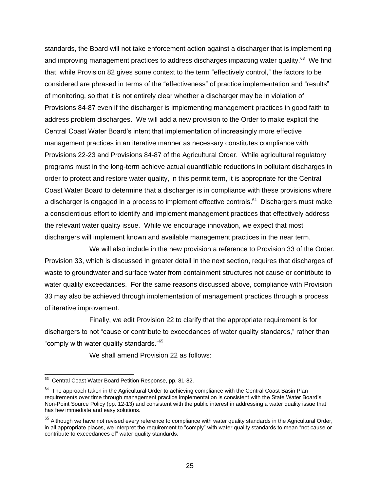standards, the Board will not take enforcement action against a discharger that is implementing and improving management practices to address discharges impacting water quality.<sup>63</sup> We find that, while Provision 82 gives some context to the term "effectively control," the factors to be considered are phrased in terms of the "effectiveness" of practice implementation and "results" of monitoring, so that it is not entirely clear whether a discharger may be in violation of Provisions 84-87 even if the discharger is implementing management practices in good faith to address problem discharges. We will add a new provision to the Order to make explicit the Central Coast Water Board's intent that implementation of increasingly more effective management practices in an iterative manner as necessary constitutes compliance with Provisions 22-23 and Provisions 84-87 of the Agricultural Order. While agricultural regulatory programs must in the long-term achieve actual quantifiable reductions in pollutant discharges in order to protect and restore water quality, in this permit term, it is appropriate for the Central Coast Water Board to determine that a discharger is in compliance with these provisions where a discharger is engaged in a process to implement effective controls.<sup>64</sup> Dischargers must make a conscientious effort to identify and implement management practices that effectively address the relevant water quality issue. While we encourage innovation, we expect that most dischargers will implement known and available management practices in the near term.

We will also include in the new provision a reference to Provision 33 of the Order. Provision 33, which is discussed in greater detail in the next section, requires that discharges of waste to groundwater and surface water from containment structures not cause or contribute to water quality exceedances. For the same reasons discussed above, compliance with Provision 33 may also be achieved through implementation of management practices through a process of iterative improvement.

Finally, we edit Provision 22 to clarify that the appropriate requirement is for dischargers to not "cause or contribute to exceedances of water quality standards," rather than "comply with water quality standards."<sup>65</sup>

We shall amend Provision 22 as follows:

 63 Central Coast Water Board Petition Response, pp. 81-82.

<sup>&</sup>lt;sup>64</sup> The approach taken in the Agricultural Order to achieving compliance with the Central Coast Basin Plan requirements over time through management practice implementation is consistent with the State Water Board's Non-Point Source Policy (pp. 12-13) and consistent with the public interest in addressing a water quality issue that has few immediate and easy solutions.

 $65$  Although we have not revised every reference to compliance with water quality standards in the Agricultural Order, in all appropriate places, we interpret the requirement to "comply" with water quality standards to mean "not cause or contribute to exceedances of" water quality standards.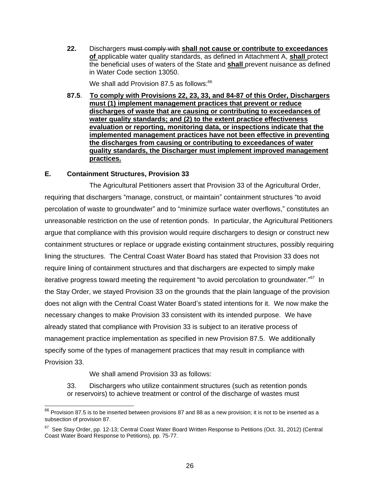**22.** Dischargers must comply with **shall not cause or contribute to exceedances of** applicable water quality standards, as defined in Attachment A, **shall** protect the beneficial uses of waters of the State and **shall** prevent nuisance as defined in Water Code section 13050.

We shall add Provision 87.5 as follows:<sup>66</sup>

**87.5**. **To comply with Provisions 22, 23, 33, and 84-87 of this Order, Dischargers must (1) implement management practices that prevent or reduce discharges of waste that are causing or contributing to exceedances of water quality standards; and (2) to the extent practice effectiveness evaluation or reporting, monitoring data, or inspections indicate that the implemented management practices have not been effective in preventing the discharges from causing or contributing to exceedances of water quality standards, the Discharger must implement improved management practices.**

## **E. Containment Structures, Provision 33**

The Agricultural Petitioners assert that Provision 33 of the Agricultural Order, requiring that dischargers "manage, construct, or maintain" containment structures "to avoid percolation of waste to groundwater" and to "minimize surface water overflows," constitutes an unreasonable restriction on the use of retention ponds. In particular, the Agricultural Petitioners argue that compliance with this provision would require dischargers to design or construct new containment structures or replace or upgrade existing containment structures, possibly requiring lining the structures. The Central Coast Water Board has stated that Provision 33 does not require lining of containment structures and that dischargers are expected to simply make iterative progress toward meeting the requirement "to avoid percolation to groundwater."<sup>67</sup> In the Stay Order, we stayed Provision 33 on the grounds that the plain language of the provision does not align with the Central Coast Water Board's stated intentions for it. We now make the necessary changes to make Provision 33 consistent with its intended purpose. We have already stated that compliance with Provision 33 is subject to an iterative process of management practice implementation as specified in new Provision 87.5. We additionally specify some of the types of management practices that may result in compliance with Provision 33.

We shall amend Provision 33 as follows:

 $\overline{\phantom{a}}$ 

33. Dischargers who utilize containment structures (such as retention ponds or reservoirs) to achieve treatment or control of the discharge of wastes must

 $^{66}$  Provision 87.5 is to be inserted between provisions 87 and 88 as a new provision; it is not to be inserted as a subsection of provision 87.

 $67$  See Stay Order, pp. 12-13; Central Coast Water Board Written Response to Petitions (Oct. 31, 2012) (Central Coast Water Board Response to Petitions), pp. 75-77.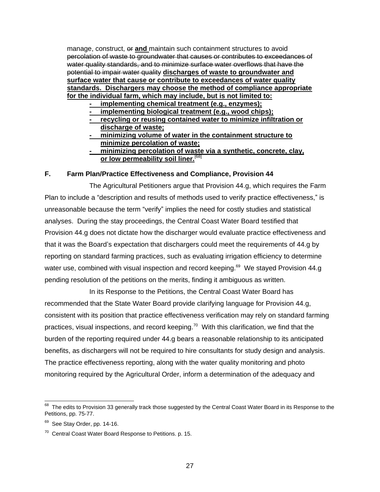manage, construct,  $\Theta$  **and** maintain such containment structures to avoid percolation of waste to groundwater that causes or contributes to exceedances of water quality standards, and to minimize surface water overflows that have the potential to impair water quality **discharges of waste to groundwater and surface water that cause or contribute to exceedances of water quality standards. Dischargers may choose the method of compliance appropriate for the individual farm, which may include, but is not limited to:**

- **- implementing chemical treatment (e.g., enzymes);**
- **- implementing biological treatment (e.g., wood chips);**
- **- recycling or reusing contained water to minimize infiltration or discharge of waste;**
- **- minimizing volume of water in the containment structure to minimize percolation of waste;**
- **- minimizing percolation of waste via a synthetic, concrete, clay, or low permeability soil liner.** [68]

#### **F. Farm Plan/Practice Effectiveness and Compliance, Provision 44**

The Agricultural Petitioners argue that Provision 44.g, which requires the Farm Plan to include a "description and results of methods used to verify practice effectiveness," is unreasonable because the term "verify" implies the need for costly studies and statistical analyses. During the stay proceedings, the Central Coast Water Board testified that Provision 44.g does not dictate how the discharger would evaluate practice effectiveness and that it was the Board's expectation that dischargers could meet the requirements of 44.g by reporting on standard farming practices, such as evaluating irrigation efficiency to determine water use, combined with visual inspection and record keeping.<sup>69</sup> We stayed Provision 44.g pending resolution of the petitions on the merits, finding it ambiguous as written.

In its Response to the Petitions, the Central Coast Water Board has recommended that the State Water Board provide clarifying language for Provision 44.g, consistent with its position that practice effectiveness verification may rely on standard farming practices, visual inspections, and record keeping.<sup>70</sup> With this clarification, we find that the burden of the reporting required under 44.g bears a reasonable relationship to its anticipated benefits, as dischargers will not be required to hire consultants for study design and analysis. The practice effectiveness reporting, along with the water quality monitoring and photo monitoring required by the Agricultural Order, inform a determination of the adequacy and

<sup>————————————————————&</sup>lt;br><sup>68</sup> The edits to Provision 33 generally track those suggested by the Central Coast Water Board in its Response to the Petitions, pp. 75-77.

<sup>&</sup>lt;sup>69</sup> See Stay Order, pp. 14-16.

<sup>&</sup>lt;sup>70</sup> Central Coast Water Board Response to Petitions. p. 15.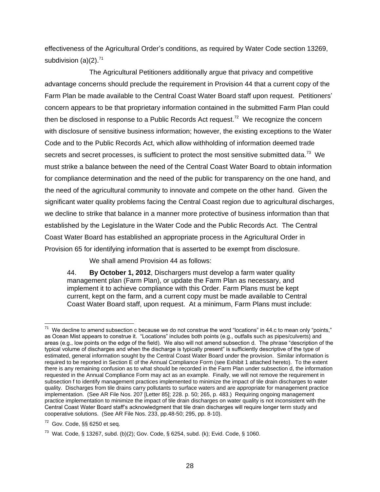effectiveness of the Agricultural Order's conditions, as required by Water Code section 13269, subdivision  $(a)(2)$ .<sup>71</sup>

The Agricultural Petitioners additionally argue that privacy and competitive advantage concerns should preclude the requirement in Provision 44 that a current copy of the Farm Plan be made available to the Central Coast Water Board staff upon request. Petitioners' concern appears to be that proprietary information contained in the submitted Farm Plan could then be disclosed in response to a Public Records Act request.<sup>72</sup> We recognize the concern with disclosure of sensitive business information; however, the existing exceptions to the Water Code and to the Public Records Act, which allow withholding of information deemed trade secrets and secret processes, is sufficient to protect the most sensitive submitted data.<sup>73</sup> We must strike a balance between the need of the Central Coast Water Board to obtain information for compliance determination and the need of the public for transparency on the one hand, and the need of the agricultural community to innovate and compete on the other hand. Given the significant water quality problems facing the Central Coast region due to agricultural discharges, we decline to strike that balance in a manner more protective of business information than that established by the Legislature in the Water Code and the Public Records Act. The Central Coast Water Board has established an appropriate process in the Agricultural Order in Provision 65 for identifying information that is asserted to be exempt from disclosure.

We shall amend Provision 44 as follows:

44. **By October 1, 2012**, Dischargers must develop a farm water quality management plan (Farm Plan), or update the Farm Plan as necessary, and implement it to achieve compliance with this Order. Farm Plans must be kept current, kept on the farm, and a current copy must be made available to Central Coast Water Board staff, upon request. At a minimum, Farm Plans must include:

The decline to amend subsection c because we do not construe the word "locations" in 44.c to mean only "points,"<br>The We decline to amend subsection c because we do not construe the word "locations" in 44.c to mean only "po as Ocean Mist appears to construe it. "Locations" includes both points (e.g., outfalls such as pipes/culverts) and areas (e.g., low points on the edge of the field). We also will not amend subsection d. The phrase "description of the typical volume of discharges and when the discharge is typically present" is sufficiently descriptive of the type of estimated, general information sought by the Central Coast Water Board under the provision. Similar information is required to be reported in Section E of the Annual Compliance Form (see Exhibit 1 attached hereto). To the extent there is any remaining confusion as to what should be recorded in the Farm Plan under subsection d, the information requested in the Annual Compliance Form may act as an example. Finally, we will not remove the requirement in subsection f to identify management practices implemented to minimize the impact of tile drain discharges to water quality. Discharges from tile drains carry pollutants to surface waters and are appropriate for management practice implementation. (See AR File Nos. 207 [Letter 85]; 228. p. 50; 265, p. 483.) Requiring ongoing management practice implementation to minimize the impact of tile drain discharges on water quality is not inconsistent with the Central Coast Water Board staff's acknowledgment that tile drain discharges will require longer term study and cooperative solutions. (See AR File Nos. 233, pp.48-50; 295, pp. 8-10).

 $72$  Gov. Code, §§ 6250 et seq.

 $^{73}$  Wat. Code, § 13267, subd. (b)(2); Gov. Code, § 6254, subd. (k); Evid. Code, § 1060.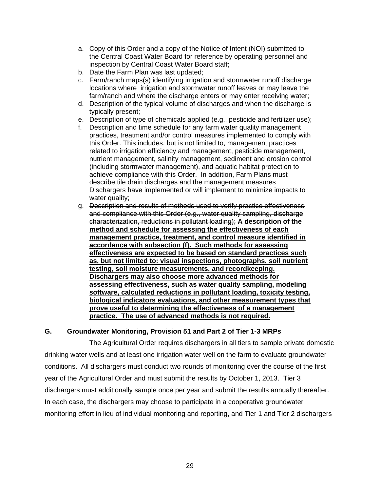- a. Copy of this Order and a copy of the Notice of Intent (NOI) submitted to the Central Coast Water Board for reference by operating personnel and inspection by Central Coast Water Board staff;
- b. Date the Farm Plan was last updated;
- c. Farm/ranch maps(s) identifying irrigation and stormwater runoff discharge locations where irrigation and stormwater runoff leaves or may leave the farm/ranch and where the discharge enters or may enter receiving water;
- d. Description of the typical volume of discharges and when the discharge is typically present;
- e. Description of type of chemicals applied (e.g., pesticide and fertilizer use);
- f. Description and time schedule for any farm water quality management practices, treatment and/or control measures implemented to comply with this Order. This includes, but is not limited to, management practices related to irrigation efficiency and management, pesticide management, nutrient management, salinity management, sediment and erosion control (including stormwater management), and aquatic habitat protection to achieve compliance with this Order. In addition, Farm Plans must describe tile drain discharges and the management measures Dischargers have implemented or will implement to minimize impacts to water quality;
- g. Description and results of methods used to verify practice effectiveness and compliance with this Order (e.g., water quality sampling, discharge characterization, reductions in pollutant loading); **A description of the method and schedule for assessing the effectiveness of each management practice, treatment, and control measure identified in accordance with subsection (f). Such methods for assessing effectiveness are expected to be based on standard practices such as, but not limited to: visual inspections, photographs, soil nutrient testing, soil moisture measurements, and recordkeeping. Dischargers may also choose more advanced methods for assessing effectiveness, such as water quality sampling, modeling software, calculated reductions in pollutant loading, toxicity testing, biological indicators evaluations, and other measurement types that prove useful to determining the effectiveness of a management practice. The use of advanced methods is not required.**

## **G. Groundwater Monitoring, Provision 51 and Part 2 of Tier 1-3 MRPs**

The Agricultural Order requires dischargers in all tiers to sample private domestic drinking water wells and at least one irrigation water well on the farm to evaluate groundwater conditions. All dischargers must conduct two rounds of monitoring over the course of the first year of the Agricultural Order and must submit the results by October 1, 2013. Tier 3 dischargers must additionally sample once per year and submit the results annually thereafter. In each case, the dischargers may choose to participate in a cooperative groundwater monitoring effort in lieu of individual monitoring and reporting, and Tier 1 and Tier 2 dischargers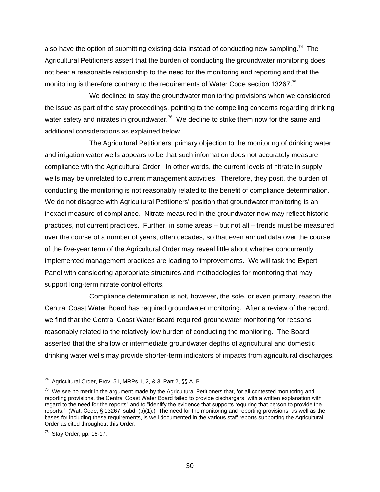also have the option of submitting existing data instead of conducting new sampling.<sup>74</sup> The Agricultural Petitioners assert that the burden of conducting the groundwater monitoring does not bear a reasonable relationship to the need for the monitoring and reporting and that the monitoring is therefore contrary to the requirements of Water Code section 13267.<sup>75</sup>

We declined to stay the groundwater monitoring provisions when we considered the issue as part of the stay proceedings, pointing to the compelling concerns regarding drinking water safety and nitrates in groundwater.<sup>76</sup> We decline to strike them now for the same and additional considerations as explained below.

The Agricultural Petitioners' primary objection to the monitoring of drinking water and irrigation water wells appears to be that such information does not accurately measure compliance with the Agricultural Order. In other words, the current levels of nitrate in supply wells may be unrelated to current management activities. Therefore, they posit, the burden of conducting the monitoring is not reasonably related to the benefit of compliance determination. We do not disagree with Agricultural Petitioners' position that groundwater monitoring is an inexact measure of compliance. Nitrate measured in the groundwater now may reflect historic practices, not current practices. Further, in some areas – but not all – trends must be measured over the course of a number of years, often decades, so that even annual data over the course of the five-year term of the Agricultural Order may reveal little about whether concurrently implemented management practices are leading to improvements. We will task the Expert Panel with considering appropriate structures and methodologies for monitoring that may support long-term nitrate control efforts.

Compliance determination is not, however, the sole, or even primary, reason the Central Coast Water Board has required groundwater monitoring. After a review of the record, we find that the Central Coast Water Board required groundwater monitoring for reasons reasonably related to the relatively low burden of conducting the monitoring. The Board asserted that the shallow or intermediate groundwater depths of agricultural and domestic drinking water wells may provide shorter-term indicators of impacts from agricultural discharges.

 74 Agricultural Order, Prov. 51, MRPs 1, 2, & 3, Part 2, §§ A, B.

<sup>&</sup>lt;sup>75</sup> We see no merit in the argument made by the Agricultural Petitioners that, for all contested monitoring and reporting provisions, the Central Coast Water Board failed to provide dischargers "with a written explanation with regard to the need for the reports" and to "identify the evidence that supports requiring that person to provide the reports." (Wat. Code, § 13267, subd. (b)(1).) The need for the monitoring and reporting provisions, as well as the bases for including these requirements, is well documented in the various staff reports supporting the Agricultural Order as cited throughout this Order.

 $76$  Stay Order, pp. 16-17.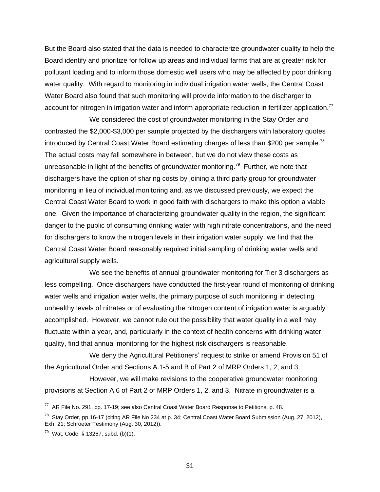But the Board also stated that the data is needed to characterize groundwater quality to help the Board identify and prioritize for follow up areas and individual farms that are at greater risk for pollutant loading and to inform those domestic well users who may be affected by poor drinking water quality. With regard to monitoring in individual irrigation water wells, the Central Coast Water Board also found that such monitoring will provide information to the discharger to account for nitrogen in irrigation water and inform appropriate reduction in fertilizer application.<sup>77</sup>

We considered the cost of groundwater monitoring in the Stay Order and contrasted the \$2,000-\$3,000 per sample projected by the dischargers with laboratory quotes introduced by Central Coast Water Board estimating charges of less than \$200 per sample.<sup>78</sup> The actual costs may fall somewhere in between, but we do not view these costs as unreasonable in light of the benefits of groundwater monitoring.<sup>79</sup> Further, we note that dischargers have the option of sharing costs by joining a third party group for groundwater monitoring in lieu of individual monitoring and, as we discussed previously, we expect the Central Coast Water Board to work in good faith with dischargers to make this option a viable one. Given the importance of characterizing groundwater quality in the region, the significant danger to the public of consuming drinking water with high nitrate concentrations, and the need for dischargers to know the nitrogen levels in their irrigation water supply, we find that the Central Coast Water Board reasonably required initial sampling of drinking water wells and agricultural supply wells.

We see the benefits of annual groundwater monitoring for Tier 3 dischargers as less compelling. Once dischargers have conducted the first-year round of monitoring of drinking water wells and irrigation water wells, the primary purpose of such monitoring in detecting unhealthy levels of nitrates or of evaluating the nitrogen content of irrigation water is arguably accomplished. However, we cannot rule out the possibility that water quality in a well may fluctuate within a year, and, particularly in the context of health concerns with drinking water quality, find that annual monitoring for the highest risk dischargers is reasonable.

We deny the Agricultural Petitioners' request to strike or amend Provision 51 of the Agricultural Order and Sections A.1-5 and B of Part 2 of MRP Orders 1, 2, and 3.

However, we will make revisions to the cooperative groundwater monitoring provisions at Section A.6 of Part 2 of MRP Orders 1, 2, and 3. Nitrate in groundwater is a

<sup>————————————————————&</sup>lt;br><sup>77</sup> AR File No. 291, pp. 17-19; see also Central Coast Water Board Response to Petitions, p. 48.

 $^{78}$  Stay Order, pp.16-17 (citing AR File No 234 at p. 34; Central Coast Water Board Submission (Aug. 27, 2012), Exh. 21; Schroeter Testimony (Aug. 30, 2012)).

<sup>&</sup>lt;sup>79</sup> Wat. Code, § 13267, subd. (b)(1).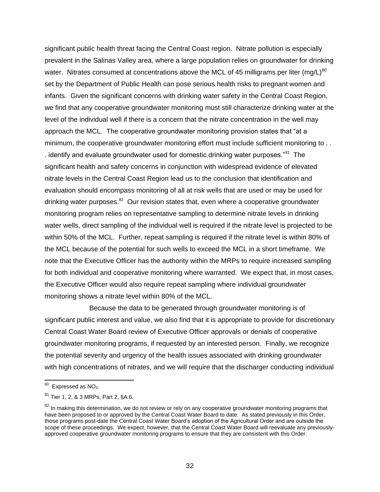significant public health threat facing the Central Coast region. Nitrate pollution is especially prevalent in the Salinas Valley area, where a large population relies on groundwater for drinking water. Nitrates consumed at concentrations above the MCL of 45 milligrams per liter (mg/L)<sup>80</sup> set by the Department of Public Health can pose serious health risks to pregnant women and infants. Given the significant concerns with drinking water safety in the Central Coast Region, we find that any cooperative groundwater monitoring must still characterize drinking water at the level of the individual well if there is a concern that the nitrate concentration in the well may approach the MCL. The cooperative groundwater monitoring provision states that "at a minimum, the cooperative groundwater monitoring effort must include sufficient monitoring to . . . identify and evaluate groundwater used for domestic drinking water purposes. $^{81}$  The significant health and safety concerns in conjunction with widespread evidence of elevated nitrate levels in the Central Coast Region lead us to the conclusion that identification and evaluation should encompass monitoring of all at risk wells that are used or may be used for drinking water purposes.<sup>82</sup> Our revision states that, even where a cooperative groundwater monitoring program relies on representative sampling to determine nitrate levels in drinking water wells, direct sampling of the individual well is required if the nitrate level is projected to be within 50% of the MCL. Further, repeat sampling is required if the nitrate level is within 80% of the MCL because of the potential for such wells to exceed the MCL in a short timeframe. We note that the Executive Officer has the authority within the MRPs to require increased sampling for both individual and cooperative monitoring where warranted. We expect that, in most cases, the Executive Officer would also require repeat sampling where individual groundwater monitoring shows a nitrate level within 80% of the MCL.

Because the data to be generated through groundwater monitoring is of significant public interest and value, we also find that it is appropriate to provide for discretionary Central Coast Water Board review of Executive Officer approvals or denials of cooperative groundwater monitoring programs, if requested by an interested person. Finally, we recognize the potential severity and urgency of the health issues associated with drinking groundwater with high concentrations of nitrates, and we will require that the discharger conducting individual

 $^{\text{80}}$  Expressed as NO<sub>3</sub>.

<sup>81</sup> Tier 1, 2, & 3 MRPs, Part 2, §A.6.

<sup>&</sup>lt;sup>82</sup> In making this determination, we do not review or rely on any cooperative groundwater monitoring programs that have been proposed to or approved by the Central Coast Water Board to date. As stated previously in this Order, those programs post-date the Central Coast Water Board's adoption of the Agricultural Order and are outside the scope of these proceedings. We expect, however, that the Central Coast Water Board will reevaluate any previouslyapproved cooperative groundwater monitoring programs to ensure that they are consistent with this Order.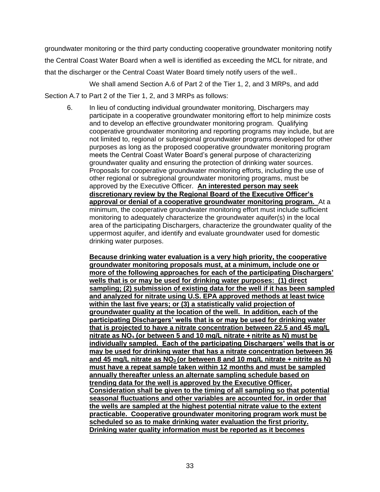groundwater monitoring or the third party conducting cooperative groundwater monitoring notify the Central Coast Water Board when a well is identified as exceeding the MCL for nitrate, and that the discharger or the Central Coast Water Board timely notify users of the well..

We shall amend Section A.6 of Part 2 of the Tier 1, 2, and 3 MRPs, and add Section A.7 to Part 2 of the Tier 1, 2, and 3 MRPs as follows:

6. In lieu of conducting individual groundwater monitoring, Dischargers may participate in a cooperative groundwater monitoring effort to help minimize costs and to develop an effective groundwater monitoring program. Qualifying cooperative groundwater monitoring and reporting programs may include, but are not limited to, regional or subregional groundwater programs developed for other purposes as long as the proposed cooperative groundwater monitoring program meets the Central Coast Water Board's general purpose of characterizing groundwater quality and ensuring the protection of drinking water sources. Proposals for cooperative groundwater monitoring efforts, including the use of other regional or subregional groundwater monitoring programs, must be approved by the Executive Officer. **An interested person may seek discretionary review by the Regional Board of the Executive Officer's approval or denial of a cooperative groundwater monitoring program.** At a minimum, the cooperative groundwater monitoring effort must include sufficient monitoring to adequately characterize the groundwater aquifer(s) in the local area of the participating Dischargers, characterize the groundwater quality of the uppermost aquifer, and identify and evaluate groundwater used for domestic drinking water purposes.

**Because drinking water evaluation is a very high priority, the cooperative groundwater monitoring proposals must, at a minimum, include one or more of the following approaches for each of the participating Dischargers' wells that is or may be used for drinking water purposes: (1) direct sampling; (2) submission of existing data for the well if it has been sampled and analyzed for nitrate using U.S. EPA approved methods at least twice within the last five years; or (3) a statistically valid projection of groundwater quality at the location of the well. In addition, each of the participating Dischargers' wells that is or may be used for drinking water that is projected to have a nitrate concentration between 22.5 and 45 mg/L nitrate as NO<sup>3</sup> (or between 5 and 10 mg/L nitrate + nitrite as N) must be individually sampled. Each of the participating Dischargers' wells that is or may be used for drinking water that has a nitrate concentration between 36 and 45 mg/L nitrate as NO<sup>3</sup> (or between 8 and 10 mg/L nitrate + nitrite as N) must have a repeat sample taken within 12 months and must be sampled annually thereafter unless an alternate sampling schedule based on trending data for the well is approved by the Executive Officer. Consideration shall be given to the timing of all sampling so that potential seasonal fluctuations and other variables are accounted for, in order that the wells are sampled at the highest potential nitrate value to the extent practicable. Cooperative groundwater monitoring program work must be scheduled so as to make drinking water evaluation the first priority. Drinking water quality information must be reported as it becomes**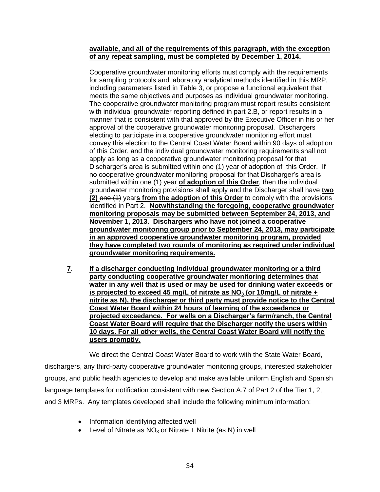### **available, and all of the requirements of this paragraph, with the exception of any repeat sampling, must be completed by December 1, 2014.**

Cooperative groundwater monitoring efforts must comply with the requirements for sampling protocols and laboratory analytical methods identified in this MRP, including parameters listed in Table 3, or propose a functional equivalent that meets the same objectives and purposes as individual groundwater monitoring. The cooperative groundwater monitoring program must report results consistent with individual groundwater reporting defined in part 2.B, or report results in a manner that is consistent with that approved by the Executive Officer in his or her approval of the cooperative groundwater monitoring proposal. Dischargers electing to participate in a cooperative groundwater monitoring effort must convey this election to the Central Coast Water Board within 90 days of adoption of this Order, and the individual groundwater monitoring requirements shall not apply as long as a cooperative groundwater monitoring proposal for that Discharger's area is submitted within one (1) year of adoption of this Order. If no cooperative groundwater monitoring proposal for that Discharger's area is submitted within one (1) year **of adoption of this Order**, then the individual groundwater monitoring provisions shall apply and the Discharger shall have **two (2)** one (1) year**s from the adoption of this Order** to comply with the provisions identified in Part 2. **Notwithstanding the foregoing, cooperative groundwater monitoring proposals may be submitted between September 24, 2013, and November 1, 2013. Dischargers who have not joined a cooperative groundwater monitoring group prior to September 24, 2013, may participate in an approved cooperative groundwater monitoring program, provided they have completed two rounds of monitoring as required under individual groundwater monitoring requirements.** 

**7**. **If a discharger conducting individual groundwater monitoring or a third party conducting cooperative groundwater monitoring determines that water in any well that is used or may be used for drinking water exceeds or is projected to exceed 45 mg/L of nitrate as NO<sup>3</sup> (or 10mg/L of nitrate + nitrite as N), the discharger or third party must provide notice to the Central Coast Water Board within 24 hours of learning of the exceedance or projected exceedance. For wells on a Discharger's farm/ranch, the Central Coast Water Board will require that the Discharger notify the users within 10 days. For all other wells, the Central Coast Water Board will notify the users promptly.**

We direct the Central Coast Water Board to work with the State Water Board, dischargers, any third-party cooperative groundwater monitoring groups, interested stakeholder groups, and public health agencies to develop and make available uniform English and Spanish language templates for notification consistent with new Section A.7 of Part 2 of the Tier 1, 2, and 3 MRPs. Any templates developed shall include the following minimum information:

- Information identifying affected well
- Level of Nitrate as  $NO<sub>3</sub>$  or Nitrate + Nitrite (as N) in well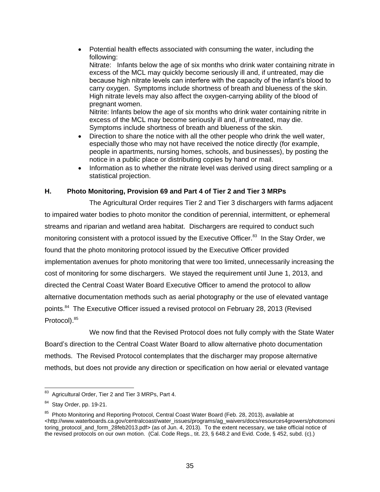• Potential health effects associated with consuming the water, including the following:

Nitrate: Infants below the age of six months who drink water containing nitrate in excess of the MCL may quickly become seriously ill and, if untreated, may die because high nitrate levels can interfere with the capacity of the infant's blood to carry oxygen. Symptoms include shortness of breath and blueness of the skin. High nitrate levels may also affect the oxygen-carrying ability of the blood of pregnant women.

Nitrite: Infants below the age of six months who drink water containing nitrite in excess of the MCL may become seriously ill and, if untreated, may die. Symptoms include shortness of breath and blueness of the skin.

- Direction to share the notice with all the other people who drink the well water, especially those who may not have received the notice directly (for example, people in apartments, nursing homes, schools, and businesses), by posting the notice in a public place or distributing copies by hand or mail.
- Information as to whether the nitrate level was derived using direct sampling or a statistical projection.

## **H. Photo Monitoring, Provision 69 and Part 4 of Tier 2 and Tier 3 MRPs**

The Agricultural Order requires Tier 2 and Tier 3 dischargers with farms adjacent to impaired water bodies to photo monitor the condition of perennial, intermittent, or ephemeral streams and riparian and wetland area habitat. Dischargers are required to conduct such monitoring consistent with a protocol issued by the Executive Officer.<sup>83</sup> In the Stay Order, we found that the photo monitoring protocol issued by the Executive Officer provided implementation avenues for photo monitoring that were too limited, unnecessarily increasing the cost of monitoring for some dischargers. We stayed the requirement until June 1, 2013, and directed the Central Coast Water Board Executive Officer to amend the protocol to allow alternative documentation methods such as aerial photography or the use of elevated vantage points.<sup>84</sup> The Executive Officer issued a revised protocol on February 28, 2013 (Revised Protocol).<sup>85</sup>

We now find that the Revised Protocol does not fully comply with the State Water Board's direction to the Central Coast Water Board to allow alternative photo documentation methods. The Revised Protocol contemplates that the discharger may propose alternative methods, but does not provide any direction or specification on how aerial or elevated vantage

<sup>-&</sup>lt;br>83 Agricultural Order, Tier 2 and Tier 3 MRPs, Part 4.

<sup>&</sup>lt;sup>84</sup> Stay Order, pp. 19-21.

<sup>&</sup>lt;sup>85</sup> Photo Monitoring and Reporting Protocol, Central Coast Water Board (Feb. 28, 2013), available at <http://www.waterboards.ca.gov/centralcoast/water\_issues/programs/ag\_waivers/docs/resources4growers/photomoni toring\_protocol\_and\_form\_28feb2013.pdf> (as of Jun. 4, 2013). To the extent necessary, we take official notice of the revised protocols on our own motion. (Cal. Code Regs., tit. 23, § 648.2 and Evid. Code, § 452, subd. (c).)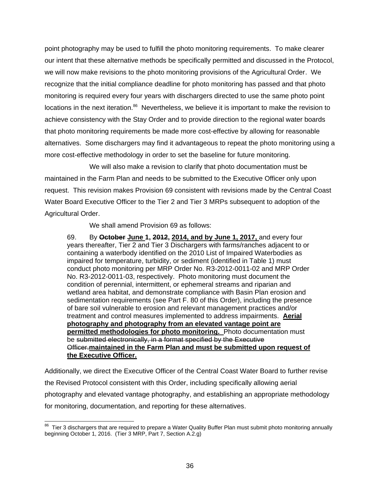point photography may be used to fulfill the photo monitoring requirements. To make clearer our intent that these alternative methods be specifically permitted and discussed in the Protocol, we will now make revisions to the photo monitoring provisions of the Agricultural Order. We recognize that the initial compliance deadline for photo monitoring has passed and that photo monitoring is required every four years with dischargers directed to use the same photo point locations in the next iteration.<sup>86</sup> Nevertheless, we believe it is important to make the revision to achieve consistency with the Stay Order and to provide direction to the regional water boards that photo monitoring requirements be made more cost-effective by allowing for reasonable alternatives. Some dischargers may find it advantageous to repeat the photo monitoring using a more cost-effective methodology in order to set the baseline for future monitoring.

We will also make a revision to clarify that photo documentation must be maintained in the Farm Plan and needs to be submitted to the Executive Officer only upon request. This revision makes Provision 69 consistent with revisions made by the Central Coast Water Board Executive Officer to the Tier 2 and Tier 3 MRPs subsequent to adoption of the Agricultural Order.

We shall amend Provision 69 as follows:

69. By **October June 1, 2012, 2014, and by June 1, 2017,** and every four years thereafter, Tier 2 and Tier 3 Dischargers with farms/ranches adjacent to or containing a waterbody identified on the 2010 List of Impaired Waterbodies as impaired for temperature, turbidity, or sediment (identified in Table 1) must conduct photo monitoring per MRP Order No. R3-2012-0011-02 and MRP Order No. R3-2012-0011-03, respectively. Photo monitoring must document the condition of perennial, intermittent, or ephemeral streams and riparian and wetland area habitat, and demonstrate compliance with Basin Plan erosion and sedimentation requirements (see Part F. 80 of this Order), including the presence of bare soil vulnerable to erosion and relevant management practices and/or treatment and control measures implemented to address impairments. **Aerial photography and photography from an elevated vantage point are permitted methodologies for photo monitoring.** Photo documentation must be submitted electronically, in a format specified by the Executive Officer.**maintained in the Farm Plan and must be submitted upon request of the Executive Officer.**

Additionally, we direct the Executive Officer of the Central Coast Water Board to further revise the Revised Protocol consistent with this Order, including specifically allowing aerial photography and elevated vantage photography, and establishing an appropriate methodology for monitoring, documentation, and reporting for these alternatives.

 86 Tier 3 dischargers that are required to prepare a Water Quality Buffer Plan must submit photo monitoring annually beginning October 1, 2016. (Tier 3 MRP, Part 7, Section A.2.g)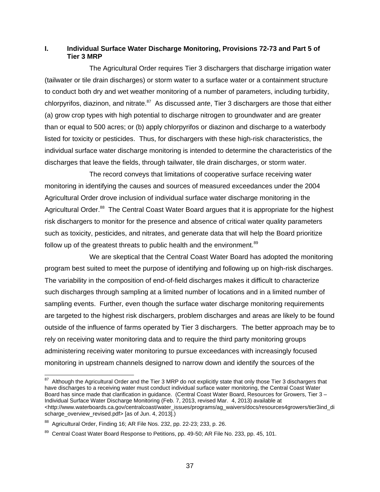## **I. Individual Surface Water Discharge Monitoring, Provisions 72-73 and Part 5 of Tier 3 MRP**

The Agricultural Order requires Tier 3 dischargers that discharge irrigation water (tailwater or tile drain discharges) or storm water to a surface water or a containment structure to conduct both dry and wet weather monitoring of a number of parameters, including turbidity, chlorpyrifos, diazinon, and nitrate.<sup>87</sup> As discussed *ante*, Tier 3 dischargers are those that either (a) grow crop types with high potential to discharge nitrogen to groundwater and are greater than or equal to 500 acres; or (b) apply chlorpyrifos or diazinon and discharge to a waterbody listed for toxicity or pesticides. Thus, for dischargers with these high-risk characteristics, the individual surface water discharge monitoring is intended to determine the characteristics of the discharges that leave the fields, through tailwater, tile drain discharges, or storm water.

The record conveys that limitations of cooperative surface receiving water monitoring in identifying the causes and sources of measured exceedances under the 2004 Agricultural Order drove inclusion of individual surface water discharge monitoring in the Agricultural Order.<sup>88</sup> The Central Coast Water Board argues that it is appropriate for the highest risk dischargers to monitor for the presence and absence of critical water quality parameters such as toxicity, pesticides, and nitrates, and generate data that will help the Board prioritize follow up of the greatest threats to public health and the environment.<sup>89</sup>

We are skeptical that the Central Coast Water Board has adopted the monitoring program best suited to meet the purpose of identifying and following up on high-risk discharges. The variability in the composition of end-of-field discharges makes it difficult to characterize such discharges through sampling at a limited number of locations and in a limited number of sampling events. Further, even though the surface water discharge monitoring requirements are targeted to the highest risk dischargers, problem discharges and areas are likely to be found outside of the influence of farms operated by Tier 3 dischargers. The better approach may be to rely on receiving water monitoring data and to require the third party monitoring groups administering receiving water monitoring to pursue exceedances with increasingly focused monitoring in upstream channels designed to narrow down and identify the sources of the

<sup>&</sup>lt;u>and the Agricultural Order and the Tier 3</u> MRP do not explicitly state that only those Tier 3 dischargers that and the Tier and the Tier and the Tier and the Tier and the Tier and the Tier and that and the Tier and that a have discharges to a receiving water must conduct individual surface water monitoring, the Central Coast Water Board has since made that clarification in guidance. (Central Coast Water Board, Resources for Growers, Tier 3 – Individual Surface Water Discharge Monitoring (Feb. 7, 2013, revised Mar. 4, 2013) available at [<http://www.waterboards.ca.gov/centralcoast/water\\_issues/programs/ag\\_waivers/docs/resources4growers/tier3ind\\_di](http://www.waterboards.ca.gov/centralcoast/water_issues/programs/ag_waivers/docs/resources4growers/tier3ind_discharge_overview_revised.pdf) [scharge\\_overview\\_revised.pdf>](http://www.waterboards.ca.gov/centralcoast/water_issues/programs/ag_waivers/docs/resources4growers/tier3ind_discharge_overview_revised.pdf) [as of Jun. 4, 2013].)

 $88$  Agricultural Order, Finding 16; AR File Nos. 232, pp. 22-23; 233, p. 26.

<sup>&</sup>lt;sup>89</sup> Central Coast Water Board Response to Petitions, pp. 49-50; AR File No. 233, pp. 45, 101.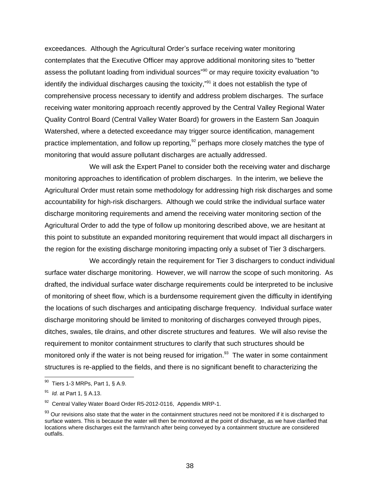exceedances. Although the Agricultural Order's surface receiving water monitoring contemplates that the Executive Officer may approve additional monitoring sites to "better assess the pollutant loading from individual sources"<sup>90</sup> or may require toxicity evaluation "to identify the individual discharges causing the toxicity,"<sup>91</sup> it does not establish the type of comprehensive process necessary to identify and address problem discharges. The surface receiving water monitoring approach recently approved by the Central Valley Regional Water Quality Control Board (Central Valley Water Board) for growers in the Eastern San Joaquin Watershed, where a detected exceedance may trigger source identification, management practice implementation, and follow up reporting,  $92$  perhaps more closely matches the type of monitoring that would assure pollutant discharges are actually addressed.

We will ask the Expert Panel to consider both the receiving water and discharge monitoring approaches to identification of problem discharges. In the interim, we believe the Agricultural Order must retain some methodology for addressing high risk discharges and some accountability for high-risk dischargers. Although we could strike the individual surface water discharge monitoring requirements and amend the receiving water monitoring section of the Agricultural Order to add the type of follow up monitoring described above, we are hesitant at this point to substitute an expanded monitoring requirement that would impact all dischargers in the region for the existing discharge monitoring impacting only a subset of Tier 3 dischargers.

We accordingly retain the requirement for Tier 3 dischargers to conduct individual surface water discharge monitoring. However, we will narrow the scope of such monitoring. As drafted, the individual surface water discharge requirements could be interpreted to be inclusive of monitoring of sheet flow, which is a burdensome requirement given the difficulty in identifying the locations of such discharges and anticipating discharge frequency. Individual surface water discharge monitoring should be limited to monitoring of discharges conveyed through pipes, ditches, swales, tile drains, and other discrete structures and features. We will also revise the requirement to monitor containment structures to clarify that such structures should be monitored only if the water is not being reused for irrigation.<sup>93</sup> The water in some containment structures is re-applied to the fields, and there is no significant benefit to characterizing the

<sup>&</sup>lt;u>so</u><br><sup>90</sup> Tiers 1-3 MRPs, Part 1, § A.9.

<sup>91</sup> *Id.* at Part 1, § A.13.

 $92$  Central Valley Water Board Order R5-2012-0116, Appendix MRP-1.

<sup>93</sup> Our revisions also state that the water in the containment structures need not be monitored if it is discharged to surface waters. This is because the water will then be monitored at the point of discharge, as we have clarified that locations where discharges exit the farm/ranch after being conveyed by a containment structure are considered outfalls.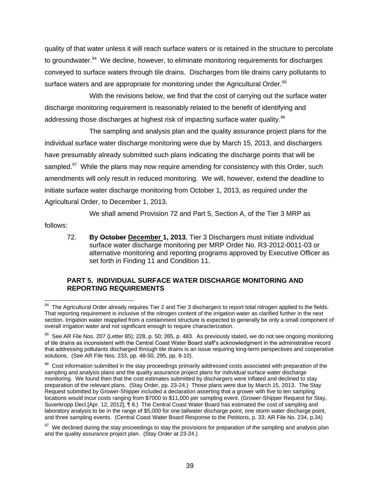quality of that water unless it will reach surface waters or is retained in the structure to percolate to groundwater.<sup>94</sup> We decline, however, to eliminate monitoring requirements for discharges conveyed to surface waters through tile drains. Discharges from tile drains carry pollutants to surface waters and are appropriate for monitoring under the Agricultural Order.<sup>95</sup>

With the revisions below, we find that the cost of carrying out the surface water discharge monitoring requirement is reasonably related to the benefit of identifying and addressing those discharges at highest risk of impacting surface water quality.<sup>96</sup>

The sampling and analysis plan and the quality assurance project plans for the individual surface water discharge monitoring were due by March 15, 2013, and dischargers have presumably already submitted such plans indicating the discharge points that will be sampled.<sup>97</sup> While the plans may now require amending for consistency with this Order, such amendments will only result in reduced monitoring. We will, however, extend the deadline to initiate surface water discharge monitoring from October 1, 2013, as required under the Agricultural Order, to December 1, 2013.

We shall amend Provision 72 and Part 5, Section A, of the Tier 3 MRP as

follows:

72. **By October December 1, 2013**, Tier 3 Dischargers must initiate individual surface water discharge monitoring per MRP Order No. R3-2012-0011-03 or alternative monitoring and reporting programs approved by Executive Officer as set forth in Finding 11 and Condition 11.

## **PART 5. INDIVIDUAL SURFACE WATER DISCHARGE MONITORING AND REPORTING REQUIREMENTS**

 94 The Agricultural Order already requires Tier 2 and Tier 3 dischargers to report total nitrogen applied to the fields. That reporting requirement is inclusive of the nitrogen content of the irrigation water as clarified further in the next section. Irrigation water reapplied from a containment structure is expected to generally be only a small component of overall irrigation water and not significant enough to require characterization.

 $95$  See AR File Nos. 207 (Letter 85); 228, p. 50; 265, p. 483. As previously stated, we do not see ongoing monitoring of tile drains as inconsistent with the Central Coast Water Board staff's acknowledgment in the administrative record that addressing pollutants discharged through tile drains is an issue requiring long-term perspectives and cooperative solutions. (See AR File Nos. 233, pp. 48-50, 295, pp. 8-10).

<sup>&</sup>lt;sup>96</sup> Cost information submitted in the stay proceedings primarily addressed costs associated with preparation of the sampling and analysis plans and the quality assurance project plans for individual surface water discharge monitoring. We found then that the cost estimates submitted by dischargers were inflated and declined to stay preparation of the relevant plans. (Stay Order, pp. 23-24.) Those plans were due by March 15, 2013. The Stay Request submitted by Grower-Shipper included a declaration asserting that a grower with five to ten sampling locations would incur costs ranging from \$7000 to \$11,000 per sampling event. (Grower-Shipper Request for Stay, Suverkropp Decl.[Apr. 12, 2012], ¶ 8.) The Central Coast Water Board has estimated the cost of sampling and laboratory analysis to be in the range of \$5,000 for one tailwater discharge point, one storm water discharge point, and three sampling events. (Central Coast Water Board Response to the Petitions, p. 33; AR File No. 234, p.34)

 $97$  We declined during the stay proceedings to stay the provisions for preparation of the sampling and analysis plan and the quality assurance project plan. (Stay Order at 23-24.)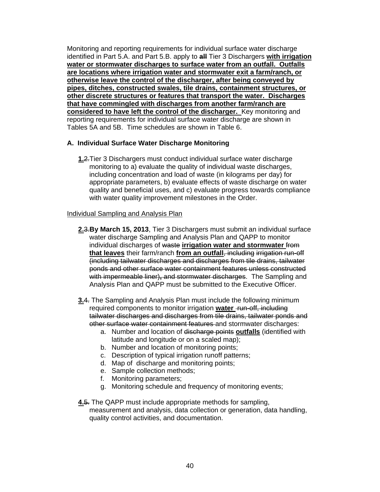Monitoring and reporting requirements for individual surface water discharge identified in Part 5.A. and Part 5.B. apply to **all** Tier 3 Dischargers **with irrigation water or stormwater discharges to surface water from an outfall. Outfalls are locations where irrigation water and stormwater exit a farm/ranch, or otherwise leave the control of the discharger, after being conveyed by pipes, ditches, constructed swales, tile drains, containment structures, or other discrete structures or features that transport the water. Discharges that have commingled with discharges from another farm/ranch are considered to have left the control of the discharger.** Key monitoring and reporting requirements for individual surface water discharge are shown in Tables 5A and 5B. Time schedules are shown in Table 6.

## **A. Individual Surface Water Discharge Monitoring**

**1.**2.Tier 3 Dischargers must conduct individual surface water discharge monitoring to a) evaluate the quality of individual waste discharges, including concentration and load of waste (in kilograms per day) for appropriate parameters, b) evaluate effects of waste discharge on water quality and beneficial uses, and c) evaluate progress towards compliance with water quality improvement milestones in the Order.

#### Individual Sampling and Analysis Plan

- **2.**3.**By March 15, 2013**, Tier 3 Dischargers must submit an individual surface water discharge Sampling and Analysis Plan and QAPP to monitor individual discharges of waste **irrigation water and stormwater** from **that leaves** their farm/ranch **from an outfall**, including irrigation run-off (including tailwater discharges and discharges from tile drains, tailwater ponds and other surface water containment features unless constructed with impermeable liner), and stormwater discharges. The Sampling and Analysis Plan and QAPP must be submitted to the Executive Officer.
- **3.**4. The Sampling and Analysis Plan must include the following minimum required components to monitor irrigation **water** run-off, including tailwater discharges and discharges from tile drains, tailwater ponds and other surface water containment features and stormwater discharges:
	- a. Number and location of discharge points **outfalls** (identified with latitude and longitude or on a scaled map);
	- b. Number and location of monitoring points;
	- c. Description of typical irrigation runoff patterns;
	- d. Map of discharge and monitoring points;
	- e. Sample collection methods;
	- f. Monitoring parameters;
	- g. Monitoring schedule and frequency of monitoring events;

#### **4.**5. The QAPP must include appropriate methods for sampling,

measurement and analysis, data collection or generation, data handling, quality control activities, and documentation.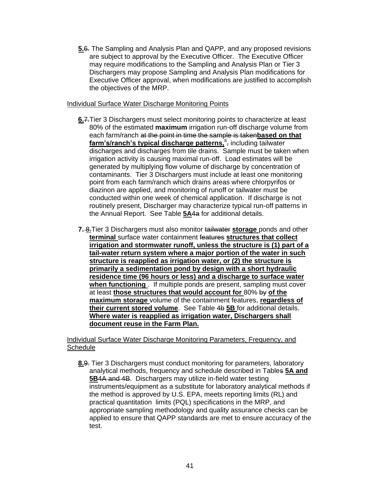**5.**6. The Sampling and Analysis Plan and QAPP, and any proposed revisions are subject to approval by the Executive Officer. The Executive Officer may require modifications to the Sampling and Analysis Plan or Tier 3 Dischargers may propose Sampling and Analysis Plan modifications for Executive Officer approval, when modifications are justified to accomplish the objectives of the MRP.

## Individual Surface Water Discharge Monitoring Points

- **6.**7.Tier 3 Dischargers must select monitoring points to characterize at least 80% of the estimated **maximum** irrigation run-off discharge volume from each farm/ranch at the point in time the sample is taken**based on that**  farm's/ranch's typical discharge patterns, <sup>8</sup>, including tailwater discharges and discharges from tile drains. Sample must be taken when irrigation activity is causing maximal run-off. Load estimates will be generated by multiplying flow volume of discharge by concentration of contaminants. Tier 3 Dischargers must include at least one monitoring point from each farm/ranch which drains areas where chlorpyrifos or diazinon are applied, and monitoring of runoff or tailwater must be conducted within one week of chemical application. If discharge is not routinely present, Discharger may characterize typical run-off patterns in the Annual Report. See Table **5A**4a for additional details.
- **7.** 8.Tier 3 Dischargers must also monitor tailwater **storage** ponds and other **terminal** surface water containment features **structures that collect irrigation and stormwater runoff, unless the structure is (1) part of a tail-water return system where a major portion of the water in such structure is reapplied as irrigation water, or (2) the structure is primarily a sedimentation pond by design with a short hydraulic residence time (96 hours or less) and a discharge to surface water when functioning** . If multiple ponds are present, sampling must cover at least **those structures that would account for** 80% by **of the maximum storage** volume of the containment features, **regardless of their current stored volume**. See Table 4b **5B** for additional details. **Where water is reapplied as irrigation water, Dischargers shall document reuse in the Farm Plan.**

Individual Surface Water Discharge Monitoring Parameters, Frequency, and Schedule

**8.**9. Tier 3 Dischargers must conduct monitoring for parameters, laboratory analytical methods, frequency and schedule described in Tables **5A and 5B**4A and 4B. Dischargers may utilize in-field water testing instruments/equipment as a substitute for laboratory analytical methods if the method is approved by U.S. EPA, meets reporting limits (RL) and practical quantitation limits (PQL) specifications in the MRP, and appropriate sampling methodology and quality assurance checks can be applied to ensure that QAPP standards are met to ensure accuracy of the test.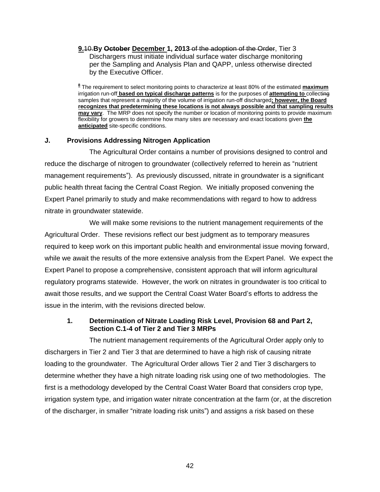**9.**10.**By October December 1, 2013** of the adoption of the Order, Tier 3 Dischargers must initiate individual surface water discharge monitoring per the Sampling and Analysis Plan and QAPP, unless otherwise directed by the Executive Officer.

**8** The requirement to select monitoring points to characterize at least 80% of the estimated **maximum** irrigation run-off **based on typical discharge patterns** is for the purposes of **attempting to** collecting samples that represent a majority of the volume of irrigation run-off discharged**; however, the Board recognizes that predetermining these locations is not always possible and that sampling results may vary**. The MRP does not specify the number or location of monitoring points to provide maximum flexibility for growers to determine how many sites are necessary and exact locations given **the anticipated** site-specific conditions.

## **J. Provisions Addressing Nitrogen Application**

The Agricultural Order contains a number of provisions designed to control and reduce the discharge of nitrogen to groundwater (collectively referred to herein as "nutrient management requirements"). As previously discussed, nitrate in groundwater is a significant public health threat facing the Central Coast Region. We initially proposed convening the Expert Panel primarily to study and make recommendations with regard to how to address nitrate in groundwater statewide.

We will make some revisions to the nutrient management requirements of the Agricultural Order. These revisions reflect our best judgment as to temporary measures required to keep work on this important public health and environmental issue moving forward, while we await the results of the more extensive analysis from the Expert Panel. We expect the Expert Panel to propose a comprehensive, consistent approach that will inform agricultural regulatory programs statewide. However, the work on nitrates in groundwater is too critical to await those results, and we support the Central Coast Water Board's efforts to address the issue in the interim, with the revisions directed below.

## **1. Determination of Nitrate Loading Risk Level, Provision 68 and Part 2, Section C.1-4 of Tier 2 and Tier 3 MRPs**

The nutrient management requirements of the Agricultural Order apply only to dischargers in Tier 2 and Tier 3 that are determined to have a high risk of causing nitrate loading to the groundwater. The Agricultural Order allows Tier 2 and Tier 3 dischargers to determine whether they have a high nitrate loading risk using one of two methodologies. The first is a methodology developed by the Central Coast Water Board that considers crop type, irrigation system type, and irrigation water nitrate concentration at the farm (or, at the discretion of the discharger, in smaller "nitrate loading risk units") and assigns a risk based on these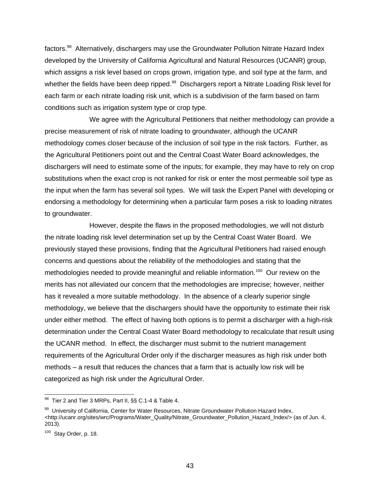factors.<sup>98</sup> Alternatively, dischargers may use the Groundwater Pollution Nitrate Hazard Index developed by the University of California Agricultural and Natural Resources (UCANR) group, which assigns a risk level based on crops grown, irrigation type, and soil type at the farm, and whether the fields have been deep ripped.<sup>99</sup> Dischargers report a Nitrate Loading Risk level for each farm or each nitrate loading risk unit, which is a subdivision of the farm based on farm conditions such as irrigation system type or crop type.

We agree with the Agricultural Petitioners that neither methodology can provide a precise measurement of risk of nitrate loading to groundwater, although the UCANR methodology comes closer because of the inclusion of soil type in the risk factors. Further, as the Agricultural Petitioners point out and the Central Coast Water Board acknowledges, the dischargers will need to estimate some of the inputs; for example, they may have to rely on crop substitutions when the exact crop is not ranked for risk or enter the most permeable soil type as the input when the farm has several soil types. We will task the Expert Panel with developing or endorsing a methodology for determining when a particular farm poses a risk to loading nitrates to groundwater.

However, despite the flaws in the proposed methodologies, we will not disturb the nitrate loading risk level determination set up by the Central Coast Water Board. We previously stayed these provisions, finding that the Agricultural Petitioners had raised enough concerns and questions about the reliability of the methodologies and stating that the methodologies needed to provide meaningful and reliable information.<sup>100</sup> Our review on the merits has not alleviated our concern that the methodologies are imprecise; however, neither has it revealed a more suitable methodology. In the absence of a clearly superior single methodology, we believe that the dischargers should have the opportunity to estimate their risk under either method. The effect of having both options is to permit a discharger with a high-risk determination under the Central Coast Water Board methodology to recalculate that result using the UCANR method. In effect, the discharger must submit to the nutrient management requirements of the Agricultural Order only if the discharger measures as high risk under both methods – a result that reduces the chances that a farm that is actually low risk will be categorized as high risk under the Agricultural Order.

 98 Tier 2 and Tier 3 MRPs, Part II, §§ C.1-4 & Table 4.

<sup>&</sup>lt;sup>99</sup> University of California, Center for Water Resources, Nitrate Groundwater Pollution Hazard Index, [<http://ucanr.org/sites/wrc/Programs/Water\\_Quality/Nitrate\\_Groundwater\\_Pollution\\_Hazard\\_Index/>](http://ucanr.org/sites/wrc/Programs/Water_Quality/Nitrate_Groundwater_Pollution_Hazard_Index/) (as of Jun. 4, 2013).

 $100$  Stay Order, p. 18.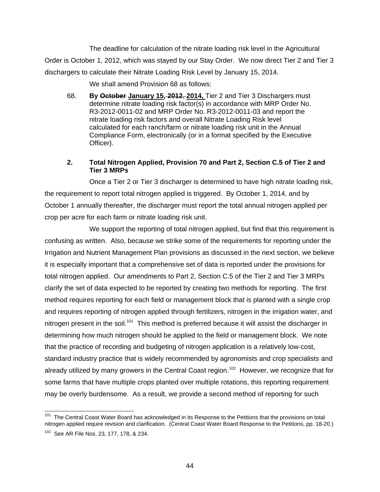The deadline for calculation of the nitrate loading risk level in the Agricultural Order is October 1, 2012, which was stayed by our Stay Order. We now direct Tier 2 and Tier 3 dischargers to calculate their Nitrate Loading Risk Level by January 15, 2014.

We shall amend Provision 68 as follows:

68. **By October January 15, 2012**, **2014,** Tier 2 and Tier 3 Dischargers must determine nitrate loading risk factor(s) in accordance with MRP Order No. R3-2012-0011-02 and MRP Order No. R3-2012-0011-03 and report the nitrate loading risk factors and overall Nitrate Loading Risk level calculated for each ranch/farm or nitrate loading risk unit in the Annual Compliance Form, electronically (or in a format specified by the Executive Officer).

## **2. Total Nitrogen Applied, Provision 70 and Part 2, Section C.5 of Tier 2 and Tier 3 MRPs**

Once a Tier 2 or Tier 3 discharger is determined to have high nitrate loading risk, the requirement to report total nitrogen applied is triggered. By October 1, 2014, and by October 1 annually thereafter, the discharger must report the total annual nitrogen applied per crop per acre for each farm or nitrate loading risk unit.

We support the reporting of total nitrogen applied, but find that this requirement is confusing as written. Also, because we strike some of the requirements for reporting under the Irrigation and Nutrient Management Plan provisions as discussed in the next section, we believe it is especially important that a comprehensive set of data is reported under the provisions for total nitrogen applied. Our amendments to Part 2, Section C.5 of the Tier 2 and Tier 3 MRPs clarify the set of data expected to be reported by creating two methods for reporting. The first method requires reporting for each field or management block that is planted with a single crop and requires reporting of nitrogen applied through fertilizers, nitrogen in the irrigation water, and nitrogen present in the soil.<sup>101</sup> This method is preferred because it will assist the discharger in determining how much nitrogen should be applied to the field or management block. We note that the practice of recording and budgeting of nitrogen application is a relatively low-cost, standard industry practice that is widely recommended by agronomists and crop specialists and already utilized by many growers in the Central Coast region.<sup>102</sup> However, we recognize that for some farms that have multiple crops planted over multiple rotations, this reporting requirement may be overly burdensome. As a result, we provide a second method of reporting for such

<sup>&</sup>lt;u>nessen to the Central Coast Water Board</u><br><sup>101</sup> The Central Coast Water Board has acknowledged in its Response to the Petitions that the provisions on total nitrogen applied require revision and clarification. (Central Coast Water Board Response to the Petitions, pp. 18-20.)

<sup>&</sup>lt;sup>102</sup> See AR File Nos. 23, 177, 178, & 234.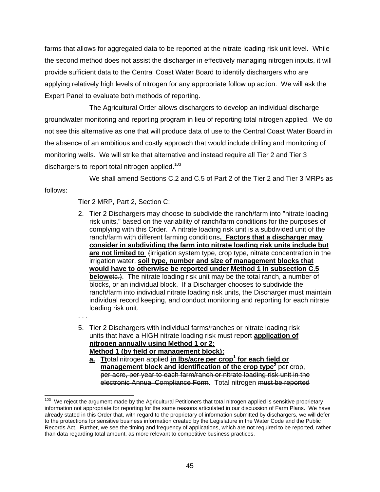farms that allows for aggregated data to be reported at the nitrate loading risk unit level. While the second method does not assist the discharger in effectively managing nitrogen inputs, it will provide sufficient data to the Central Coast Water Board to identify dischargers who are applying relatively high levels of nitrogen for any appropriate follow up action. We will ask the Expert Panel to evaluate both methods of reporting.

The Agricultural Order allows dischargers to develop an individual discharge groundwater monitoring and reporting program in lieu of reporting total nitrogen applied. We do not see this alternative as one that will produce data of use to the Central Coast Water Board in the absence of an ambitious and costly approach that would include drilling and monitoring of monitoring wells. We will strike that alternative and instead require all Tier 2 and Tier 3 dischargers to report total nitrogen applied.<sup>103</sup>

We shall amend Sections C.2 and C.5 of Part 2 of the Tier 2 and Tier 3 MRPs as follows:

Tier 2 MRP, Part 2, Section C:

2. Tier 2 Dischargers may choose to subdivide the ranch/farm into "nitrate loading risk units," based on the variability of ranch/farm conditions for the purposes of complying with this Order. A nitrate loading risk unit is a subdivided unit of the ranch/farm with different farming conditions**. Factors that a discharger may consider in subdividing the farm into nitrate loading risk units include but**  are not limited to firrigation system type, crop type, nitrate concentration in the irrigation water, **soil type, number and size of management blocks that would have to otherwise be reported under Method 1 in subsection C.5 belowetc.).** The nitrate loading risk unit may be the total ranch, a number of blocks, or an individual block. If a Discharger chooses to subdivide the ranch/farm into individual nitrate loading risk units, the Discharger must maintain individual record keeping, and conduct monitoring and reporting for each nitrate loading risk unit.

. . .

- 5. Tier 2 Dischargers with individual farms/ranches or nitrate loading risk units that have a HIGH nitrate loading risk must report **application of nitrogen annually using Method 1 or 2: Method 1 (by field or management block):**
	- **a. Tt**otal nitrogen applied **in lbs/acre per crop<sup>1</sup> for each field or management block and identification of the crop type<sup>2</sup> per crop,** per acre, per year to each farm/ranch or nitrate loading risk unit in the electronic Annual Compliance Form. Total nitrogen must be reported

The matrice of the argument made by the Agricultural Petitioners that total nitrogen applied is sensitive proprietary<br><sup>103</sup> We reject the argument made by the Agricultural Petitioners that total nitrogen applied is sensiti information not appropriate for reporting for the same reasons articulated in our discussion of Farm Plans. We have already stated in this Order that, with regard to the proprietary of information submitted by dischargers, we will defer to the protections for sensitive business information created by the Legislature in the Water Code and the Public Records Act. Further, we see the timing and frequency of applications, which are not required to be reported, rather than data regarding total amount, as more relevant to competitive business practices.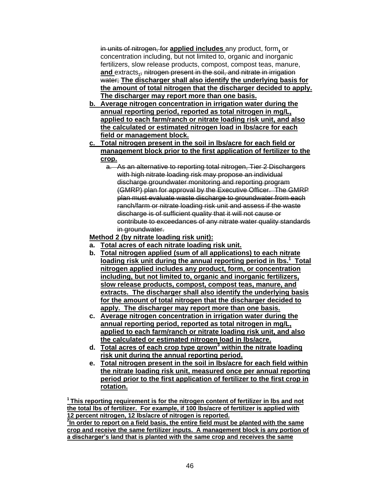in units of nitrogen, for **applied includes** any product, form**,** or concentration including, but not limited to, organic and inorganic fertilizers, slow release products, compost, compost teas, manure, **and** extracts**.**, nitrogen present in the soil, and nitrate in irrigation water; **The discharger shall also identify the underlying basis for the amount of total nitrogen that the discharger decided to apply. The discharger may report more than one basis.**

- **b. Average nitrogen concentration in irrigation water during the annual reporting period, reported as total nitrogen in mg/L, applied to each farm/ranch or nitrate loading risk unit, and also the calculated or estimated nitrogen load in lbs/acre for each field or management block.**
- **c. Total nitrogen present in the soil in lbs/acre for each field or management block prior to the first application of fertilizer to the crop.**
	- a. As an alternative to reporting total nitrogen, Tier 2 Dischargers with high nitrate loading risk may propose an individual discharge groundwater monitoring and reporting program (GMRP) plan for approval by the Executive Officer. The GMRP plan must evaluate waste discharge to groundwater from each ranch/farm or nitrate loading risk unit and assess if the waste discharge is of sufficient quality that it will not cause or contribute to exceedances of any nitrate water quality standards in groundwater.

**Method 2 (by nitrate loading risk unit):**

- **a. Total acres of each nitrate loading risk unit.**
- **b. Total nitrogen applied (sum of all applications) to each nitrate loading risk unit during the annual reporting period in lbs. 1 Total nitrogen applied includes any product, form, or concentration including, but not limited to, organic and inorganic fertilizers, slow release products, compost, compost teas, manure, and extracts. The discharger shall also identify the underlying basis for the amount of total nitrogen that the discharger decided to apply. The discharger may report more than one basis.**
- **c. Average nitrogen concentration in irrigation water during the annual reporting period, reported as total nitrogen in mg/L, applied to each farm/ranch or nitrate loading risk unit, and also the calculated or estimated nitrogen load in lbs/acre.**
- **d. Total acres of each crop type grown<sup>3</sup> within the nitrate loading risk unit during the annual reporting period.**
- **e. Total nitrogen present in the soil in lbs/acre for each field within the nitrate loading risk unit, measured once per annual reporting period prior to the first application of fertilizer to the first crop in rotation.**

**<sup>1</sup>This reporting requirement is for the nitrogen content of fertilizer in lbs and not the total lbs of fertilizer. For example, if 100 lbs/acre of fertilizer is applied with 12 percent nitrogen, 12 lbs/acre of nitrogen is reported.**

**2 In order to report on a field basis, the entire field must be planted with the same crop and receive the same fertilizer inputs. A management block is any portion of a discharger's land that is planted with the same crop and receives the same**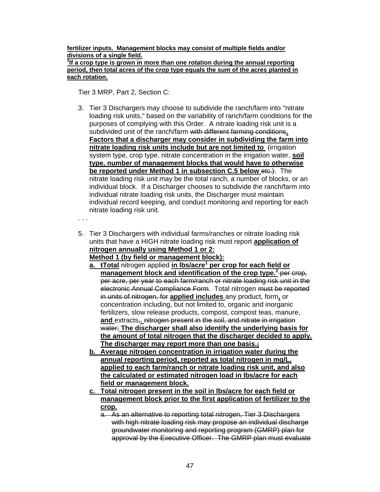**fertilizer inputs. Management blocks may consist of multiple fields and/or divisions of a single field. 3 If a crop type is grown in more than one rotation during the annual reporting period, then total acres of the crop type equals the sum of the acres planted in each rotation.** 

Tier 3 MRP, Part 2, Section C:

- 3. Tier 3 Dischargers may choose to subdivide the ranch/farm into "nitrate loading risk units," based on the variability of ranch/farm conditions for the purposes of complying with this Order. A nitrate loading risk unit is a subdivided unit of the ranch/farm with different farming conditions**. Factors that a discharger may consider in subdividing the farm into nitrate loading risk units include but are not limited to** (irrigation system type, crop type, nitrate concentration in the irrigation water, **soil type, number of management blocks that would have to otherwise be reported under Method 1 in subsection C.5 below etc.).** The nitrate loading risk unit may be the total ranch, a number of blocks, or an individual block. If a Discharger chooses to subdivide the ranch/farm into individual nitrate loading risk units, the Discharger must maintain individual record keeping, and conduct monitoring and reporting for each nitrate loading risk unit.
- . . .
- 5. Tier 3 Dischargers with individual farms/ranches or nitrate loading risk units that have a HIGH nitrate loading risk must report **application of nitrogen annually using Method 1 or 2:**

**Method 1 (by field or management block):**

- **a. tTotal** nitrogen applied **in lbs/acre<sup>1</sup> per crop for each field or management block and identification of the crop type. 2** per crop, per acre, per year to each farm/ranch or nitrate loading risk unit in the electronic Annual Compliance Form. Total nitrogen must be reported in units of nitrogen, for **applied includes** any product, form**,** or concentration including, but not limited to, organic and inorganic fertilizers, slow release products, compost, compost teas, manure, **and** extracts,**.** nitrogen present in the soil, and nitrate in irrigation water; **The discharger shall also identify the underlying basis for the amount of total nitrogen that the discharger decided to apply. The discharger may report more than one basis.;**
- **b. Average nitrogen concentration in irrigation water during the annual reporting period, reported as total nitrogen in mg/L, applied to each farm/ranch or nitrate loading risk unit, and also the calculated or estimated nitrogen load in lbs/acre for each field or management block.**
- **c. Total nitrogen present in the soil in lbs/acre for each field or management block prior to the first application of fertilizer to the crop.**
	- a. As an alternative to reporting total nitrogen, Tier 3 Dischargers with high nitrate loading risk may propose an individual discharge groundwater monitoring and reporting program (GMRP) plan for approval by the Executive Officer. The GMRP plan must evaluate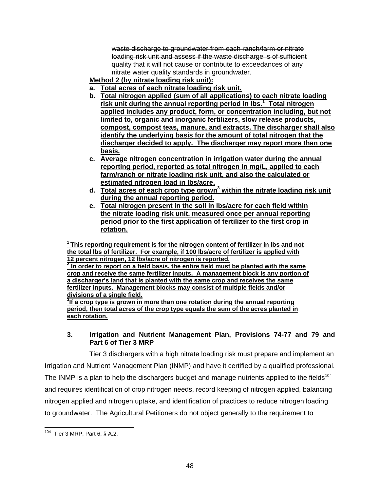waste discharge to groundwater from each ranch/farm or nitrate loading risk unit and assess if the waste discharge is of sufficient quality that it will not cause or contribute to exceedances of any nitrate water quality standards in groundwater.

- **Method 2 (by nitrate loading risk unit):**
- **a. Total acres of each nitrate loading risk unit.**
- **b. Total nitrogen applied (sum of all applications) to each nitrate loading risk unit during the annual reporting period in lbs.<sup>1</sup> Total nitrogen applied includes any product, form, or concentration including, but not limited to, organic and inorganic fertilizers, slow release products, compost, compost teas, manure, and extracts. The discharger shall also identify the underlying basis for the amount of total nitrogen that the discharger decided to apply. The discharger may report more than one basis.**
- **c. Average nitrogen concentration in irrigation water during the annual reporting period, reported as total nitrogen in mg/L, applied to each farm/ranch or nitrate loading risk unit, and also the calculated or estimated nitrogen load in lbs/acre.**
- **d. Total acres of each crop type grown <sup>3</sup> within the nitrate loading risk unit during the annual reporting period.**
- **e. Total nitrogen present in the soil in lbs/acre for each field within the nitrate loading risk unit, measured once per annual reporting period prior to the first application of fertilizer to the first crop in rotation.**

**<sup>1</sup>This reporting requirement is for the nitrogen content of fertilizer in lbs and not the total lbs of fertilizer. For example, if 100 lbs/acre of fertilizer is applied with 12 percent nitrogen, 12 lbs/acre of nitrogen is reported. 2**

**In order to report on a field basis, the entire field must be planted with the same crop and receive the same fertilizer inputs. A management block is any portion of a discharger's land that is planted with the same crop and receives the same fertilizer inputs. Management blocks may consist of multiple fields and/or divisions of a single field.**

**3 If a crop type is grown in more than one rotation during the annual reporting period, then total acres of the crop type equals the sum of the acres planted in each rotation.**

## **3. Irrigation and Nutrient Management Plan, Provisions 74-77 and 79 and Part 6 of Tier 3 MRP**

Tier 3 dischargers with a high nitrate loading risk must prepare and implement an Irrigation and Nutrient Management Plan (INMP) and have it certified by a qualified professional. The INMP is a plan to help the dischargers budget and manage nutrients applied to the fields<sup>104</sup> and requires identification of crop nitrogen needs, record keeping of nitrogen applied, balancing nitrogen applied and nitrogen uptake, and identification of practices to reduce nitrogen loading to groundwater. The Agricultural Petitioners do not object generally to the requirement to

 104 Tier 3 MRP, Part 6, § A.2.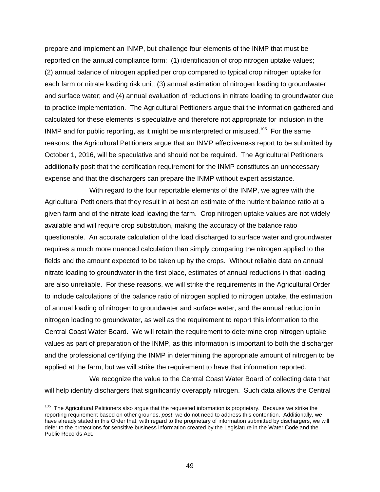prepare and implement an INMP, but challenge four elements of the INMP that must be reported on the annual compliance form: (1) identification of crop nitrogen uptake values; (2) annual balance of nitrogen applied per crop compared to typical crop nitrogen uptake for each farm or nitrate loading risk unit; (3) annual estimation of nitrogen loading to groundwater and surface water; and (4) annual evaluation of reductions in nitrate loading to groundwater due to practice implementation. The Agricultural Petitioners argue that the information gathered and calculated for these elements is speculative and therefore not appropriate for inclusion in the INMP and for public reporting, as it might be misinterpreted or misused.<sup>105</sup> For the same reasons, the Agricultural Petitioners argue that an INMP effectiveness report to be submitted by October 1, 2016, will be speculative and should not be required. The Agricultural Petitioners additionally posit that the certification requirement for the INMP constitutes an unnecessary expense and that the dischargers can prepare the INMP without expert assistance.

With regard to the four reportable elements of the INMP, we agree with the Agricultural Petitioners that they result in at best an estimate of the nutrient balance ratio at a given farm and of the nitrate load leaving the farm. Crop nitrogen uptake values are not widely available and will require crop substitution, making the accuracy of the balance ratio questionable. An accurate calculation of the load discharged to surface water and groundwater requires a much more nuanced calculation than simply comparing the nitrogen applied to the fields and the amount expected to be taken up by the crops. Without reliable data on annual nitrate loading to groundwater in the first place, estimates of annual reductions in that loading are also unreliable. For these reasons, we will strike the requirements in the Agricultural Order to include calculations of the balance ratio of nitrogen applied to nitrogen uptake, the estimation of annual loading of nitrogen to groundwater and surface water, and the annual reduction in nitrogen loading to groundwater, as well as the requirement to report this information to the Central Coast Water Board. We will retain the requirement to determine crop nitrogen uptake values as part of preparation of the INMP, as this information is important to both the discharger and the professional certifying the INMP in determining the appropriate amount of nitrogen to be applied at the farm, but we will strike the requirement to have that information reported.

We recognize the value to the Central Coast Water Board of collecting data that will help identify dischargers that significantly overapply nitrogen. Such data allows the Central

<sup>&</sup>lt;sup>105</sup> The Agricultural Petitioners also argue that the requested information is proprietary. Because we strike the reporting requirement based on other grounds, *post*, we do not need to address this contention. Additionally, we have already stated in this Order that, with regard to the proprietary of information submitted by dischargers, we will defer to the protections for sensitive business information created by the Legislature in the Water Code and the Public Records Act.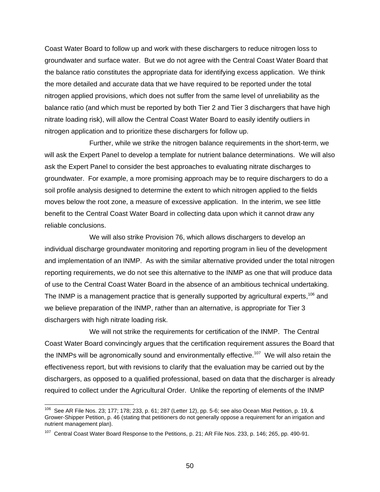Coast Water Board to follow up and work with these dischargers to reduce nitrogen loss to groundwater and surface water. But we do not agree with the Central Coast Water Board that the balance ratio constitutes the appropriate data for identifying excess application. We think the more detailed and accurate data that we have required to be reported under the total nitrogen applied provisions, which does not suffer from the same level of unreliability as the balance ratio (and which must be reported by both Tier 2 and Tier 3 dischargers that have high nitrate loading risk), will allow the Central Coast Water Board to easily identify outliers in nitrogen application and to prioritize these dischargers for follow up.

Further, while we strike the nitrogen balance requirements in the short-term, we will ask the Expert Panel to develop a template for nutrient balance determinations. We will also ask the Expert Panel to consider the best approaches to evaluating nitrate discharges to groundwater. For example, a more promising approach may be to require dischargers to do a soil profile analysis designed to determine the extent to which nitrogen applied to the fields moves below the root zone, a measure of excessive application. In the interim, we see little benefit to the Central Coast Water Board in collecting data upon which it cannot draw any reliable conclusions.

We will also strike Provision 76, which allows dischargers to develop an individual discharge groundwater monitoring and reporting program in lieu of the development and implementation of an INMP. As with the similar alternative provided under the total nitrogen reporting requirements, we do not see this alternative to the INMP as one that will produce data of use to the Central Coast Water Board in the absence of an ambitious technical undertaking. The INMP is a management practice that is generally supported by agricultural experts,<sup>106</sup> and we believe preparation of the INMP, rather than an alternative, is appropriate for Tier 3 dischargers with high nitrate loading risk.

We will not strike the requirements for certification of the INMP. The Central Coast Water Board convincingly argues that the certification requirement assures the Board that the INMPs will be agronomically sound and environmentally effective.<sup>107</sup> We will also retain the effectiveness report, but with revisions to clarify that the evaluation may be carried out by the dischargers, as opposed to a qualified professional, based on data that the discharger is already required to collect under the Agricultural Order. Unlike the reporting of elements of the INMP

 106 See AR File Nos. 23; 177; 178; 233, p. 61; 287 (Letter 12), pp. 5-6; see also Ocean Mist Petition, p. 19, & Grower-Shipper Petition, p. 46 (stating that petitioners do not generally oppose a requirement for an irrigation and nutrient management plan).

<sup>&</sup>lt;sup>107</sup> Central Coast Water Board Response to the Petitions, p. 21; AR File Nos. 233, p. 146; 265, pp. 490-91.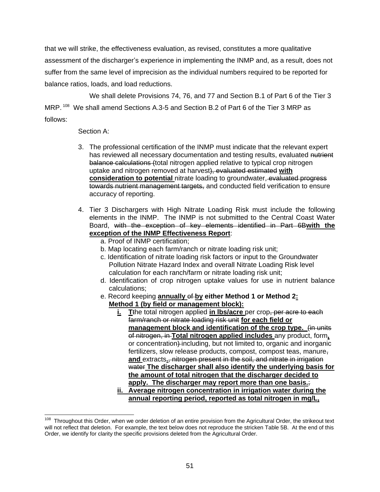that we will strike, the effectiveness evaluation, as revised, constitutes a more qualitative assessment of the discharger's experience in implementing the INMP and, as a result, does not suffer from the same level of imprecision as the individual numbers required to be reported for balance ratios, loads, and load reductions.

We shall delete Provisions 74, 76, and 77 and Section B.1 of Part 6 of the Tier 3 MRP. <sup>108</sup> We shall amend Sections A.3-5 and Section B.2 of Part 6 of the Tier 3 MRP as follows:

## Section A:

- 3. The professional certification of the INMP must indicate that the relevant expert has reviewed all necessary documentation and testing results, evaluated nutrient balance calculations (total nitrogen applied relative to typical crop nitrogen uptake and nitrogen removed at harvest), evaluated estimated **with consideration to potential** nitrate loading to groundwater, evaluated progress towards nutrient management targets, and conducted field verification to ensure accuracy of reporting.
- 4. Tier 3 Dischargers with High Nitrate Loading Risk must include the following elements in the INMP. The INMP is not submitted to the Central Coast Water Board, with the exception of key elements identified in Part 6B**with the exception of the INMP Effectiveness Report**:
	- a. Proof of INMP certification;
	- b. Map locating each farm/ranch or nitrate loading risk unit;
	- c. Identification of nitrate loading risk factors or input to the Groundwater Pollution Nitrate Hazard Index and overall Nitrate Loading Risk level calculation for each ranch/farm or nitrate loading risk unit;
	- d. Identification of crop nitrogen uptake values for use in nutrient balance calculations;
	- e. Record keeping **annually** of **by either Method 1 or Method 2: Method 1 (by field or management block):**
		- **i. T**the total nitrogen applied **in lbs/acre** per crop, per acre to each farm/ranch or nitrate loading risk unit **for each field or management block and identification of the crop type.**  $\liminf$ of nitrogen, in **Total nitrogen applied includes** any product, form**,** or concentration) including, but not limited to, organic and inorganic fertilizers, slow release products, compost, compost teas, manure, **and** extracts**.**, nitrogen present in the soil, and nitrate in irrigation water **The discharger shall also identify the underlying basis for the amount of total nitrogen that the discharger decided to apply. The discharger may report more than one basis.**;

**ii. Average nitrogen concentration in irrigation water during the annual reporting period, reported as total nitrogen in mg/L,** 

 108 Throughout this Order, when we order deletion of an entire provision from the Agricultural Order, the strikeout text will not reflect that deletion. For example, the text below does not reproduce the stricken Table 5B. At the end of this Order, we identify for clarity the specific provisions deleted from the Agricultural Order.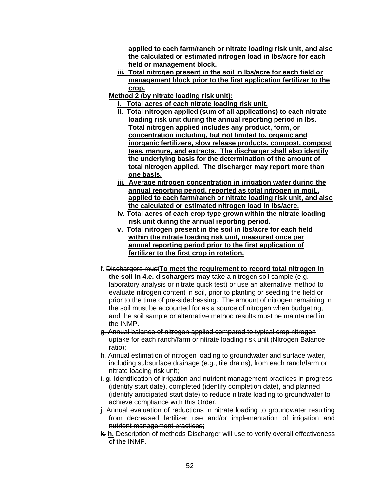**applied to each farm/ranch or nitrate loading risk unit, and also the calculated or estimated nitrogen load in lbs/acre for each field or management block.**

- **iii. Total nitrogen present in the soil in lbs/acre for each field or management block prior to the first application fertilizer to the crop.**
- **Method 2 (by nitrate loading risk unit):**
	- **i. Total acres of each nitrate loading risk unit.**
	- **ii. Total nitrogen applied (sum of all applications) to each nitrate loading risk unit during the annual reporting period in lbs. Total nitrogen applied includes any product, form, or concentration including, but not limited to, organic and inorganic fertilizers, slow release products, compost, compost teas, manure, and extracts. The discharger shall also identify the underlying basis for the determination of the amount of total nitrogen applied. The discharger may report more than one basis.**
	- **iii. Average nitrogen concentration in irrigation water during the annual reporting period, reported as total nitrogen in mg/L, applied to each farm/ranch or nitrate loading risk unit, and also the calculated or estimated nitrogen load in lbs/acre.**
	- **iv. Total acres of each crop type grown within the nitrate loading risk unit during the annual reporting period.**
	- **v. Total nitrogen present in the soil in lbs/acre for each field within the nitrate loading risk unit, measured once per annual reporting period prior to the first application of fertilizer to the first crop in rotation.**
- f. Dischargers must**To meet the requirement to record total nitrogen in the soil in 4.e. dischargers may** take a nitrogen soil sample (e.g. laboratory analysis or nitrate quick test) or use an alternative method to evaluate nitrogen content in soil, prior to planting or seeding the field or prior to the time of pre-sidedressing. The amount of nitrogen remaining in the soil must be accounted for as a source of nitrogen when budgeting, and the soil sample or alternative method results must be maintained in the INMP.
- g. Annual balance of nitrogen applied compared to typical crop nitrogen uptake for each ranch/farm or nitrate loading risk unit (Nitrogen Balance ratio);
- h. Annual estimation of nitrogen loading to groundwater and surface water, including subsurface drainage (e.g., tile drains), from each ranch/farm or nitrate loading risk unit:
- i. **g**. Identification of irrigation and nutrient management practices in progress (identify start date), completed (identify completion date), and planned (identify anticipated start date) to reduce nitrate loading to groundwater to achieve compliance with this Order.
- j. Annual evaluation of reductions in nitrate loading to groundwater resulting from decreased fertilizer use and/or implementation of irrigation and nutrient management practices;
- k. **h.** Description of methods Discharger will use to verify overall effectiveness of the INMP.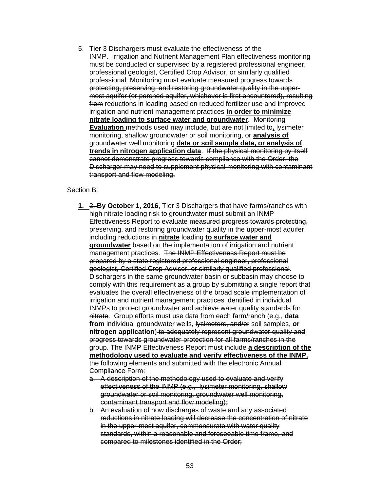5. Tier 3 Dischargers must evaluate the effectiveness of the INMP. Irrigation and Nutrient Management Plan effectiveness monitoring must be conducted or supervised by a registered professional engineer, professional geologist, Certified Crop Advisor, or similarly qualified professional. Monitoring must evaluate measured progress towards protecting, preserving, and restoring groundwater quality in the uppermost aquifer (or perched aquifer, whichever is first encountered), resulting from reductions in loading based on reduced fertilizer use and improved irrigation and nutrient management practices **in order to minimize nitrate loading to surface water and groundwater**. Monitoring **Evaluation** methods used may include, but are not limited to, lysimeter monitoring, shallow groundwater or soil monitoring, or **analysis of**  groundwater well monitoring **data or soil sample data, or analysis of trends in nitrogen application data**. If the physical monitoring by itself cannot demonstrate progress towards compliance with the Order, the Discharger may need to supplement physical monitoring with contaminant transport and flow modeling.

#### Section B:

- **1.** 2. **By October 1, 2016**, Tier 3 Dischargers that have farms/ranches with high nitrate loading risk to groundwater must submit an INMP Effectiveness Report to evaluate measured progress towards protecting, preserving, and restoring groundwater quality in the upper-most aquifer, including reductions in **nitrate** loading **to surface water and groundwater** based on the implementation of irrigation and nutrient management practices. The INMP Effectiveness Report must be prepared by a state registered professional engineer, professional geologist, Certified Crop Advisor, or similarly qualified professional. Dischargers in the same groundwater basin or subbasin may choose to comply with this requirement as a group by submitting a single report that evaluates the overall effectiveness of the broad scale implementation of irrigation and nutrient management practices identified in individual INMPs to protect groundwater and achieve water quality standards for nitrate. Group efforts must use data from each farm/ranch (e.g., **data from** individual groundwater wells, lysimeters, and/or soil samples, **or nitrogen application**) to adequately represent groundwater quality and progress towards groundwater protection for all farms/ranches in the group. The INMP Effectiveness Report must include **a description of the methodology used to evaluate and verify effectiveness of the INMP.** the following elements and submitted with the electronic Annual Compliance Form:
	- a. A description of the methodology used to evaluate and verify effectiveness of the INMP (e.g., lysimeter monitoring, shallow groundwater or soil monitoring, groundwater well monitoring, contaminant transport and flow modeling);
	- b. An evaluation of how discharges of waste and any associated reductions in nitrate loading will decrease the concentration of nitrate in the upper-most aquifer, commensurate with water quality standards, within a reasonable and foreseeable time frame, and compared to milestones identified in the Order;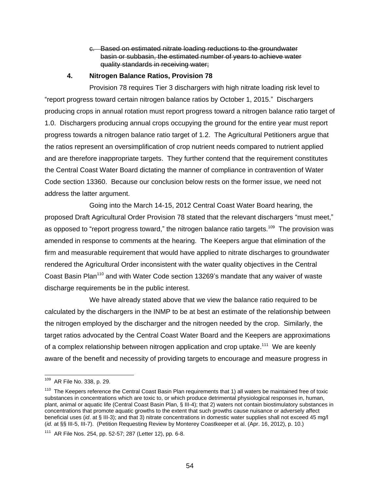### c. Based on estimated nitrate loading reductions to the groundwater basin or subbasin, the estimated number of years to achieve water quality standards in receiving water;

## **4. Nitrogen Balance Ratios, Provision 78**

Provision 78 requires Tier 3 dischargers with high nitrate loading risk level to "report progress toward certain nitrogen balance ratios by October 1, 2015." Dischargers producing crops in annual rotation must report progress toward a nitrogen balance ratio target of 1.0. Dischargers producing annual crops occupying the ground for the entire year must report progress towards a nitrogen balance ratio target of 1.2. The Agricultural Petitioners argue that the ratios represent an oversimplification of crop nutrient needs compared to nutrient applied and are therefore inappropriate targets. They further contend that the requirement constitutes the Central Coast Water Board dictating the manner of compliance in contravention of Water Code section 13360. Because our conclusion below rests on the former issue, we need not address the latter argument.

Going into the March 14-15, 2012 Central Coast Water Board hearing, the proposed Draft Agricultural Order Provision 78 stated that the relevant dischargers "must meet," as opposed to "report progress toward," the nitrogen balance ratio targets.<sup>109</sup> The provision was amended in response to comments at the hearing. The Keepers argue that elimination of the firm and measurable requirement that would have applied to nitrate discharges to groundwater rendered the Agricultural Order inconsistent with the water quality objectives in the Central Coast Basin Plan<sup>110</sup> and with Water Code section 13269's mandate that any waiver of waste discharge requirements be in the public interest.

We have already stated above that we view the balance ratio required to be calculated by the dischargers in the INMP to be at best an estimate of the relationship between the nitrogen employed by the discharger and the nitrogen needed by the crop. Similarly, the target ratios advocated by the Central Coast Water Board and the Keepers are approximations of a complex relationship between nitrogen application and crop uptake.<sup>111</sup> We are keenly aware of the benefit and necessity of providing targets to encourage and measure progress in

 109 AR File No. 338, p. 29.

<sup>&</sup>lt;sup>110</sup> The Keepers reference the Central Coast Basin Plan requirements that 1) all waters be maintained free of toxic substances in concentrations which are toxic to, or which produce detrimental physiological responses in, human, plant, animal or aquatic life (Central Coast Basin Plan, § III-4); that 2) waters not contain biostimulatory substances in concentrations that promote aquatic growths to the extent that such growths cause nuisance or adversely affect beneficial uses (*id*. at § III-3); and that 3) nitrate concentrations in domestic water supplies shall not exceed 45 mg/l (*id.* at §§ III-5, III-7). (Petition Requesting Review by Monterey Coastkeeper et al. (Apr. 16, 2012), p. 10.)

<sup>&</sup>lt;sup>111</sup> AR File Nos. 254, pp. 52-57; 287 (Letter 12), pp. 6-8.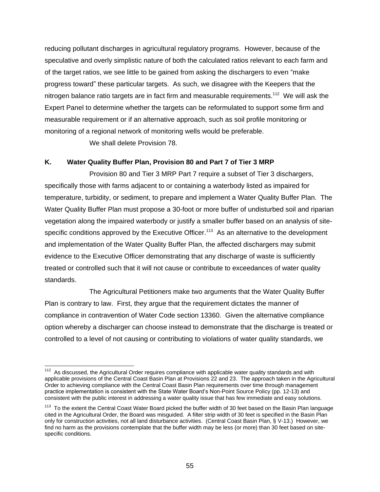reducing pollutant discharges in agricultural regulatory programs. However, because of the speculative and overly simplistic nature of both the calculated ratios relevant to each farm and of the target ratios, we see little to be gained from asking the dischargers to even "make progress toward" these particular targets. As such, we disagree with the Keepers that the nitrogen balance ratio targets are in fact firm and measurable requirements.<sup>112</sup> We will ask the Expert Panel to determine whether the targets can be reformulated to support some firm and measurable requirement or if an alternative approach, such as soil profile monitoring or monitoring of a regional network of monitoring wells would be preferable.

We shall delete Provision 78.

## **K. Water Quality Buffer Plan, Provision 80 and Part 7 of Tier 3 MRP**

Provision 80 and Tier 3 MRP Part 7 require a subset of Tier 3 dischargers, specifically those with farms adjacent to or containing a waterbody listed as impaired for temperature, turbidity, or sediment, to prepare and implement a Water Quality Buffer Plan. The Water Quality Buffer Plan must propose a 30-foot or more buffer of undisturbed soil and riparian vegetation along the impaired waterbody or justify a smaller buffer based on an analysis of sitespecific conditions approved by the Executive Officer.<sup>113</sup> As an alternative to the development and implementation of the Water Quality Buffer Plan, the affected dischargers may submit evidence to the Executive Officer demonstrating that any discharge of waste is sufficiently treated or controlled such that it will not cause or contribute to exceedances of water quality standards.

The Agricultural Petitioners make two arguments that the Water Quality Buffer Plan is contrary to law. First, they argue that the requirement dictates the manner of compliance in contravention of Water Code section 13360. Given the alternative compliance option whereby a discharger can choose instead to demonstrate that the discharge is treated or controlled to a level of not causing or contributing to violations of water quality standards, we

  $112$  As discussed, the Agricultural Order requires compliance with applicable water quality standards and with applicable provisions of the Central Coast Basin Plan at Provisions 22 and 23. The approach taken in the Agricultural Order to achieving compliance with the Central Coast Basin Plan requirements over time through management practice implementation is consistent with the State Water Board's Non-Point Source Policy (pp. 12-13) and consistent with the public interest in addressing a water quality issue that has few immediate and easy solutions.

<sup>&</sup>lt;sup>113</sup> To the extent the Central Coast Water Board picked the buffer width of 30 feet based on the Basin Plan language cited in the Agricultural Order, the Board was misguided. A filter strip width of 30 feet is specified in the Basin Plan only for construction activities, not all land disturbance activities. (Central Coast Basin Plan, § V-13.) However, we find no harm as the provisions contemplate that the buffer width may be less (or more) than 30 feet based on sitespecific conditions.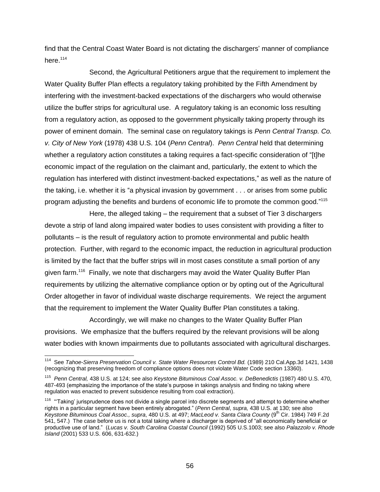find that the Central Coast Water Board is not dictating the dischargers' manner of compliance here.<sup>114</sup>

Second, the Agricultural Petitioners argue that the requirement to implement the Water Quality Buffer Plan effects a regulatory taking prohibited by the Fifth Amendment by interfering with the investment-backed expectations of the dischargers who would otherwise utilize the buffer strips for agricultural use. A regulatory taking is an economic loss resulting from a regulatory action, as opposed to the government physically taking property through its power of eminent domain. The seminal case on regulatory takings is *Penn Central Transp. Co. v. City of New York* (1978) 438 U.S. 104 (*Penn Central*). *Penn Central* held that determining whether a regulatory action constitutes a taking requires a fact-specific consideration of "[t]he economic impact of the regulation on the claimant and, particularly, the extent to which the regulation has interfered with distinct investment-backed expectations," as well as the nature of the taking, i.e. whether it is "a physical invasion by government . . . or arises from some public program adjusting the benefits and burdens of economic life to promote the common good."115

Here, the alleged taking – the requirement that a subset of Tier 3 dischargers devote a strip of land along impaired water bodies to uses consistent with providing a filter to pollutants – is the result of regulatory action to promote environmental and public health protection. Further, with regard to the economic impact, the reduction in agricultural production is limited by the fact that the buffer strips will in most cases constitute a small portion of any given farm.<sup>116</sup> Finally, we note that dischargers may avoid the Water Quality Buffer Plan requirements by utilizing the alternative compliance option or by opting out of the Agricultural Order altogether in favor of individual waste discharge requirements. We reject the argument that the requirement to implement the Water Quality Buffer Plan constitutes a taking.

Accordingly, we will make no changes to the Water Quality Buffer Plan provisions. We emphasize that the buffers required by the relevant provisions will be along water bodies with known impairments due to pollutants associated with agricultural discharges.

 114 See *Tahoe-Sierra Preservation Council v. State Water Resources Control Bd.* (1989) 210 Cal.App.3d 1421, 1438 (recognizing that preserving freedom of compliance options does not violate Water Code section 13360).

<sup>115</sup> *Penn Central,* 438 U.S. at 124; see also *Keystone Bituminous Coal Assoc. v. DeBenedictis* (1987) 480 U.S. 470, 487-493 (emphasizing the importance of the state's purpose in takings analysis and finding no taking where regulation was enacted to prevent subsidence resulting from coal extraction).

<sup>&</sup>lt;sup>116</sup> "Taking' jurisprudence does not divide a single parcel into discrete segments and attempt to determine whether rights in a particular segment have been entirely abrogated." (*Penn Central*, *supra,* 438 U.S. at 130; see also Keystone Bituminous Coal Assoc., supra, 480 U.S. at 497; MacLeod v. Santa Clara County (9<sup>th</sup> Cir. 1984) 749 F.2d 541, 547.) The case before us is not a total taking where a discharger is deprived of "all economically beneficial or productive use of land." (*Lucas v. South Carolina Coastal Council* (1992) 505 U.S.1003; see also *Palazzolo v. Rhode Island* (2001) 533 U.S. 606, 631-632.)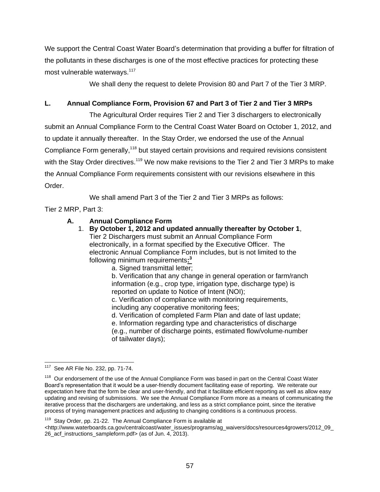We support the Central Coast Water Board's determination that providing a buffer for filtration of the pollutants in these discharges is one of the most effective practices for protecting these most vulnerable waterways.<sup>117</sup>

We shall deny the request to delete Provision 80 and Part 7 of the Tier 3 MRP.

## **L. Annual Compliance Form, Provision 67 and Part 3 of Tier 2 and Tier 3 MRPs**

The Agricultural Order requires Tier 2 and Tier 3 dischargers to electronically submit an Annual Compliance Form to the Central Coast Water Board on October 1, 2012, and to update it annually thereafter. In the Stay Order, we endorsed the use of the Annual Compliance Form generally,<sup>118</sup> but stayed certain provisions and required revisions consistent with the Stay Order directives.<sup>119</sup> We now make revisions to the Tier 2 and Tier 3 MRPs to make the Annual Compliance Form requirements consistent with our revisions elsewhere in this Order.

We shall amend Part 3 of the Tier 2 and Tier 3 MRPs as follows:

Tier 2 MRP, Part 3:

## **A. Annual Compliance Form**

- 1. **By October 1, 2012 and updated annually thereafter by October 1**, Tier 2 Dischargers must submit an Annual Compliance Form electronically, in a format specified by the Executive Officer. The electronic Annual Compliance Form includes, but is not limited to the following minimum requirements**: 3**
	- a. Signed transmittal letter;

b. Verification that any change in general operation or farm/ranch information (e.g., crop type, irrigation type, discharge type) is reported on update to Notice of Intent (NOI);

c. Verification of compliance with monitoring requirements, including any cooperative monitoring fees;

d. Verification of completed Farm Plan and date of last update;

e. Information regarding type and characteristics of discharge

(e.g., number of discharge points, estimated flow/volume number of tailwater days);

<sup>119</sup> Stay Order, pp. 21-22. The Annual Compliance Form is available at

<sup>&</sup>lt;u>117</u> See AR File No. 232, pp. 71-74.

<sup>&</sup>lt;sup>118</sup> Our endorsement of the use of the Annual Compliance Form was based in part on the Central Coast Water Board's representation that it would be a user-friendly document facilitating ease of reporting. We reiterate our expectation here that the form be clear and user-friendly, and that it facilitate efficient reporting as well as allow easy updating and revising of submissions. We see the Annual Compliance Form more as a means of communicating the iterative process that the dischargers are undertaking, and less as a strict compliance point, since the iterative process of trying management practices and adjusting to changing conditions is a continuous process.

 $\lt$ http://www.waterboards.ca.gov/centralcoast/water\_issues/programs/ag\_waivers/docs/resources4growers/2012\_09\_ 26\_acf\_instructions\_sampleform.pdf> (as of Jun. 4, 2013).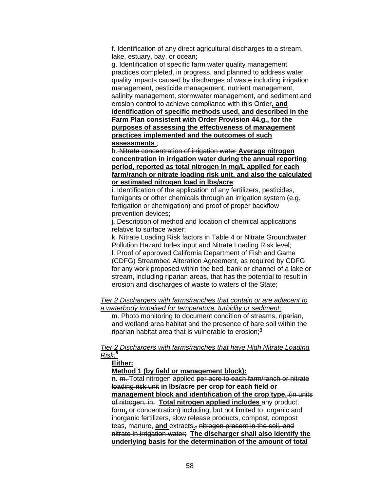f. Identification of any direct agricultural discharges to a stream, lake, estuary, bay, or ocean;

g. Identification of specific farm water quality management practices completed, in progress, and planned to address water quality impacts caused by discharges of waste including irrigation management, pesticide management, nutrient management, salinity management, stormwater management, and sediment and erosion control to achieve compliance with this Order**, and identification of specific methods used, and described in the Farm Plan consistent with Order Provision 44.g., for the purposes of assessing the effectiveness of management practices implemented and the outcomes of such assessments** ;

h. Nitrate concentration of irrigation water **Average nitrogen concentration in irrigation water during the annual reporting period, reported as total nitrogen in mg/L applied for each farm/ranch or nitrate loading risk unit, and also the calculated or estimated nitrogen load in lbs/acre**;

i. Identification of the application of any fertilizers, pesticides, fumigants or other chemicals through an irrigation system (e.g. fertigation or chemigation) and proof of proper backflow prevention devices;

j. Description of method and location of chemical applications relative to surface water;

k. Nitrate Loading Risk factors in Table 4 or Nitrate Groundwater Pollution Hazard Index input and Nitrate Loading Risk level; l. Proof of approved California Department of Fish and Game (CDFG) Streambed Alteration Agreement, as required by CDFG for any work proposed within the bed, bank or channel of a lake or stream, including riparian areas, that has the potential to result in erosion and discharges of waste to waters of the State;

#### *Tier 2 Dischargers with farms/ranches that contain or are adjacent to a waterbody impaired for temperature, turbidity or sediment:*

m. Photo monitoring to document condition of streams, riparian, and wetland area habitat and the presence of bare soil within the riparian habitat area that is vulnerable to erosion;**<sup>4</sup>**

#### *Tier 2 Dischargers with farms/ranches that have High Nitrate Loading Risk:***<sup>5</sup>**

#### **Either:**

**Method 1 (by field or management block):**

**n.** m. Total nitrogen applied per acre to each farm/ranch or nitrate loading risk unit **in lbs/acre per crop for each field or management block and identification of the crop type.** (in units of nitrogen, in **Total nitrogen applied includes** any product, form**,** or concentration) including, but not limited to, organic and inorganic fertilizers, slow release products, compost, compost teas, manure, **and** extracts**.**, nitrogen present in the soil, and nitrate in irrigation water; **The discharger shall also identify the underlying basis for the determination of the amount of total**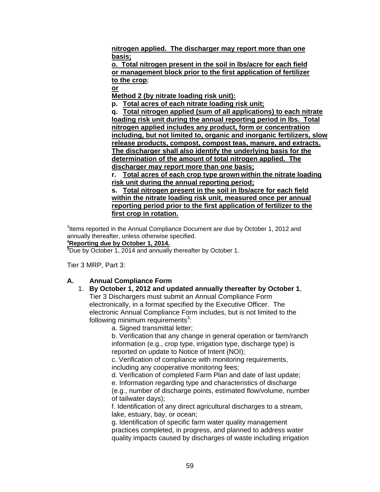**nitrogen applied. The discharger may report more than one basis;**

**o. Total nitrogen present in the soil in lbs/acre for each field or management block prior to the first application of fertilizer to the crop**;

**or**

**Method 2 (by nitrate loading risk unit):**

**p. Total acres of each nitrate loading risk unit;**

**q. Total nitrogen applied (sum of all applications) to each nitrate loading risk unit during the annual reporting period in lbs. Total nitrogen applied includes any product, form or concentration including, but not limited to, organic and inorganic fertilizers, slow release products, compost, compost teas, manure, and extracts. The discharger shall also identify the underlying basis for the determination of the amount of total nitrogen applied. The discharger may report more than one basis;**

**r. Total acres of each crop type grown within the nitrate loading risk unit during the annual reporting period;**

**s. Total nitrogen present in the soil in lbs/acre for each field within the nitrate loading risk unit, measured once per annual reporting period prior to the first application of fertilizer to the first crop in rotation.**

 $3$ Items reported in the Annual Compliance Document are due by October 1, 2012 and annually thereafter, unless otherwise specified. **<sup>4</sup>Reporting due by October 1, 2014.**

**<sup>5</sup>**Due by October 1, 2014 and annually thereafter by October 1.

Tier 3 MRP, Part 3:

## **A. Annual Compliance Form**

1. **By October 1, 2012 and updated annually thereafter by October 1**, Tier 3 Dischargers must submit an Annual Compliance Form electronically, in a format specified by the Executive Officer. The electronic Annual Compliance Form includes, but is not limited to the following minimum requirements<sup>3</sup>:

a. Signed transmittal letter;

b. Verification that any change in general operation or farm/ranch information (e.g., crop type, irrigation type, discharge type) is reported on update to Notice of Intent (NOI);

c. Verification of compliance with monitoring requirements, including any cooperative monitoring fees;

d. Verification of completed Farm Plan and date of last update;

e. Information regarding type and characteristics of discharge

(e.g., number of discharge points, estimated flow/volume, number of tailwater days);

f. Identification of any direct agricultural discharges to a stream, lake, estuary, bay, or ocean;

g. Identification of specific farm water quality management practices completed, in progress, and planned to address water quality impacts caused by discharges of waste including irrigation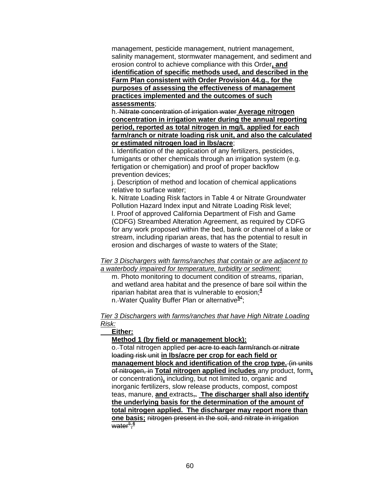management, pesticide management, nutrient management, salinity management, stormwater management, and sediment and erosion control to achieve compliance with this Order**, and identification of specific methods used, and described in the Farm Plan consistent with Order Provision 44.g., for the purposes of assessing the effectiveness of management practices implemented and the outcomes of such assessments**;

h. Nitrate concentration of irrigation water **Average nitrogen concentration in irrigation water during the annual reporting period, reported as total nitrogen in mg/L applied for each farm/ranch or nitrate loading risk unit, and also the calculated or estimated nitrogen load in lbs/acre**;

i. Identification of the application of any fertilizers, pesticides, fumigants or other chemicals through an irrigation system (e.g. fertigation or chemigation) and proof of proper backflow prevention devices;

j. Description of method and location of chemical applications relative to surface water;

k. Nitrate Loading Risk factors in Table 4 or Nitrate Groundwater Pollution Hazard Index input and Nitrate Loading Risk level; l. Proof of approved California Department of Fish and Game (CDFG) Streambed Alteration Agreement, as required by CDFG for any work proposed within the bed, bank or channel of a lake or stream, including riparian areas, that has the potential to result in erosion and discharges of waste to waters of the State;

#### *Tier 3 Dischargers with farms/ranches that contain or are adjacent to a waterbody impaired for temperature, turbidity or sediment:*

m. Photo monitoring to document condition of streams, riparian, and wetland area habitat and the presence of bare soil within the riparian habitat area that is vulnerable to erosion;**<sup>4</sup>** n. Water Quality Buffer Plan or alternative**<sup>5</sup>**<sup>4</sup> ;

## *Tier 3 Dischargers with farms/ranches that have High Nitrate Loading Risk:*

## **Either:**

**Method 1 (by field or management block):**

o.-Total nitrogen applied per acre to each farm/ranch or nitrate loading risk unit **in lbs/acre per crop for each field or management block and identification of the crop type.** (in units of nitrogen, in **Total nitrogen applied includes** any product, form**,** or concentration)**,** including, but not limited to, organic and inorganic fertilizers, slow release products, compost, compost teas, manure, **and** extracts,**. The discharger shall also identify the underlying basis for the determination of the amount of total nitrogen applied. The discharger may report more than one basis;** nitrogen present in the soil, and nitrate in irrigation water<sup>5</sup>;<sup>6</sup>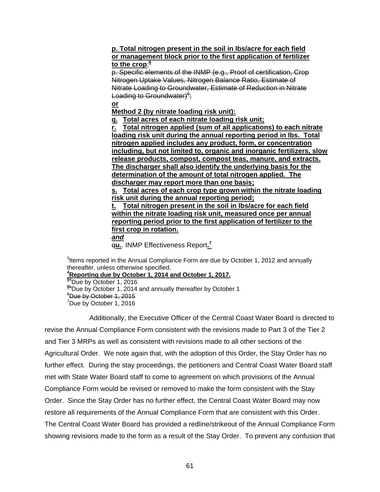## **p. Total nitrogen present in the soil in lbs/acre for each field or management block prior to the first application of fertilizer to the crop**; **6**

p. Specific elements of the INMP (e.g., Proof of certification, Crop Nitrogen Uptake Values, Nitrogen Balance Ratio, Estimate of Nitrate Loading to Groundwater, Estimate of Reduction in Nitrate Loading to Groundwater)<sup>6</sup>;

**or**

**Method 2 (by nitrate loading risk unit):**

**q. Total acres of each nitrate loading risk unit;**

**r. Total nitrogen applied (sum of all applications) to each nitrate loading risk unit during the annual reporting period in lbs. Total nitrogen applied includes any product, form, or concentration including, but not limited to, organic and inorganic fertilizers, slow release products, compost, compost teas, manure, and extracts. The discharger shall also identify the underlying basis for the determination of the amount of total nitrogen applied. The discharger may report more than one basis;**

**s. Total acres of each crop type grown within the nitrate loading risk unit during the annual reporting period;**

**t. Total nitrogen present in the soil in lbs/acre for each field within the nitrate loading risk unit, measured once per annual reporting period prior to the first application of fertilizer to the first crop in rotation.**

*and*

q**u.**. INMP Effectiveness Report**. 7**

 $3$ Items reported in the Annual Compliance Form are due by October 1, 2012 and annually thereafter, unless otherwise specified.

**<sup>4</sup>Reporting due by October 1, 2014 and October 1, 2017.**

**<sup>5</sup>**<sup>4</sup>Due by October 1, 2016 **<sup>6</sup>**<sup>5</sup>Due by October 1, 2014 and annually thereafter by October 1  $^6$ Due by October 1, 2015

 $^{\prime}$ Due by October 1, 2016

Additionally, the Executive Officer of the Central Coast Water Board is directed to revise the Annual Compliance Form consistent with the revisions made to Part 3 of the Tier 2 and Tier 3 MRPs as well as consistent with revisions made to all other sections of the Agricultural Order. We note again that, with the adoption of this Order, the Stay Order has no further effect. During the stay proceedings, the petitioners and Central Coast Water Board staff met with State Water Board staff to come to agreement on which provisions of the Annual Compliance Form would be revised or removed to make the form consistent with the Stay Order. Since the Stay Order has no further effect, the Central Coast Water Board may now restore all requirements of the Annual Compliance Form that are consistent with this Order. The Central Coast Water Board has provided a redline/strikeout of the Annual Compliance Form showing revisions made to the form as a result of the Stay Order. To prevent any confusion that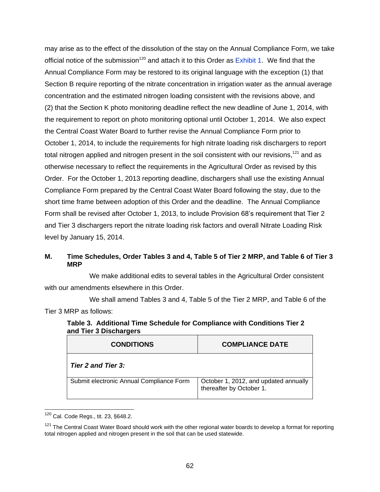may arise as to the effect of the dissolution of the stay on the Annual Compliance Form, we take official notice of the submission<sup>120</sup> and attach it to this Order as  $Exhibit 1$ . We find that the Annual Compliance Form may be restored to its original language with the exception (1) that Section B require reporting of the nitrate concentration in irrigation water as the annual average concentration and the estimated nitrogen loading consistent with the revisions above, and (2) that the Section K photo monitoring deadline reflect the new deadline of June 1, 2014, with the requirement to report on photo monitoring optional until October 1, 2014. We also expect the Central Coast Water Board to further revise the Annual Compliance Form prior to October 1, 2014, to include the requirements for high nitrate loading risk dischargers to report total nitrogen applied and nitrogen present in the soil consistent with our revisions,  $121$  and as otherwise necessary to reflect the requirements in the Agricultural Order as revised by this Order. For the October 1, 2013 reporting deadline, dischargers shall use the existing Annual Compliance Form prepared by the Central Coast Water Board following the stay, due to the short time frame between adoption of this Order and the deadline. The Annual Compliance Form shall be revised after October 1, 2013, to include Provision 68's requirement that Tier 2 and Tier 3 dischargers report the nitrate loading risk factors and overall Nitrate Loading Risk level by January 15, 2014.

## **M. Time Schedules, Order Tables 3 and 4, Table 5 of Tier 2 MRP, and Table 6 of Tier 3 MRP**

We make additional edits to several tables in the Agricultural Order consistent with our amendments elsewhere in this Order.

We shall amend Tables 3 and 4, Table 5 of the Tier 2 MRP, and Table 6 of the Tier 3 MRP as follows:

## **Table 3. Additional Time Schedule for Compliance with Conditions Tier 2 and Tier 3 Dischargers**

| <b>CONDITIONS</b>                        | <b>COMPLIANCE DATE</b>                                            |
|------------------------------------------|-------------------------------------------------------------------|
| <b>Tier 2 and Tier 3:</b>                |                                                                   |
| Submit electronic Annual Compliance Form | October 1, 2012, and updated annually<br>thereafter by October 1. |

  $120$  Cal. Code Regs., tit. 23, §648.2.

 $121$  The Central Coast Water Board should work with the other regional water boards to develop a format for reporting total nitrogen applied and nitrogen present in the soil that can be used statewide.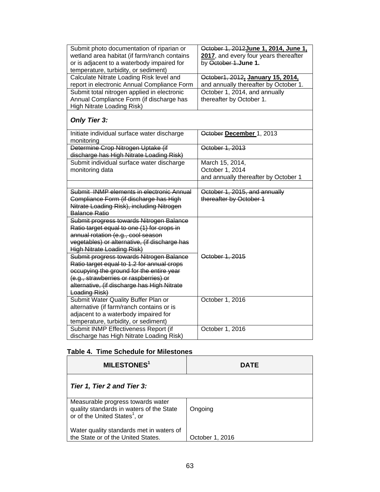| Submit photo documentation of riparian or     | October 1, 2012 June 1, 2014, June 1, |
|-----------------------------------------------|---------------------------------------|
| wetland area habitat (if farm/ranch contains  | 2017, and every four years thereafter |
| or is adjacent to a waterbody impaired for    | by October 1.June 1.                  |
| temperature, turbidity, or sediment)          |                                       |
| Calculate Nitrate Loading Risk level and      | October1, 2012, January 15, 2014,     |
| report in electronic Annual Compliance Form   | and annually thereafter by October 1. |
| Submit total nitrogen applied in electronic   | October 1, 2014, and annually         |
| Annual Compliance Form (if discharge has      | thereafter by October 1.              |
| High Nitrate Loading Risk)                    |                                       |
|                                               |                                       |
| <b>Only Tier 3:</b>                           |                                       |
| Initiate individual surface water discharge   | October December 1, 2013              |
| monitoring                                    |                                       |
| Determine Crop Nitrogen Uptake (if            | October 1, 2013                       |
| discharge has High Nitrate Loading Risk)      |                                       |
| Submit individual surface water discharge     | March 15, 2014,                       |
| monitoring data                               | October 1, 2014                       |
|                                               | and annually thereafter by October 1  |
|                                               |                                       |
| Submit INMP elements in electronic Annual     | October 1, 2015, and annually         |
| Compliance Form (if discharge has High        | thereafter by October 1               |
| Nitrate Loading Risk), including Nitrogen     |                                       |
| <b>Balance Ratio</b>                          |                                       |
| Submit progress towards Nitrogen Balance      |                                       |
| Ratio target equal to one (1) for crops in    |                                       |
| annual rotation (e.g., cool season            |                                       |
| vegetables) or alternative, (if discharge has |                                       |
| <b>High Nitrate Loading Risk)</b>             |                                       |
| Submit progress towards Nitrogen Balance      | October 1, 2015                       |
| Ratio target equal to 1.2 for annual crops    |                                       |
| occupying the ground for the entire year      |                                       |
| (e.g., strawberries or raspberries) or        |                                       |
| alternative, (if discharge has High Nitrate   |                                       |
| Loading Risk)                                 |                                       |
| Submit Water Quality Buffer Plan or           | October 1, 2016                       |
| alternative (if farm/ranch contains or is     |                                       |
| adjacent to a waterbody impaired for          |                                       |
| temperature, turbidity, or sediment)          |                                       |
| Submit INMP Effectiveness Report (if          | October 1, 2016                       |
| discharge has High Nitrate Loading Risk)      |                                       |

# **Table 4. Time Schedule for Milestones**

| <b>MILESTONES<sup>1</sup></b>                                                                                              | <b>DATE</b>     |
|----------------------------------------------------------------------------------------------------------------------------|-----------------|
| Tier 1, Tier 2 and Tier 3:                                                                                                 |                 |
| Measurable progress towards water<br>quality standards in waters of the State<br>or of the United States <sup>1</sup> , or | Ongoing         |
| Water quality standards met in waters of<br>the State or of the United States.                                             | October 1, 2016 |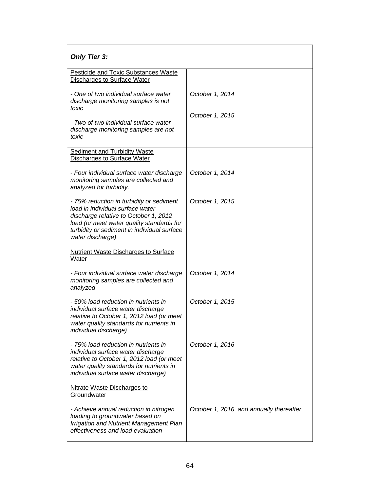| <b>Only Tier 3:</b>                                                                                                                                                                                                                   |                                         |
|---------------------------------------------------------------------------------------------------------------------------------------------------------------------------------------------------------------------------------------|-----------------------------------------|
| <b>Pesticide and Toxic Substances Waste</b><br><b>Discharges to Surface Water</b>                                                                                                                                                     |                                         |
| - One of two individual surface water<br>discharge monitoring samples is not<br>toxic                                                                                                                                                 | October 1, 2014                         |
| - Two of two individual surface water<br>discharge monitoring samples are not<br>toxic                                                                                                                                                | October 1, 2015                         |
| <b>Sediment and Turbidity Waste</b><br>Discharges to Surface Water                                                                                                                                                                    |                                         |
| - Four individual surface water discharge<br>monitoring samples are collected and<br>analyzed for turbidity.                                                                                                                          | October 1, 2014                         |
| - 75% reduction in turbidity or sediment<br>load in individual surface water<br>discharge relative to October 1, 2012<br>load (or meet water quality standards for<br>turbidity or sediment in individual surface<br>water discharge) | October 1, 2015                         |
| <b>Nutrient Waste Discharges to Surface</b><br>Water                                                                                                                                                                                  |                                         |
| - Four individual surface water discharge<br>monitoring samples are collected and<br>analyzed                                                                                                                                         | October 1, 2014                         |
| - 50% load reduction in nutrients in<br>individual surface water discharge<br>relative to October 1, 2012 load (or meet<br>water quality standards for nutrients in<br>individual discharge)                                          | October 1, 2015                         |
| - 75% load reduction in nutrients in<br>individual surface water discharge<br>relative to October 1, 2012 load (or meet<br>water quality standards for nutrients in<br>individual surface water discharge)                            | October 1, 2016                         |
| Nitrate Waste Discharges to<br>Groundwater                                                                                                                                                                                            |                                         |
| - Achieve annual reduction in nitrogen<br>loading to groundwater based on<br><b>Irrigation and Nutrient Management Plan</b><br>effectiveness and load evaluation                                                                      | October 1, 2016 and annually thereafter |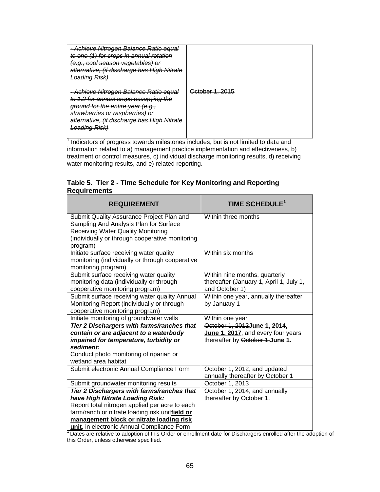| Achieve Nitrogen Balance Ratio equal<br>to one (1) for crops in annual rotation<br><del>(e.g., cool season vegetables) or</del><br>alternative, (if discharge has High Nitrate<br>l oadina Risk)<br><del>Luaumy Mon</del>    |                 |
|------------------------------------------------------------------------------------------------------------------------------------------------------------------------------------------------------------------------------|-----------------|
| Achieve Nitrogen Balance Ratio equal<br>to 1.2 for annual crops occupying the<br>ground for the entire year (e.g.,<br>strawberries or raspberries) or<br>alternative, (if discharge has High Nitrate<br><b>Loading Risk)</b> | October 1, 2015 |

<sup>1</sup> Indicators of progress towards milestones includes, but is not limited to data and information related to a) management practice implementation and effectiveness, b) treatment or control measures, c) individual discharge monitoring results, d) receiving water monitoring results, and e) related reporting.

## **Table 5. Tier 2 - Time Schedule for Key Monitoring and Reporting Requirements**

| <b>REQUIREMENT</b>                                                                                                                                                                  | TIME SCHEDULE <sup>1</sup>                                                                 |
|-------------------------------------------------------------------------------------------------------------------------------------------------------------------------------------|--------------------------------------------------------------------------------------------|
| Submit Quality Assurance Project Plan and<br>Sampling And Analysis Plan for Surface<br><b>Receiving Water Quality Monitoring</b><br>(individually or through cooperative monitoring | Within three months                                                                        |
| program)                                                                                                                                                                            |                                                                                            |
| Initiate surface receiving water quality<br>monitoring (individually or through cooperative<br>monitoring program)                                                                  | Within six months                                                                          |
| Submit surface receiving water quality<br>monitoring data (individually or through<br>cooperative monitoring program)                                                               | Within nine months, quarterly<br>thereafter (January 1, April 1, July 1,<br>and October 1) |
| Submit surface receiving water quality Annual<br>Monitoring Report (individually or through<br>cooperative monitoring program)                                                      | Within one year, annually thereafter<br>by January 1                                       |
| Initiate monitoring of groundwater wells                                                                                                                                            | Within one year                                                                            |
| Tier 2 Dischargers with farms/ranches that                                                                                                                                          | October 1, 2012June 1, 2014,                                                               |
| contain or are adjacent to a waterbody                                                                                                                                              | June 1, 2017, and every four years                                                         |
| impaired for temperature, turbidity or                                                                                                                                              | thereafter by October 1.June 1.                                                            |
| sediment:<br>Conduct photo monitoring of riparian or<br>wetland area habitat                                                                                                        |                                                                                            |
| Submit electronic Annual Compliance Form                                                                                                                                            | October 1, 2012, and updated<br>annually thereafter by October 1                           |
| Submit groundwater monitoring results                                                                                                                                               | October 1, 2013                                                                            |
| Tier 2 Dischargers with farms/ranches that                                                                                                                                          | October 1, 2014, and annually                                                              |
| have High Nitrate Loading Risk:                                                                                                                                                     | thereafter by October 1.                                                                   |
| Report total nitrogen applied per acre to each                                                                                                                                      |                                                                                            |
| farm/ranch or nitrate loading risk unitfield or                                                                                                                                     |                                                                                            |
| management block or nitrate loading risk                                                                                                                                            |                                                                                            |
| unit, in electronic Annual Compliance Form                                                                                                                                          |                                                                                            |

<sup>1</sup> Dates are relative to adoption of this Order or enrollment date for Dischargers enrolled after the adoption of this Order, unless otherwise specified.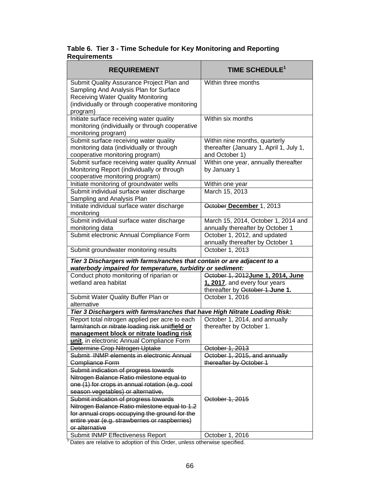## **Table 6. Tier 3 - Time Schedule for Key Monitoring and Reporting Requirements**

| <b>REQUIREMENT</b>                                                                                                                                                                              | TIME SCHEDULE <sup>1</sup>                                                                              |  |
|-------------------------------------------------------------------------------------------------------------------------------------------------------------------------------------------------|---------------------------------------------------------------------------------------------------------|--|
| Submit Quality Assurance Project Plan and<br>Sampling And Analysis Plan for Surface<br><b>Receiving Water Quality Monitoring</b><br>(individually or through cooperative monitoring<br>program) | Within three months                                                                                     |  |
| Initiate surface receiving water quality<br>monitoring (individually or through cooperative<br>monitoring program)                                                                              | Within six months                                                                                       |  |
| Submit surface receiving water quality<br>monitoring data (individually or through<br>cooperative monitoring program)                                                                           | Within nine months, quarterly<br>thereafter (January 1, April 1, July 1,<br>and October 1)              |  |
| Submit surface receiving water quality Annual<br>Monitoring Report (individually or through<br>cooperative monitoring program)                                                                  | Within one year, annually thereafter<br>by January 1                                                    |  |
| Initiate monitoring of groundwater wells                                                                                                                                                        | Within one year                                                                                         |  |
| Submit individual surface water discharge<br>Sampling and Analysis Plan                                                                                                                         | March 15, 2013                                                                                          |  |
| Initiate individual surface water discharge<br>monitoring                                                                                                                                       | October December 1, 2013                                                                                |  |
| Submit individual surface water discharge<br>monitoring data                                                                                                                                    | March 15, 2014, October 1, 2014 and<br>annually thereafter by October 1                                 |  |
| Submit electronic Annual Compliance Form                                                                                                                                                        | October 1, 2012, and updated<br>annually thereafter by October 1                                        |  |
| Submit groundwater monitoring results                                                                                                                                                           | October 1, 2013                                                                                         |  |
| Tier 3 Dischargers with farms/ranches that contain or are adjacent to a<br>waterbody impaired for temperature, turbidity or sediment:                                                           |                                                                                                         |  |
| Conduct photo monitoring of riparian or<br>wetland area habitat                                                                                                                                 | October 1, 2012 June 1, 2014, June<br>1, 2017, and every four years<br>thereafter by October 1. June 1. |  |
| Submit Water Quality Buffer Plan or<br>alternative                                                                                                                                              | October 1, 2016                                                                                         |  |
| Tier 3 Dischargers with farms/ranches that have High Nitrate Loading Risk:                                                                                                                      |                                                                                                         |  |
| Report total nitrogen applied per acre to each<br>farm/ranch or nitrate loading risk unitfield or<br>management block or nitrate loading risk                                                   | October 1, 2014, and annually<br>thereafter by October 1.                                               |  |
| unit, in electronic Annual Compliance Form                                                                                                                                                      |                                                                                                         |  |
| Determine Crop Nitrogen Uptake<br>Submit INMP elements in electronic Annual                                                                                                                     | October 1, 2013                                                                                         |  |
| Compliance Form                                                                                                                                                                                 | October 1, 2015, and annually<br>thereafter by October 1                                                |  |
| Submit indication of progress towards<br>Nitrogen Balance Ratio milestone equal to                                                                                                              |                                                                                                         |  |
| one (1) for crops in annual rotation (e.g. cool                                                                                                                                                 |                                                                                                         |  |
| season vegetables) or alternative,                                                                                                                                                              |                                                                                                         |  |
| Submit indication of progress towards                                                                                                                                                           | October 1, 2015                                                                                         |  |
| Nitrogen Balance Ratio milestone equal to 1.2                                                                                                                                                   |                                                                                                         |  |
| for annual crops occupying the ground for the<br>entire year (e.g. strawberries or raspberries)                                                                                                 |                                                                                                         |  |
| or alternative                                                                                                                                                                                  |                                                                                                         |  |
| Submit INMP Effectiveness Report                                                                                                                                                                | October 1, 2016                                                                                         |  |

<sup>1</sup> Dates are relative to adoption of this Order, unless otherwise specified.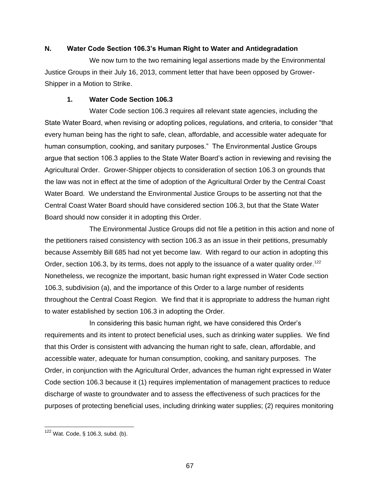## **N. Water Code Section 106.3's Human Right to Water and Antidegradation**

We now turn to the two remaining legal assertions made by the Environmental Justice Groups in their July 16, 2013, comment letter that have been opposed by Grower-Shipper in a Motion to Strike.

### **1. Water Code Section 106.3**

Water Code section 106.3 requires all relevant state agencies, including the State Water Board, when revising or adopting polices, regulations, and criteria, to consider "that every human being has the right to safe, clean, affordable, and accessible water adequate for human consumption, cooking, and sanitary purposes." The Environmental Justice Groups argue that section 106.3 applies to the State Water Board's action in reviewing and revising the Agricultural Order. Grower-Shipper objects to consideration of section 106.3 on grounds that the law was not in effect at the time of adoption of the Agricultural Order by the Central Coast Water Board. We understand the Environmental Justice Groups to be asserting not that the Central Coast Water Board should have considered section 106.3, but that the State Water Board should now consider it in adopting this Order.

The Environmental Justice Groups did not file a petition in this action and none of the petitioners raised consistency with section 106.3 as an issue in their petitions, presumably because Assembly Bill 685 had not yet become law. With regard to our action in adopting this Order, section 106.3, by its terms, does not apply to the issuance of a water quality order.<sup>122</sup> Nonetheless, we recognize the important, basic human right expressed in Water Code section 106.3, subdivision (a), and the importance of this Order to a large number of residents throughout the Central Coast Region. We find that it is appropriate to address the human right to water established by section 106.3 in adopting the Order.

In considering this basic human right, we have considered this Order's requirements and its intent to protect beneficial uses, such as drinking water supplies. We find that this Order is consistent with advancing the human right to safe, clean, affordable, and accessible water, adequate for human consumption, cooking, and sanitary purposes. The Order, in conjunction with the Agricultural Order, advances the human right expressed in Water Code section 106.3 because it (1) requires implementation of management practices to reduce discharge of waste to groundwater and to assess the effectiveness of such practices for the purposes of protecting beneficial uses, including drinking water supplies; (2) requires monitoring

 $122$  Wat. Code, § 106.3, subd. (b).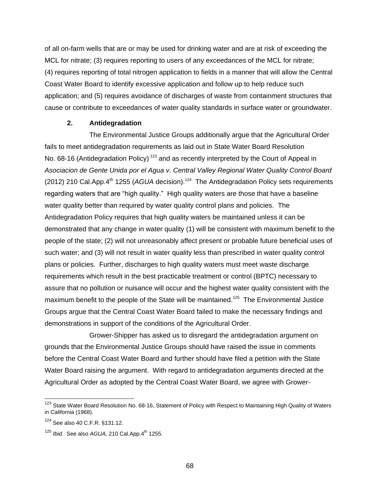of all on-farm wells that are or may be used for drinking water and are at risk of exceeding the MCL for nitrate; (3) requires reporting to users of any exceedances of the MCL for nitrate; (4) requires reporting of total nitrogen application to fields in a manner that will allow the Central Coast Water Board to identify excessive application and follow up to help reduce such application; and (5) requires avoidance of discharges of waste from containment structures that cause or contribute to exceedances of water quality standards in surface water or groundwater.

#### **2. Antidegradation**

The Environmental Justice Groups additionally argue that the Agricultural Order fails to meet antidegradation requirements as laid out in State Water Board Resolution No. 68-16 (Antidegradation Policy)<sup>123</sup> and as recently interpreted by the Court of Appeal in *Asociacion de Gente Unida por el Agua v. Central Valley Regional Water Quality Control Board*  (2012) 210 Cal.App.4<sup>th</sup> 1255 (*AGUA* decision).<sup>124</sup> The Antidegradation Policy sets requirements regarding waters that are "high quality." High quality waters are those that have a baseline water quality better than required by water quality control plans and policies. The Antidegradation Policy requires that high quality waters be maintained unless it can be demonstrated that any change in water quality (1) will be consistent with maximum benefit to the people of the state; (2) will not unreasonably affect present or probable future beneficial uses of such water; and (3) will not result in water quality less than prescribed in water quality control plans or policies. Further, discharges to high quality waters must meet waste discharge requirements which result in the best practicable treatment or control (BPTC) necessary to assure that no pollution or nuisance will occur and the highest water quality consistent with the maximum benefit to the people of the State will be maintained.<sup>125</sup> The Environmental Justice Groups argue that the Central Coast Water Board failed to make the necessary findings and demonstrations in support of the conditions of the Agricultural Order.

Grower-Shipper has asked us to disregard the antidegradation argument on grounds that the Environmental Justice Groups should have raised the issue in comments before the Central Coast Water Board and further should have filed a petition with the State Water Board raising the argument. With regard to antidegradation arguments directed at the Agricultural Order as adopted by the Central Coast Water Board, we agree with Grower-

<sup>&</sup>lt;sup>123</sup> State Water Board Resolution No. 68-16, Statement of Policy with Respect to Maintaining High Quality of Waters in California (1968).

<sup>124</sup> See also 40 C.F.R. §131.12.

<sup>&</sup>lt;sup>125</sup> *Ibid.* See also *AGUA*, 210 Cal.App.4<sup>th</sup> 1255.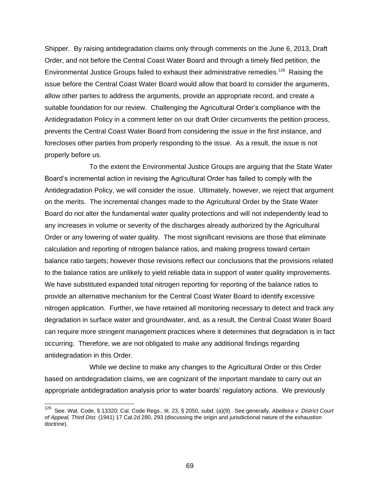Shipper. By raising antidegradation claims only through comments on the June 6, 2013, Draft Order, and not before the Central Coast Water Board and through a timely filed petition, the Environmental Justice Groups failed to exhaust their administrative remedies.<sup>126</sup> Raising the issue before the Central Coast Water Board would allow that board to consider the arguments, allow other parties to address the arguments, provide an appropriate record, and create a suitable foundation for our review. Challenging the Agricultural Order's compliance with the Antidegradation Policy in a comment letter on our draft Order circumvents the petition process, prevents the Central Coast Water Board from considering the issue in the first instance, and forecloses other parties from properly responding to the issue. As a result, the issue is not properly before us.

To the extent the Environmental Justice Groups are arguing that the State Water Board's incremental action in revising the Agricultural Order has failed to comply with the Antidegradation Policy, we will consider the issue. Ultimately, however, we reject that argument on the merits. The incremental changes made to the Agricultural Order by the State Water Board do not alter the fundamental water quality protections and will not independently lead to any increases in volume or severity of the discharges already authorized by the Agricultural Order or any lowering of water quality. The most significant revisions are those that eliminate calculation and reporting of nitrogen balance ratios, and making progress toward certain balance ratio targets; however those revisions reflect our conclusions that the provisions related to the balance ratios are unlikely to yield reliable data in support of water quality improvements. We have substituted expanded total nitrogen reporting for reporting of the balance ratios to provide an alternative mechanism for the Central Coast Water Board to identify excessive nitrogen application. Further, we have retained all monitoring necessary to detect and track any degradation in surface water and groundwater, and, as a result, the Central Coast Water Board can require more stringent management practices where it determines that degradation is in fact occurring. Therefore, we are not obligated to make any additional findings regarding antidegradation in this Order.

While we decline to make any changes to the Agricultural Order or this Order based on antidegradation claims, we are cognizant of the important mandate to carry out an appropriate antidegradation analysis prior to water boards' regulatory actions. We previously

 126 See. Wat. Code, § 13320; Cal. Code Regs., tit. 23, § 2050, subd. (a)(9). See generally, *Abelleira v. District Court of Appeal, Third Dist.* (1941) 17 Cal.2d 280, 293 (discussing the origin and jurisdictional nature of the exhaustion doctrine).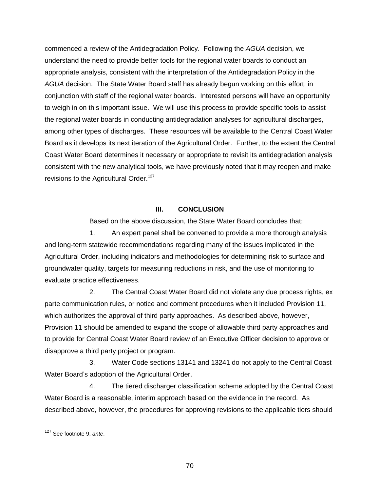commenced a review of the Antidegradation Policy. Following the *AGUA* decision, we understand the need to provide better tools for the regional water boards to conduct an appropriate analysis, consistent with the interpretation of the Antidegradation Policy in the *AGUA* decision. The State Water Board staff has already begun working on this effort, in conjunction with staff of the regional water boards. Interested persons will have an opportunity to weigh in on this important issue. We will use this process to provide specific tools to assist the regional water boards in conducting antidegradation analyses for agricultural discharges, among other types of discharges. These resources will be available to the Central Coast Water Board as it develops its next iteration of the Agricultural Order. Further, to the extent the Central Coast Water Board determines it necessary or appropriate to revisit its antidegradation analysis consistent with the new analytical tools, we have previously noted that it may reopen and make revisions to the Agricultural Order.<sup>127</sup>

## **III. CONCLUSION**

Based on the above discussion, the State Water Board concludes that:

1. An expert panel shall be convened to provide a more thorough analysis and long-term statewide recommendations regarding many of the issues implicated in the Agricultural Order, including indicators and methodologies for determining risk to surface and groundwater quality, targets for measuring reductions in risk, and the use of monitoring to evaluate practice effectiveness.

2. The Central Coast Water Board did not violate any due process rights, ex parte communication rules, or notice and comment procedures when it included Provision 11, which authorizes the approval of third party approaches. As described above, however, Provision 11 should be amended to expand the scope of allowable third party approaches and to provide for Central Coast Water Board review of an Executive Officer decision to approve or disapprove a third party project or program.

3. Water Code sections 13141 and 13241 do not apply to the Central Coast Water Board's adoption of the Agricultural Order.

4. The tiered discharger classification scheme adopted by the Central Coast Water Board is a reasonable, interim approach based on the evidence in the record. As described above, however, the procedures for approving revisions to the applicable tiers should

<sup>127</sup> See footnote 9, *ante*.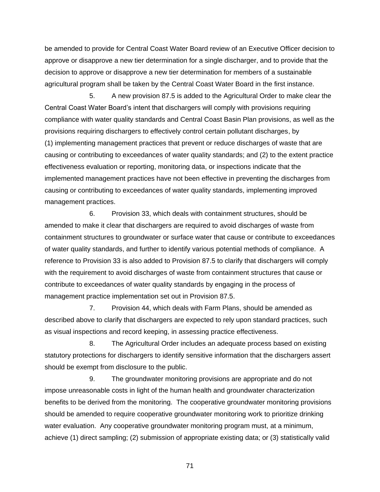be amended to provide for Central Coast Water Board review of an Executive Officer decision to approve or disapprove a new tier determination for a single discharger, and to provide that the decision to approve or disapprove a new tier determination for members of a sustainable agricultural program shall be taken by the Central Coast Water Board in the first instance.

5. A new provision 87.5 is added to the Agricultural Order to make clear the Central Coast Water Board's intent that dischargers will comply with provisions requiring compliance with water quality standards and Central Coast Basin Plan provisions, as well as the provisions requiring dischargers to effectively control certain pollutant discharges, by (1) implementing management practices that prevent or reduce discharges of waste that are causing or contributing to exceedances of water quality standards; and (2) to the extent practice effectiveness evaluation or reporting, monitoring data, or inspections indicate that the implemented management practices have not been effective in preventing the discharges from causing or contributing to exceedances of water quality standards, implementing improved management practices.

6. Provision 33, which deals with containment structures, should be amended to make it clear that dischargers are required to avoid discharges of waste from containment structures to groundwater or surface water that cause or contribute to exceedances of water quality standards, and further to identify various potential methods of compliance. A reference to Provision 33 is also added to Provision 87.5 to clarify that dischargers will comply with the requirement to avoid discharges of waste from containment structures that cause or contribute to exceedances of water quality standards by engaging in the process of management practice implementation set out in Provision 87.5.

7. Provision 44, which deals with Farm Plans, should be amended as described above to clarify that dischargers are expected to rely upon standard practices, such as visual inspections and record keeping, in assessing practice effectiveness.

8. The Agricultural Order includes an adequate process based on existing statutory protections for dischargers to identify sensitive information that the dischargers assert should be exempt from disclosure to the public.

9. The groundwater monitoring provisions are appropriate and do not impose unreasonable costs in light of the human health and groundwater characterization benefits to be derived from the monitoring. The cooperative groundwater monitoring provisions should be amended to require cooperative groundwater monitoring work to prioritize drinking water evaluation. Any cooperative groundwater monitoring program must, at a minimum, achieve (1) direct sampling; (2) submission of appropriate existing data; or (3) statistically valid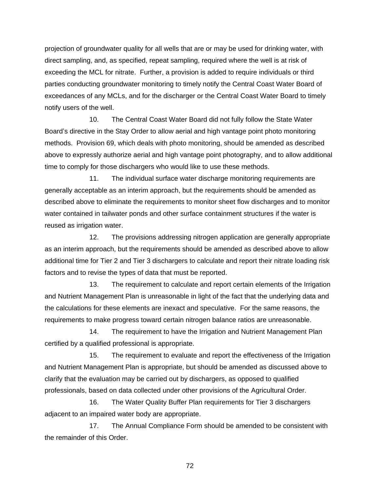projection of groundwater quality for all wells that are or may be used for drinking water, with direct sampling, and, as specified, repeat sampling, required where the well is at risk of exceeding the MCL for nitrate. Further, a provision is added to require individuals or third parties conducting groundwater monitoring to timely notify the Central Coast Water Board of exceedances of any MCLs, and for the discharger or the Central Coast Water Board to timely notify users of the well.

10. The Central Coast Water Board did not fully follow the State Water Board's directive in the Stay Order to allow aerial and high vantage point photo monitoring methods. Provision 69, which deals with photo monitoring, should be amended as described above to expressly authorize aerial and high vantage point photography, and to allow additional time to comply for those dischargers who would like to use these methods.

11. The individual surface water discharge monitoring requirements are generally acceptable as an interim approach, but the requirements should be amended as described above to eliminate the requirements to monitor sheet flow discharges and to monitor water contained in tailwater ponds and other surface containment structures if the water is reused as irrigation water.

12. The provisions addressing nitrogen application are generally appropriate as an interim approach, but the requirements should be amended as described above to allow additional time for Tier 2 and Tier 3 dischargers to calculate and report their nitrate loading risk factors and to revise the types of data that must be reported.

13. The requirement to calculate and report certain elements of the Irrigation and Nutrient Management Plan is unreasonable in light of the fact that the underlying data and the calculations for these elements are inexact and speculative. For the same reasons, the requirements to make progress toward certain nitrogen balance ratios are unreasonable.

14. The requirement to have the Irrigation and Nutrient Management Plan certified by a qualified professional is appropriate.

15. The requirement to evaluate and report the effectiveness of the Irrigation and Nutrient Management Plan is appropriate, but should be amended as discussed above to clarify that the evaluation may be carried out by dischargers, as opposed to qualified professionals, based on data collected under other provisions of the Agricultural Order.

16. The Water Quality Buffer Plan requirements for Tier 3 dischargers adjacent to an impaired water body are appropriate.

17. The Annual Compliance Form should be amended to be consistent with the remainder of this Order.